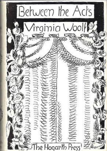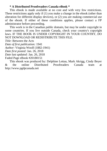### **\* A Distributed Proofreaders Canada eBook \***

This ebook is made available at no cost and with very few restrictions. These restrictions apply only if (1) you make a change in the ebook (other than alteration for different display devices), or (2) you are making commercial use of the ebook. If either of these conditions applies, please contact a FP administrator before proceeding.

This work is in the Canadian public domain, but may be under copyright in some countries. If you live outside Canada, check your country's copyright laws. IF THE BOOK IS UNDER COPYRIGHT IN YOUR COUNTRY, DO NOT DOWNLOAD OR REDISTRIBUTE THIS FILE.

*Title:* Between the Acts

*Date of first publication:* 1941

*Author:* Virginia Woolf (1882-1941)

*Date first posted:* Jan. 26, 2018

*Date last updated:* Jan. 26, 2018

Faded Page eBook #20180151

This ebook was produced by: Delphine Lettau, Mark Akrigg, Cindy Beyer & the online Distributed Proofreaders Canada team at http://www.pgdpcanada.net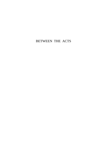## BETWEEN THE ACTS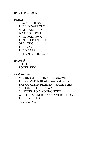B<sup>Y</sup> VIRGINIA WOOLF

*Fiction*

KEW GARDENS THE VOYAGE OUT NIGHT AND DAY JACOB'S ROOM MRS. DALLOWAY TO THE LIGHTHOUSE ORLANDO THE WAVES THE YEARS BETWEEN THE ACTS

*Biography* FLUSH ROGER FRY

*Criticism, etc.*

MR. BENNETT AND MRS. BROWN THE COMMON READER—First Series THE COMMON READER—Second Series A ROOM OF ONE'S OWN A LETTER TO A YOUNG POET WALTER SICKERT: A CONVERSATION THREE GUINEAS **REVIEWING**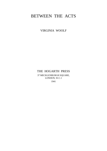# BETWEEN THE ACTS

VIRGINIA WOOLF

## THE HOGARTH PRESS

37 MECKLENBURGH SQUARE, LONDON, W.C.1 1941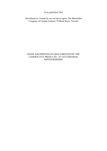*First published 1941*

*Distributed in Canada by our exclusive agent, The Macmillan Company of Canada Limited, 70 Bond Street, Toronto*

#### MADE AND PRINTED IN GREAT BRITAIN BY THE GARDEN CITY PRESS LTD., AT LETCHWORTH, **HERTFORDSHIRE**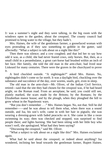I<sup>T</sup> was a summer's night and they were talking, in the big room with the windows open to the garden, about the cesspool. The county council had promised to bring water to the village, but they hadn't.

Mrs. Haines, the wife of the gentleman farmer, a goosefaced woman with eyes protruding as if they saw something to gobble in the gutter, said affectedly: "What a subject to talk about on a night like this!"

Then there was silence; and a cow coughed; and that led her to say how odd it was, as a child, she had never feared cows, only horses. But, then, as a small child in a perambulator, a great cart-horse had brushed within an inch of her face. Her family, she told the old man in the arm-chair, had lived near Liskeard for many centuries. There were the graves in the churchyard to prove it.

A bird chuckled outside. "A nightingale?" asked Mrs. Haines. No, nightingales didn't come so far north. It was a daylight bird, chuckling over the substance and succulence of the day, over worms, snails, grit, even in sleep.

The old man in the arm-chair—Mr. Oliver, of the Indian Civil Service, retired—said that the site they had chosen for the cesspool was, if he had heard aright, on the Roman road. From an aeroplane, he said, you could still see, plainly marked, the scars made by the Britons; by the Romans; by the Elizabethan manor house; and by the plough, when they ploughed the hill to grow wheat in the Napoleonic wars.

"But you don't remember . . ." Mrs. Haines began. No, not that. Still he did remember——and he was about to tell them what, when there was a sound outside, and Isa, his son's wife, came in with her hair in pigtails; she was wearing a dressing-gown with faded peacocks on it. She came in like a swan swimming its way; then was checked and stopped; was surprised to find people there; and lights burning. She had been sitting with her little boy who wasn't well, she apologized. What had they been saying?

"Discussing the cesspool," said Mr. Oliver.

"What a subject to talk about on a night like this!" Mrs. Haines exclaimed again.

What had *he* said about the cesspool; or indeed about anything? Isa wondered, inclining her head towards the gentleman farmer, Rupert Haines.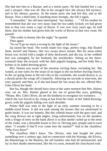She had met him at a Bazaar; and at a tennis party. He had handed her a cup and a racquet—that was all. But in his ravaged face she always felt mystery; and in his silence, passion. At the tennis party she had felt this, and at the Bazaar. Now a third time, if anything more strongly, she felt it again.

"I remember," the old man interrupted, "my mother. . . ." Of his mother he remembered that she was very stout; kept her tea-caddy locked; yet had given him in that very room a copy of Byron. It was over sixty years ago, he told them, that his mother had given him the works of Byron in that very room. He paused.

"She walks in beauty like the night," he quoted.

Then again:

"So we'll go no more a-roving by the light of the moon."

Isa raised her head. The words made two rings, perfect rings, that floated them, herself and Haines, like two swans down stream. But his snow-white breast was circled with a tangle of dirty duckweed; and she too, in her webbed feet was entangled, by her husband, the stockbroker. Sitting on her threecornered chair she swayed, with her dark pigtails hanging, and her body like a bolster in its faded dressing-gown.

Mrs. Haines was aware of the emotion circling them, excluding her. She waited, as one waits for the strain of an organ to die out before leaving church. In the car going home to the red villa in the cornfields, she would destroy it, as a thrush pecks the wings off a butterfly. Allowing ten seconds to intervene, she rose; paused; and then, as if she had heard the last strain die out, offered Mrs. Giles Oliver her hand.

But Isa, though she should have risen at the same moment that Mrs. Haines rose, sat on. Mrs. Haines glared at her out of goose-like eyes, gobbling, "Please, Mrs. Giles Oliver, do me the kindness to recognize my existence. . . ." which she was forced to do, rising at last from her chair, in her faded dressinggown, with the pigtails falling over each shoulder.

Pointz Hall was seen in the light of an early summer morning to be a middle-sized house. It did not rank among the houses that are mentioned in guide books. It was too homely. But this whitish house with the grey roof, and the wing thrown out at right angles, lying unfortunately low on the meadow with a fringe of trees on the bank above it so that smoke curled up to the nests of the rooks, was a desirable house to live in. Driving past, people said to each other: "I wonder if that'll ever come into the market?" And to the chauffeur: "Who lives there?"

The chauffeur didn't know. The Olivers, who had bought the place something over a century ago, had no connection with the Warings, the Elveys, the Mannerings or the Burnets; the old families who had all intermarried, and lay in their deaths intertwisted, like the ivy roots, beneath the churchyard wall.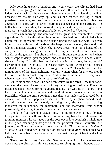Only something over a hundred and twenty years the Olivers had been there. Still, on going up the principal staircase—there was another, a mere ladder at the back for the servants—there was a portrait. A length of yellow brocade was visible half-way up; and, as one reached the top, a small powdered face, a great head-dress slung with pearls, came into view; an ancestress of sorts. Six or seven bedrooms opened out of the corridor. The butler had been a soldier; had married a lady's maid; and, under a glass case there was a watch that had stopped a bullet on the field of Waterloo.

It was early morning. The dew was on the grass. The church clock struck eight times. Mrs. Swithin drew the curtain in her bedroom—the faded white chintz that so agreeably from the outside tinged the window with its green lining. There with her old hands on the hasp, jerking it open, she stood: old Oliver's married sister; a widow. She always meant to set up a house of her own; perhaps in Kensington, perhaps at Kew, so that she could have the benefit of the gardens. But she stayed on all through the summer; and when winter wept its damp upon the panes, and choked the gutters with dead leaves, she said: "Why, Bart, did they build the house in the hollow, facing north?" Her brother said, "Obviously to escape from nature. Weren't four horses needed to drag the family coach through the mud?" Then he told her the famous story of the great eighteenth-century winter; when for a whole month the house had been blocked by snow. And the trees had fallen. So every year, when winter came, Mrs. Swithin retired to Hastings.

But it was summer now. She had been waked by the birds. How they sang! attacking the dawn like so many choir boys attacking an iced cake. Forced to listen, she had stretched for her favourite reading—an Outline of History—and had spent the hours between three and five thinking of rhododendron forests in Piccadilly; when the entire continent, not then, she understood, divided by a channel, was all one; populated, she understood, by elephant-bodied, sealnecked, heaving, surging, slowly writhing, and, she supposed, barking monsters; the iguanodon, the mammoth, and the mastodon; from whom presumably, she thought, jerking the window open, we descend.

It took her five seconds in actual time, in mind time ever so much longer, to separate Grace herself, with blue china on a tray, from the leather-covered grunting monster who was about, as the door opened, to demolish a whole tree in the green steaming undergrowth of the primeval forest. Naturally, she jumped, as Grace put the tray down and said: "Good morning, Ma'am." "Batty," Grace called her, as she felt on her face the divided glance that was half meant for a beast in a swamp, half for a maid in a print frock and white apron.

"How those birds sing!" said Mrs. Swithin, at a venture. The window was open now; the birds certainly were singing. An obliging thrush hopped across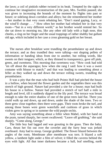the lawn; a coil of pinkish rubber twisted in its beak. Tempted by the sight to continue her imaginative reconstruction of the past, Mrs. Swithin paused; she was given to increasing the bounds of the moment by flights into past or future; or sidelong down corridors and alleys; but she remembered her mother —her mother in that very room rebuking her. "Don't stand gaping, Lucy, or the wind'll change . . ." How often her mother had rebuked her in that very room—"but in a very different world," as her brother would remind her. So she sat down to morning tea, like any other old lady with a high nose, thin cheeks, a ring on her finger and the usual trappings of rather shabby but gallant old age, which included in her case a cross gleaming gold on her breast.

The nurses after breakfast were trundling the perambulator up and down the terrace; and as they trundled they were talking—not shaping pellets of information or handing ideas from one to another, but rolling words, like sweets on their tongues; which, as they thinned to transparency, gave off pink, green, and sweetness. This morning that sweetness was: "How cook had told 'im off about the asparagus; how when she rang I said: how it was a sweet costume with blouse to match;" and that was leading to something about a feller as they walked up and down the terrace rolling sweets, trundling the perambulator.

It was a pity that the man who had built Pointz Hall had pitched the house in a hollow, when beyond the flower garden and the vegetables there was this stretch of high ground. Nature had provided a site for a house; man had built his house in a hollow. Nature had provided a stretch of turf half a mile in length and level, till it suddenly dipped to the lily pool. The terrace was broad enough to take the entire shadow of one of the great trees laid flat. There you could walk up and down, up and down, under the shade of the trees. Two or three grew close together; then there were gaps. Their roots broke the turf, and among those bones were green waterfalls and cushions of grass in which violets grew in spring or in summer the wild purple orchis.

Amy was saying something about a feller when Mabel, with her hand on the pram, turned sharply, her sweet swallowed. "Leave off grubbing," she said sharply. "Come along, George."

The little boy had lagged and was grouting in the grass. Then the baby, Caro, thrust her fist out over the coverlet and the furry bear was jerked overboard. Amy had to stoop. George grubbed. The flower blazed between the angles of the roots. Membrane after membrane was torn. It blazed a soft yellow, a lambent light under a film of velvet; it filled the caverns behind the eyes with light. All that inner darkness became a hall, leaf smelling, earth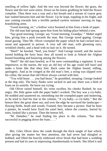smelling of yellow light. And the tree was beyond the flower; the grass, the flower and the tree were entire. Down on his knees grubbing he held the flower complete. Then there was a roar and a hot breath and a stream of coarse grey hair rushed between him and the flower. Up he leapt, toppling in his fright, and saw coming towards him a terrible peaked eyeless monster moving on legs, brandishing arms.

"Good morning, sir," a hollow voice boomed at him from a beak of paper.

The old man had sprung upon him from his hiding-place behind a tree.

"Say good morning, George; say 'Good morning, Grandpa,' " Mabel urged him, giving him a push towards the man. But George stood gaping. George stood gazing. Then Mr. Oliver crumpled the paper which he had cocked into a snout and appeared in person. A very tall old man, with gleaming eyes, wrinkled cheeks, and a head with no hair on it. He turned.

"Heel!" he bawled, "heel, you brute!" And George turned; and the nurses turned holding the furry bear; they all turned to look at Sohrab the Afghan hound bounding and bouncing among the flowers.

"Heel!" the old man bawled, as if he were commanding a regiment. It was impressive, to the nurses, the way an old boy of his age could still bawl and make a brute like that obey him. Back came the Afghan hound, sidling, apologetic. And as he cringed at the old man's feet, a string was slipped over his collar; the noose that old Oliver always carried with him.

"You wild beast . . . you bad beast," he grumbled, stooping. George looked at the dog only. The hairy flanks were sucked in and out; there was a blob of foam on its nostrils. He burst out crying.

Old Oliver raised himself, his veins swollen, his cheeks flushed; he was angry. His little game with the paper hadn't worked. The boy was a cry-baby. He nodded and sauntered on, smoothing out the crumpled paper and muttering, as he tried to find his line in the column, "A cry-baby—a cry-baby." But the breeze blew the great sheet out; and over the edge he surveyed the landscape flowing fields, heath and woods. Framed, they became a picture. Had he been a painter, he would have fixed his easel here, where the country, barred by trees, looked like a picture. Then the breeze fell.

"M. Daladier," he read finding his place in the column, "has been successful in pegging down the franc.  $\dots$ "

Mrs. Giles Oliver drew the comb through the thick tangle of hair which, after giving the matter her best attention, she had never had shingled or bobbed; and lifted the heavily embossed silver brush that had been a wedding present and had its uses in impressing chambermaids in hotels. She lifted it and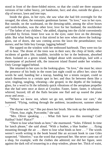stood in front of the three-folded mirror, so that she could see three separate versions of her rather heavy, yet handsome, face; and also, outside the glass, a slip of terrace, lawn and tree tops.

Inside the glass, in her eyes, she saw what she had felt overnight for the ravaged, the silent, the romantic gentleman farmer. "In love," was in her eyes. But outside, on the washstand, on the dressing-table, among the silver boxes and tooth-brushes, was the other love; love for her husband, the stockbroker —"The father of my children," she added, slipping into the cliché conveniently provided by fiction. Inner love was in the eyes; outer love on the dressingtable. But what feeling was it that stirred in her now when above the lookingglass, out of doors, she saw coming across the lawn the perambulator; two nurses; and her little boy George, lagging behind?

She tapped on the window with her embossed hairbrush. They were too far off to hear. The drone of the trees was in their ears; the chirp of birds; other incidents of garden life, inaudible, invisible to her in the bedroom, absorbed them. Isolated on a green island, hedged about with snowdrops, laid with a counterpane of puckered silk, the innocent island floated under her window. Only George lagged behind.

She returned to her eyes in the looking-glass. "In love," she must be; since the presence of his body in the room last night could so affect her; since the words he said, handing her a teacup, handing her a tennis racquet, could so attach themselves to a certain spot in her; and thus lie between them like a wire, tingling, tangling, vibrating—she groped, in the depths of the lookingglass, for a word to fit the infinitely quick vibrations of the aeroplane propeller that she had seen once at dawn at Croydon. Faster, faster, faster, it whizzed, whirred, buzzed, till all the flails became one flail and up soared the plane away and away. . . .

"Where we know not, where we go not, neither know nor care," she hummed. "Flying, rushing through the ambient, incandescent, summer silent . . .<sup>,</sup>

The rhyme was "air." She put down her brush. She took up the telephone.

"Three, four, eight, Pyecombe," she said.

"Mrs. Oliver speaking. . . . What fish have you this morning? Cod? Halibut? Sole? Plaice?"

"There to lose what binds us here," she murmured. "Soles. Filleted. In time for lunch please," she said aloud. "With a feather, a blue feather . . . flying mounting through the air . . . there to lose what binds us here . . ." The words weren't worth writing in the book bound like an account book in case Giles suspected. "Abortive," was the word that expressed her. She never came out of a shop, for example, with the clothes she admired; nor did her figure, seen against the dark roll of trousering in a shop window, please her. Thick of waist,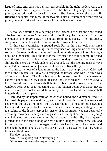large of limb, and, save for her hair, fashionable in the tight modern way, she never looked like Sappho, or one of the beautiful young men whose photographs adorned the weekly papers. She looked what she was: Sir Richard's daughter; and niece of the two old ladies at Wimbledon who were so proud, being O'Neils, of their descent from the Kings of Ireland.

A foolish, flattering lady, pausing on the threshold of what she once called "the heart of the house," the threshold of the library, had once said: "Next to the kitchen, the library's always the nicest room in the house." Then she added, stepping across the threshold: "Books are the mirrors of the soul."

In this case a tarnished, a spotted soul. For as the train took over three hours to reach this remote village in the very heart of England, no one ventured so long a journey, without staving off possible mind-hunger, without buying a book on a bookstall. Thus the mirror that reflected the soul sublime, reflected also the soul bored. Nobody could pretend, as they looked at the shuffle of shilling shockers that week-enders had dropped, that the looking-glass always reflected the anguish of a Queen or the heroism of King Harry.

At this early hour of a June morning the library was empty. Mrs. Giles had to visit the kitchen. Mr. Oliver still tramped the terrace. And Mrs. Swithin was of course at church. The light but variable breeze, foretold by the weather expert, flapped the yellow curtain, tossing light, then shadow. The fire greyed, then glowed, and the tortoiseshell butterfly beat on the lower pane of the window; beat, beat, beat; repeating that if no human being ever came, never, never, never, the books would be mouldy, the fire out and the tortoiseshell butterfly dead on the pane.

Heralded by the impetuosity of the Afghan hound, the old man entered. He had read his paper; he was drowsy; and so sank down into the chintz-covered chair with the dog at his feet—the Afghan hound. His nose on his paws, his haunches drawn up, he looked a stone dog, a crusader's dog, guarding even in the realms of death the sleep of his master. But the master was not dead; only dreaming; drowsily, seeing as in a glass, its lustre spotted, himself, a young man helmeted; and a cascade falling. But no water; and the hills, like grey stuff pleated; and in the sand a hoop of ribs; a bullock maggot-eaten in the sun; and in the shadow of the rock, savages; and in his hand a gun. The dream hand clenched; the real hand lay on the chair arm, the veins swollen but only with a brownish fluid now.

The door opened.

"Am I," Isa apologized, "interrupting?"

Of course she was—destroying youth and India. It was his fault, since she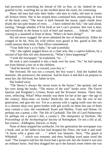had persisted in stretching his thread of life so fine, so far. Indeed he was grateful to her, watching her as she strolled about the room, for continuing.

Many old men had only their India—old men in clubs, old men in rooms off Jermyn Street. She in her striped dress continued him, murmuring, in front of the book cases: "The moor is dark beneath the moon, rapid clouds have drunk the last pale beams of even. . . . I have ordered the fish," she said aloud, turning, "though whether it'll be fresh or not I can't promise. But veal is dear, and everybody in the house is sick of beef and mutton. . . . Sohrab," she said, coming to a standstill in front of them, "What's *he* been doing?"

His tail never wagged. He never admitted the ties of domesticity. Either he cringed or he bit. Now his wild yellow eyes gazed at her, gazed at him. He could outstare them both. Then Oliver remembered:

"Your little boy's a cry-baby," he said scornfully.

"Oh," she sighed, pegged down on a chair arm, like a captive balloon, by a myriad of hair-thin ties into domesticity. "What's been happening?"

"I took the newspaper," he explained, "so . . ."

He took it and crumpled it into a beak over his nose. "So," he had sprung out from behind a tree on to the children.

"And he howled. He's a coward, your boy is."

She frowned. He was not a coward, her boy wasn't. And she loathed the domestic, the possessive; the maternal. And he knew it and did it on purpose to tease her, the old brute, her father-in-law.

She looked away.

"The library's always the nicest room in the house," she quoted, and ran her eyes along the books. "The mirror of the soul" books were. *The Faerie Queene* and Kinglake's *Crimea*; Keats and the *Kreutzer Sonata*. There they were, reflecting. What? What remedy was there for her at her age—the age of the century, thirty-nine—in books? Book-shy she was, like the rest of her generation; and gun-shy too. Yet as a person with a raging tooth runs her eye in a chemist shop over green bottles with gilt scrolls on them lest one of them may contain a cure, she considered: Keats and Shelley; Yeats and Donne. Or perhaps not a poem; a life. The life of Garibaldi. The life of Lord Palmerston. Or perhaps not a person's life; a county's. *The Antiquities of Durham*; *The Proceedings of the Archæological Society of Nottingham*. Or not a life at all, but science—Eddington, Darwin, or Jeans.

None of them stopped her toothache. For her generation the newspaper was a book; and, as her father-in-law had dropped the *Times*, she took it and read: "A horse with a green tail . . ." which was fantastic. Next, "The guard at Whitehall . . ." which was romantic and then, building word upon word she read: "The troopers told her the horse had a green tail; but she found it was just an ordinary horse. And they dragged her up to the barrack room where she was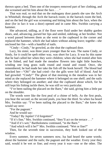thrown upon a bed. Then one of the troopers removed part of her clothing, and she screamed and hit him about the face. . . ."

That was real; so real that on the mahogany door panels she saw the Arch in Whitehall; through the Arch the barrack room; in the barrack room the bed, and on the bed the girl was screaming and hitting him about the face, when the door (for in fact it was a door) opened and in came Mrs. Swithin carrying a hammer.

She advanced, sidling, as if the floor were fluid under her shabby garden shoes, and, advancing, pursed her lips and smiled, sidelong, at her brother. Not a word passed between them as she went to the cupboard in the corner and replaced the hammer, which she had taken without asking leave; togethe—she unclosed her fist—with a handful of nails.

"Cindy—Cindy," he growled, as she shut the cupboard door.

Lucy, his sister, was three years younger than he was. The name Cindy, or Sindy, for it could be spelt either way, was short for Lucy. It was by this name that he had called her when they were children; when she had trotted after him as he fished, and had made the meadow flowers into tight little bunches, winding one long grass stalk round and round and round. Once, she remembered, he had made her take the fish off the hook herself. The blood had shocked her—"Oh!" she had cried—for the gills were full of blood. And he had growled: "Cindy!" The ghost of that morning in the meadow was in her mind as she replaced the hammer where it belonged on one shelf; and the nails where they belonged on another; and shut the cupboard about which, for he still kept his fishing tackle there, he was still so very particular.

"I've been nailing the placard on the Barn," she said, giving him a little pat on the shoulder.

The words were like the first peal of a chime of bells. As the first peals, you hear the second; as the second peals, you hear the third. So when Isa heard Mrs. Swithin say: "I've been nailing the placard to the Barn," she knew she would say next:

"For the pageant."

And he would say:

"Today? By Jupiter! I'd forgotten!"

"If it's fine," Mrs. Swithin continued, "they'll act on the terrace . . ."

"And if it's wet," Bartholomew continued, "in the Barn."

"And which will it be?" Mrs. Swithin continued. "Wet or fine?"

Then, for the seventh time in succession, they both looked out of the window.

Every summer, for seven summers now, Isa had heard the same words; about the hammer and the nails; the pageant and the weather. Every year they said, would it be wet or fine; and every year it was—one or the other. The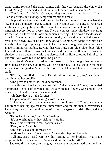same chime followed the same chime, only this year beneath the chime she heard: "The girl screamed and hit him about the face with a hammer."

"The forecast," said Mr. Oliver, turning the pages till he found it, "says: Variable winds; fair average temperature; rain at times."

He put down the paper, and they all looked at the sky to see whether the sky obeyed the meteorologist. Certainly the weather was variable. It was green in the garden; grey the next. Here came the sun—an illimitable rapture of joy, embracing every flower, every leaf. Then in compassion it withdrew, covering its face, as if it forebore to look on human suffering. There was a fecklessness, a lack of symmetry and order in the clouds, as they thinned and thickened. Was it their own law, or no law, they obeyed? Some were wisps of white hair merely. One, high up, very distant, had hardened to golden alabaster; was made of immortal marble. Beyond that was blue, pure blue, black blue; blue that had never filtered down; that had escaped registration. It never fell as sun, shadow, or rain upon the world, but disregarded the little coloured ball of earth entirely. No flower felt it; no field; no garden.

Mrs. Swithin's eyes glazed as she looked at it. Isa thought her gaze was fixed because she saw God there, God on his throne. But as a shadow fell next moment on the garden Mrs. Swithin loosed and lowered her fixed look and said:

"It's very unsettled. It'll rain, I'm afraid. We can only pray," she added, and fingered her crucifix.

"And provide umbrellas," said her brother.

Lucy flushed. He had struck her faith. When she said "pray," he added "umbrellas." She half covered the cross with her fingers. She shrank; she cowered; but next moment she exclaimed:

"Oh there they are—the darlings!"

The perambulator was passing across the lawn.

Isa looked too. What an angel she was—the old woman! Thus to salute the children; to beat up against those immensities and the old man's irreverences her skinny hands, her laughing eyes! How courageous to defy Bart and the weather!

"He looks blooming," said Mrs. Swithin.

"It's astonishing how they pick up," said Isa.

"He ate his breakfast?" Mrs. Swithin asked.

"Every scrap," said Isa.

"And baby? No sign of measles?"

Isa shook her head. "Touch wood," she added, tapping the table.

"Tell me, Bart," said Mrs. Swithin turning to her brother, "what's the origin of that? Touch wood . . . Antaeus, didn't he touch earth?"

She would have been, he thought, a very clever woman, had she fixed her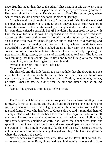gaze. But this led to that; that to the other. What went in at this ear, went out at that. And all were circled, as happens after seventy, by one recurring question. Hers was, should she live at Kensington or at Kew? But every year, when winter came, she did neither. She took lodgings at Hastings.

"Touch wood; touch earth; Antaeus," he muttered, bringing the scattered bits together. Lempriere would settle it; or the Encyclopædia. But it was not in books the answer to his question—why, in Lucy's skull, shaped so much like his own, there existed a prayable being? She didn't, he supposed, invest it with hair, teeth or toenails. It was, he supposed more of a force or a radiance, controlling the thrush and the worm; the tulip and the hound; and himself, too, an old man with swollen veins. It got her out of bed on a cold morning and sent her down the muddy path to worship it, whose mouthpiece was Streatfield. A good fellow, who smoked cigars in the vestry. He needed some solace, doling out preachments to asthmatic elders, perpetually repairing the perpetually falling steeple, by means of placards nailed to Barns. The love, he was thinking, that they should give to flesh and blood they give to the church . . . when Lucy rapping her fingers on the table said:

"What's the origin—the origin—of that?"

"Superstition," he said.

She flushed, and the little breath too was audible that she drew in as once more he struck a blow at her faith. But, brother and sister, flesh and blood was not a barrier, but a mist. Nothing changed their affection; no argument; no fact; no truth. What she saw he didn't; what he saw she didn't—and so on, *ad infinitum*.

"Cindy," he growled. And the quarrel was over.

The Barn to which Lucy had nailed her placard was a great building in the farmyard. It was as old as the church, and built of the same stone, but it had no steeple. It was raised on cones of grey stone at the corners to protect it from rats and damp. Those who had been to Greece always said it reminded them of a temple. Those who had never been to Greece—the majority—admired it all the same. The roof was weathered red-orange; and inside it was a hollow hall, sun-shafted, brown, smelling of corn, dark when the doors were shut, but splendidly illuminated when the doors at the end stood open, as they did to let the wagons in—the long low wagons, like ships of the sea, breasting the corn, not the sea, returning in the evening shagged with hay. The lanes caught tufts where the wagons had passed.

Now benches were drawn across the floor of the Barn. If it rained, the actors were to act in the Barn; planks had been laid together at one end to form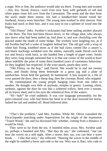a stage. Wet or fine, the audience would take tea there. Young men and women —Jim, Iris, David, Jessica—were even now busy with garlands of red and white paper roses left over from the Coronation. The seeds and the dust from the sacks made them sneeze. Iris had a handkerchief bound round her forehead; Jessica wore breeches. The young men worked in shirt sleeves. Pale husks had stuck in their hair, and it was easy to run a splinter of wood into the fingers.

"Old Flimsy" (Mrs. Swithin's nickname) had been nailing another placard on the Barn. The first had been blown down, or the village idiot, who always tore down what had been nailed up, had done it, and was chuckling over the placard under the shade of some hedge. The workers were laughing too, as if old Swithin had left a wake of laughter behind her. The old girl with a wisp of white hair flying, knobbed shoes as if she had claws corned like a canary's, and black stockings wrinkled over the ankles, naturally made David cock his eye and Jessica wink back, as she handed him a length of paper roses. Snobs they were; long enough stationed that is in that one corner of the world to have taken indelibly the print of some three hundred years of customary behaviour. So they laughed; but respected. If she wore pearls, pearls they were.

"Old Flimsy on the hop," said David. She would be in and out twenty times, and finally bring them lemonade in a great jug and a plate of sandwiches. Jessie held the garland; he hammered. A hen strayed in; a file of cows passed the door; then a sheep dog; then the cowman, Bond, who stopped.

He contemplated the young people hanging roses from one rafter to another. He thought very little of anybody, simples or gentry. Leaning, silent, sardonic, against the door he was like a withered willow, bent over a stream, all its leaves shed, and in his eyes the whimsical flow of the waters.

"Hi—huh!" he cried suddenly. It was cow language presumably, for the parti-coloured cow, who had thrust her head in at the door lowered her horns, lashed her tail and ambled off. Bond followed after.

"That's the problem," said Mrs. Swithin. While Mr. Oliver consulted the Encyclopædia searching under Superstition for the origin of the expression "Touch Wood," she and Isa discussed fish: whether, coming from a distance, it would be fresh.

They were so far from the sea. A hundred miles away, Mrs. Swithin said; no, perhaps a hundred and fifty. "But they do say," she continued, "one can hear the waves on a still night. After a storm, they say, you can hear a wave break. . . . I like that story," she reflected. "Hearing the waves in the middle of the night he saddled a horse and rode to the sea. Who was it, Bart, who rode to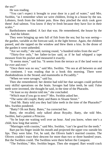the sea?"

He was reading.

"You can't expect it brought to your door in a pail of water," said Mrs. Swithin, "as I remember when we were children, living in a house by the sea. Lobsters, fresh from the lobster pots. How they pinched the stick cook gave them! And salmon. You know if they're fresh because they have lice in their scales."

Bartholomew nodded. A fact that was. He remembered, the house by the sea. And the lobster.

They were bringing up nets full of fish from the sea; but Isa was seeing the garden, variable as the forecast said, in the light breeze. Again, the children passed, and she tapped on the window and blew them a kiss. In the drone of the garden it went unheeded.

"Are we really," she said, turning round, "a hundred miles from the sea?"

"Thirty-five only," her father-in-law said, as if he had whipped a tape measure from his pocket and measured it exactly.

"It seems more," said Isa. "It seems from the terrace as if the land went on for ever and ever."

"Once there was no sea," said Mrs. Swithin. "No sea at all between us and the continent. I was reading that in a book this morning. There were rhododendrons in the Strand; and mammoths in Piccadilly."

"When we were savages," said Isa.

Then she remembered; her dentist had told her that savages could perform very skilful operations on the brain. Savages had false teeth, he said. False teeth were invented, she thought he said, in the time of the Pharaohs.

"At least so my dentist told me," she concluded.

"Which man d'you go to now?" Mrs. Swithin asked her.

"The same old couple; Batty and Bates in Sloane Street."

"And Mr. Batty told you they had false teeth in the time of the Pharaohs?" Mrs. Swithin pondered.

"Batty? Oh not Batty. Bates," Isa corrected her.

Batty, she recalled, only talked about Royalty. Batty, she told Mrs. Swithin, had a patient a Princess.

"So he kept me waiting well over an hour. And you know, when one's a child, how long that seems."

"Marriages with cousins," said Mrs. Swithin, "can't be good for the teeth."

Bart put his finger inside his mouth and projected the upper row outside his lips. They were false. Yet, he said, the Olivers hadn't married cousins. The Olivers couldn't trace their descent for more than two or three hundred years. But the Swithins could. The Swithins were there before the Conquest.

"The Swithins," Mrs. Swithin began. Then she stopped. Bart would crack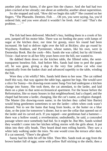another joke about Saints, if she gave him the chance. And she had had two jokes cracked at her already; one about an umbrella; another about superstition.

So she stopped and said, "How did we begin this talk?" She counted on her fingers. "The Pharaohs. Dentists. Fish . . . Oh yes, you were saying, Isa, you'd ordered fish; and you were afraid it wouldn't be fresh. And I said 'That's the problem. . . .'"

The fish had been delivered. Mitchell's boy, holding them in a crook of his arm, jumped off his motor bike. There was no feeding the pony with lumps of sugar at the kitchen door, nor time for gossip, since his round had been increased. He had to deliver right over the hill at Bickley; also go round by Waythorn, Roddam, and Pyeminster, whose names, like his own, were in Domesday Book. But the cook—Mrs. Sands she was called, but by old friends Trixie—had never in all her fifty years been over the hill, nor wanted to.

He dabbed them down on the kitchen table, the filleted soles, the semitransparent boneless fish. And before Mrs. Sands had time to peel the paper off, he was gone, giving a slap to the very fine yellow cat who rose majestically from the basket chair and advanced superbly to the table, winding the fish.

Were they a bit whiffy? Mrs. Sands held them to her nose. The cat rubbed itself this way, that way against the table legs, against her legs. She would save a slice for Sunny—his drawing-room name Sung-Yen had undergone a kitchen change into Sunny. She took them, the cat attendant, to the larder, and laid them on a plate in that semi-ecclesiastical apartment. For the house before the Reformation, like so many houses in that neighbourhood, had a chapel; and the chapel had become a larder, changing, like the cat's name, as religion changed. The Master (his drawing-room name; in the kitchen they called him Bartie) would bring gentlemen sometimes to see the larder—often when cook wasn't dressed. Not to see the hams that hung from hooks, or the butter on a blue slate, or the joint for tomorrow's dinner, but to see the cellar that opened out of the larder and its carved arch. If you tapped—one gentleman had a hammer there was a hollow sound; a reverberation; undoubtedly, he said, a concealed passage where once somebody had hid. So it might be. But Mrs. Sands wished they wouldn't come into her kitchen telling stories with the girls about. It put ideas into their silly heads. They heard dead men rolling barrels. They saw a white lady walking under the trees. No one would cross the terrace after dark. If a cat sneezed, "There's the ghost!"

Sunny had his little bit off the fillet. Then Mrs. Sands took an egg from the brown basket full of eggs; some with yellow fluff sticking to the shells; then a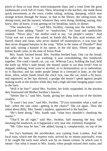pinch of flour to coat those semi-transparent slips; and a crust from the great earthenware crock full of crusts. Then, returning to the kitchen, she made those quick movements at the oven, cinder raking, stoking, damping, which sent strange echoes through the house, so that in the library, the sitting-room, the dining-room, and the nursery, whatever they were doing, thinking, saying, they knew, they all knew, it was getting on for breakfast, lunch, or dinner.

"The sandwiches . . ." said Mrs. Swithin, coming into the kitchen. She refrained from adding "Sands" to "sandwiches," for Sand and sandwiches clashed. "Never play," her mother used to say, "on people's names." And Trixie was not a name that suited, as Sands did, the thin, acid woman, redhaired, sharp and clean, who never dashed off masterpieces, it was true; but then never dropped hairpins in the soup. "What in the name of Thunder?" Bart had said, raising a hairpin in his spoon, in the old days, fifteen years ago, before Sands came, in the time of Jessie Pook.

Mrs. Sands fetched bread; Mrs. Swithin fetched ham. One cut the bread; the other the ham. It was soothing, it was consolidating, this handwork together. The cook's hands cut, cut, cut. Whereas Lucy, holding the loaf, held the knife up. Why's stale bread, she mused, easier to cut than fresh? And so skipped, sidelong, from yeast to alcohol; so to fermentation; so to inebriation; so to Bacchus; and lay under purple lamps in a vineyard in Italy, as she had done, often; while Sands heard the clock tick; saw the cat; noted a fly buzz; and registered, as her lips showed, a grudge she mustn't speak against people making work in the kitchen while they had a high old time hanging paper roses in the barn.

"Will it be fine?" asked Mrs. Swithin, her knife suspended. In the kitchen they humoured old Mother Swithin's fancies.

"Seems like it," said Mrs. Sands, giving her sharp look-out of the kitchen window.

"It wasn't last year," said Mrs. Swithin. "D'you remember what a rush we had—when the rain came—getting in the chairs?" She cut again. Then she asked about Billy, Mrs. Sands's nephew, apprenticed to the butcher.

"He's been doing," Mrs. Sands said, "what boys shouldn't; cheeking the master."

"That'll be all right," said Mrs. Swithin, half meaning the boy, half meaning the sandwich, as it happened a very neat one, trimmed, triangular.

"Mr. Giles may be late," she added, laying it, complacently, on top of the pile.

For Isa's husband, the stockbroker, was coming from London. And the local train, which met the express train, arrived by no means punctually, even if he caught the early train which was by no means certain. In which case it meant—but what it meant to Mrs. Sands, when people missed their trains, and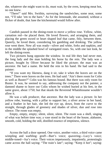she, whatever she might want to do, must wait, by the oven, keeping meat hot, no one knew.

"There!" said Mrs. Swithin, surveying the sandwiches, some neat, some not, "I'll take 'em to the barn." As for the lemonade, she assumed, without a flicker of doubt, that Jane the kitchenmaid would follow after.

Candish paused in the dining-room to move a yellow rose. Yellow, white, carnation red—he placed them. He loved flowers, and arranging them, and placing the green sword or heart shaped leaf that came, fitly, between them. Queerly, he loved them, considering his gambling and drinking. The yellow rose went there. Now all was ready—silver and white, forks and napkins, and in the middle the splashed bowl of variegated roses. So, with one last look, he left the dining-room.

Two pictures hung opposite the window. In real life they had never met, the long lady and the man holding his horse by the rein. The lady was a picture, bought by Oliver because he liked the picture; the man was an ancestor. He had a name. He held the rein in his hand. He had said to the painter:

"If you want my likeness, dang it sir, take it when the leaves are on the trees." There were leaves on the trees. He had said: "Ain't there room for Colin as well as Buster?" Colin was his famous hound. But there was only room for Buster. It was, he seemed to say, addressing the company not the painter, a damned shame to leave out Colin whom he wished buried at his feet, in the same grave, about 1750; but that skunk the Reverend Whatshisname wouldn't allow it.

He was a talk producer, that ancestor. But the lady was a picture. In her yellow robe, leaning, with a pillar to support her, a silver arrow in her hand, and a feather in her hair, she led the eye up, down, from the curve to the straight, through glades of greenery and shades of silver, dun and rose into silence. The room was empty.

Empty, empty, empty; silent, silent, silent. The room was a shell, singing of what was before time was; a vase stood in the heart of the house, alabaster, smooth, cold, holding the still, distilled essence of emptiness, silence.

Across the hall a door opened. One voice, another voice, a third voice came wimpling and warbling: gruff—Bart's voice; quavering—Lucy's voice; middle-toned—Isa's voice. Their voices impetuously, impatiently, protestingly came across the hall saying: "The train's late"; saying: "Keep it hot"; saying: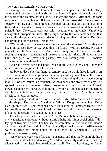"We won't, no Candish, we won't wait."

Coming out from the library the voices stopped in the hall. They encountered an obstacle evidently; a rock. Utterly impossible was it, even in the heart of the country, to be alone? That was the shock. After that, the rock was raced round, embraced. If it was painful, it was essential. There must be society. Coming out of the library it was painful, but pleasant, to run slap into Mrs. Manresa and an unknown young man with tow-coloured hair and a twisted face. No escape was possible; meeting was inevitable. Uninvited, unexpected, droppers-in, lured off the high road by the very same instinct that caused the sheep and the cows to desire propinquity, they had come. But they had brought a lunch basket. Here it was.

"We couldn't resist when we saw the name on the signpost," Mrs. Manresa began in her rich fluty voice. "And this is a friend—William Dodge. We were going to sit all alone in a field. And I said: 'Why not ask our dear friends,' seeing the signpost, 'to shelter us?' A seat at the table—that's all we want. We have our grub. We have our glasses. We ask nothing but——" society apparently, to be with her kind.

And she waved her hand upon which there was a glove, and under the glove it seemed rings, at old Mr. Oliver.

He bowed deep over her hand; a century ago, he would have kissed it. In all this sound of welcome, protestation, apology and again welcome, there was an element of silence, supplied by Isabella, observing the unknown young man. He was of course a gentleman; witness socks and trousers; brainy—tie spotted, waistcoat undone; urban, professional, that is putty coloured, unwholesome; very nervous, exhibiting a twitch at this sudden introduction, and fundamentally infernally conceited, for he deprecated Mrs. Manresa's effusion, yet was her guest.

Isa felt antagonised, yet curious. But when Mrs. Manresa added, to make all shipshape: "He's an artist," and when William Dodge corrected her: "I'm a clerk in an office"—she thought he said Education or Somerset House—she had her finger on the knot which had tied itself so tightly, almost to the extent of squinting, certainly of twitching, in his face.

Then they went in to lunch, and Mrs. Manresa bubbled up, enjoying her own capacity to surmount, without turning a hair, this minor social crisis—this laying of two more places. For had she not complete faith in flesh and blood? and aren't we all flesh and blood? and how silly to make bones of trifles when we're all flesh and blood under the skin—men and women too! But she preferred men—obviously.

"Or what are your rings for, and your nails, and that really adorable little straw hat?" said Isabella addressing Mrs. Manresa silently and thereby making silence add its unmistakable contribution to talk. Her hat, her rings, her finger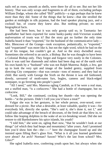nails red as roses, smooth as shells, were there for all to see. But not her life history. That was only scraps and fragments to all of them, excluding perhaps William Dodge, whom she called "Bill" publicly—a sign perhaps that he knew more than they did. Some of the things that he knew—that she strolled the garden at midnight in silk pyjamas, had the loud speaker playing jazz, and a cocktail bar, of course they knew also. But nothing private; no strict biographical facts.

She had been born, but it was only gossip said so, in Tasmania: her grandfather had been exported for some hanky-panky mid-Victorian scandal; malversation of trusts was it? But the story got no further the only time Isabella heard it than "exported," for the husband of the communicative lady— Mrs. Blencowe of the Grange—took exception, pedantically, to "exported," said "expatriated" was more like it, but not the right word, which he had on the tip of his tongue, but couldn't get at. And so the story dwindled away. Sometimes she referred to an uncle, a Bishop. But he was thought to have been a Colonial Bishop only. They forgot and forgave very easily in the Colonies. Also it was said her diamonds and rubies had been dug out of the earth with his own hands by a "husband" who was not Ralph Manresa. Ralph, a Jew, got up to look the very spit and image of the landed gentry, supplied from directing City companies—that was certain—tons of money; and they had no child. But surely with George the Sixth on the throne it was old fashioned, dowdy, savoured of moth-eaten furs, bugles, cameos and black-edged notepaper, to go ferreting into people's pasts?

"All I need," said Mrs. Manresa ogling Candish, as if he were a real man, not a stuffed man, "is a corkscrew." She had a bottle of champagne, but no corkscrew.

"Look, Bill," she continued, cocking her thumb—she was opening the bottle—"at the pictures. Didn't I tell you you'd have a treat?"

Vulgar she was in her gestures, in her whole person, over-sexed, overdressed for a picnic. But what a desirable, at least valuable, quality it was—for everybody felt, directly she spoke, "She's said it, she's done it, not I," and could take advantage of the breach of decorum, of the fresh air that blew in, to follow like leaping dolphins in the wake of an ice-breaking vessel. Did she not restore to old Bartholomew his spice islands, his youth?

"I told him," she went on, ogling Bart now, "that he wouldn't look at our things" (of which they had heaps and mountains) "after yours. And I promised him you'd show him the—the——" here the champagne fizzed up and she insisted upon filling Bart's glass first. "What is it all you learned gentlemen rave about? An arch? Norman? Saxon? Who's the last from school? Mrs. Giles?"

She ogled Isabella now, conferring youth upon her; but always when she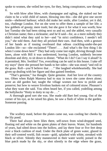spoke to women, she veiled her eyes, for they, being conspirators, saw through it.

So with blow after blow, with champagne and ogling, she staked out her claim to be a wild child of nature, blowing into this—she did give one secret smile—sheltered harbour; which did make her smile, after London; yet it did, too, challenge London. For on she went to offer them a sample of her life; a few gobbets of gossip; mere trash; but she gave it for what it was worth; how last Tuesday she had been sitting next so and so; and she added, very casually a Christian name; then a nickname; and he'd said—for, as a mere nobody they didn't mind what they said to her—and "in strict confidence, I needn't tell you," she told them. And they all pricked their ears. And then, with a gesture of her hands as if tossing overboard that odious crackling-under-the-pot London life—so—she exclaimed "There! . . . And what's the first thing I do when I come down here?" They had only come last night, driving through June lanes, alone with Bill it was understood, leaving London, suddenly become dissolute and dirty, to sit down to dinner. "What do I do? Can I say it aloud? Is it permitted, Mrs. Swithin? Yes, everything can be said in this house. I take off my stays" (here she pressed her hands to her sides—she was stout) "and roll in the grass. Roll—you'll believe that . . ." She laughed wholeheartedly. She had given up dealing with her figure and thus gained freedom.

"That's genuine," Isa thought. Quite genuine. And her love of the country too. Often when Ralph Manresa had to stay in town she came down alone; wore an old garden hat; taught the village women not how to pickle and preserve; but how to weave frivolous baskets out of coloured straw. Pleasure's what they want she said. You often heard her, if you called, yodelling among the hollyhocks "Hoity te doity te ray do . . ."

A thorough good sort she was. She made old Bart feel young. Out of the corner of his eye, as he raised his glass, he saw a flash of white in the garden. Someone passing.

The scullery maid, before the plates came out, was cooling her cheeks by the lily pond.

There had always been lilies there, self-sown from wind-dropped seed, floating red and white on the green plates of their leaves. Water, for hundreds of years, had silted down into the hollow, and lay there four or five feet deep over a black cushion of mud. Under the thick plate of green water, glazed in their self-centred world, fish swam—gold, splashed with white, streaked with black or silver. Silently they manœuvred in their water world, poised in the blue patch made by the sky, or shot silently to the edge where the grass,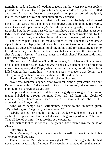trembling, made a fringe of nodding shadow. On the water-pavement spiders printed their delicate feet. A grain fell and spiralled down; a petal fell, filled and sank. At that the fleet of boat-shaped bodies paused; poised; equipped; mailed; then with a waver of undulation off they flashed.

It was in that deep centre, in that black heart, that the lady had drowned herself. Ten years since the pool had been dredged and a thigh bone recovered. Alas, it was a sheep's, not a lady's. And sheep have no ghosts, for sheep have no souls. But, the servants insisted, they must have a ghost; the ghost must be a lady's; who had drowned herself for love. So none of them would walk by the lily pool at night, only now when the sun shone and the gentry still sat at table.

The flower petal sank; the maid returned to the kitchen; Bartholomew sipped his wine. Happy he felt as a boy; yet reckless as an old man; an unusual, an agreeable sensation. Fumbling in his mind for something to say to the adorable lady, he chose the first thing that came handy; the story of the sheep's thigh. "Servants," he said, "must have their ghost." Kitchenmaids must have their drowned lady.

"But so must I!" cried the wild child of nature, Mrs. Manresa. She became, of a sudden, solemn as an owl. She *knew*, she said, pinching a bit of bread to make this emphatic, that Ralph, when he was at the war, couldn't have been killed without her seeing him—"wherever I was, whatever I was doing," she added, waving her hands so that the diamonds flashed in the sun.

"I don't feel that," said Mrs. Swithin, shaking her head.

"No," Mrs. Manresa laughed. "You wouldn't. None of you would. You see I'm on a level with . . ." she waited till Candish had retired, "the servants. I'm nothing like so grown up as you are."

She preened, approving her adolescence. Rightly or wrongly? A spring of feeling bubbled up through her mud. They had laid theirs with blocks of marble. Sheep's bones were sheep's bones to them, not the relics of the drowned Lady Ermyntrude.

"And which camp," said Bartholomew turning to the unknown guest, "d'you belong to? The grown, or the ungrown?"

Isabella opened her mouth, hoping that Dodge would open his, and so enable her to place him. But he sat staring. "I beg your pardon, sir?" he said. They all looked at him. "I was looking at the pictures."

The picture looked at nobody. The picture drew them down the paths of silence.

Lucy broke it.

"Mrs. Manresa, I'm going to ask you a favour—If it comes to a pinch this afternoon, will you sing?"

This afternoon? Mrs. Manresa was aghast. Was it the pageant? She had never dreamt it was this afternoon. They would never have thrust themselves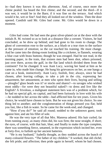in—had they known it was this afternoon. And, of course, once more the chime pealed. Isa heard the first chime; and the second; and the third—If it was wet, it would be in the Barn; if it was fine on the terrace. And which would it be, wet or fine? And they all looked out of the window. Then the door opened. Candish said Mr. Giles had come. Mr. Giles would be down in a moment.

Giles had come. He had seen the great silver-plated car at the door with the initials R. M. twisted so as to look at a distance like a coronet. Visitors, he had concluded, as he drew up behind; and had gone to his room to change. The ghost of convention rose to the surface, as a blush or a tear rises to the surface at the pressure of emotion; so the car touched his training. He must change. And he came into the dining-room looking like a cricketer, in flannels, wearing a blue coat with brass buttons; though he was enraged. Had he not read, in the morning paper, in the train, that sixteen men had been shot, others prisoned, just over there, across the gulf, in the flat land which divided them from the continent? Yet he changed. It was Aunt Lucy, waving her hand at him as he came in, who made him change. He hung his grievances on her, as one hangs a coat on a hook, instinctively. Aunt Lucy, foolish, free; always, since he had chosen, after leaving college, to take a job in the city, expressing her amazement, her amusement, at men who spent their lives, buying and selling —ploughs? glass beads was it? or stocks and shares?—to savages who wished most oddly—for were they not beautiful naked?—to dress and live like the English? A frivolous, a malignant statement hers was of a problem which, for he had no special gift, no capital, and had been furiously in love with his wife —he nodded to her across the table—had afflicted him for ten years. Given his choice, he would have chosen to farm. But he was not given his choice. So one thing led to another; and the conglomeration of things pressed you flat; held you fast, like a fish in water. So he came for the week-end, and changed.

"How d'you do?" he said all round; nodded to the unknown guest; took against him; and ate his fillet of sole.

He was the very type of all that Mrs. Manresa adored. His hair curled; far from running away, as many chins did, his was firm; the nose straight, if short; the eyes, of course, with that hair, blue; and finally to make the type complete, there was something fierce, untamed, in the expression which incited her, even at forty-five, to furbish up her ancient batteries.

"He is my husband," Isabella thought, as they nodded across the bunch of many-coloured flowers. "The father of my children." It worked, that old cliché; she felt pride; and affection; then pride again in herself, whom he had chosen.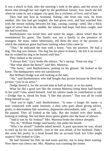It was a shock to find, after the morning's look in the glass, and the arrow of desire shot through her last night by the gentleman farmer, how much she felt when he came in, not a dapper city gent, but a cricketer, of love; and of hate.

They had met first in Scotland, fishing—she from one rock, he from another. Her line had got tangled; she had given over, and had watched him with the stream rushing between his legs, casting, casting—until, like a thick ingot of silver bent in the middle, the salmon had leapt, had been caught, and she had loved him.

Bartholomew too loved him; and noted his anger—about what? But he remembered his guest. The family was not a family in the presence of strangers. He must, rather laboriously, tell them the story of the pictures at which the unknown guest had been looking when Giles came in.

"That," he indicated the man with a horse, "was my ancestor. He had a dog. The dog was famous. The dog has his place in history. He left it on record that he wished his dog to be buried with him."

They looked at the picture.

"I always feel," Lucy broke the silence, "he's saying: 'Paint my dog.' "

"But what about the horse?" said Mrs. Manresa.

"The horse," said Bartholomew, putting on his glasses. He looked at the horse. The hindquarters were not satisfactory.

But William Dodge was still looking at the lady.

"Ah," said Bartholomew who had bought that picture because he liked that picture, "you're an artist."

Dodge denied it, for the second time in half an hour, or so Isa noted.

What for did a good sort like the woman Manresa bring these half-breeds in her trail? Giles asked himself. And his silence made its contribution to talk —Dodge that is, shook his head. "I like that picture." That was all he could bring himself to say.

"And you're right," said Bartholomew. "A man—I forget his name—a man connected with some Institute, a man who goes about giving advice, gratis, to descendants like ourselves, degenerate descendants, said . . . said . . ." He paused. They all looked at the lady. But she looked over their heads, looking at nothing. She led them down green glades into the heart of silence.

"Said it was by Sir Joshua?" Mrs. Manresa broke the silence abruptly.

"No, no," William Dodge said hastily, but under his breath.

"Why's he afraid?" Isabella asked herself. A poor specimen he was; afraid to stick up for his own beliefs—just as she was afraid, of her husband. Didn't she write her poetry in a book bound like an account book lest Giles might suspect? She looked at Giles.

He had finished his fish; he had eaten quickly, not to keep them waiting. Now there was cherry tart. Mrs. Manresa was counting the stones.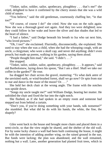"Tinker, tailor, soldier, sailor, apothecary, ploughboy . . . that's me!" she cried, delighted to have it confirmed by the cherry stones that she was a wild child of nature.

"You believe," said the old gentleman, courteously chaffing her, "in that too?"

"Of course, of course I do!" she cried. Now she was on the rails again. Now she was a thorough good sort again. And they too were delighted; now they could follow in her wake and leave the silver and dun shades that led to the heart of silence.

"I had a father," said Dodge beneath his breath to Isa who sat next him, "who loved pictures."

"Oh, I too!" she exclaimed. Flurriedly, disconnectedly, she explained. She used to stay when she was a child, when she had the whooping cough, with an uncle, a clergyman; who wore a skull cap; and never did anything; didn't even preach; but made up poems, walking in his garden, saying them aloud.

"People thought him mad," she said. "I didn't. . . ."

She stopped.

"Tinker, tailor, soldier, sailor, apothecary, ploughboy. . . . It appears," said old Bartholomew, laying down his spoon, "that I am a thief. Shall we take our coffee in the garden?" He rose.

Isa dragged her chair across the gravel, muttering: "To what dark antre of the unvisited earth, or wind-brushed forest, shall we go now? Or spin from star to star and dance in the maze of the moon? Or. . . ."

She held her deck chair at the wrong angle. The frame with the notches was upside down.

"Songs my uncle taught me?" said William Dodge, hearing her mutter. He unfolded the chair and fixed the bar into the right notch.

She flushed, as if she had spoken in an empty room and someone had stepped out from behind a curtain.

"Don't you, if you're doing something with your hands, talk nonsense?" she stumbled. But what did he do with his hands, the white, the fine, the shapely?

Giles went back to the house and brought more chairs and placed them in a semi-circle, so that the view might be shared, and the shelter of the old wall. For by some lucky chance a wall had been built continuing the house, it might be with the intention of adding another wing, on the raised ground in the sun. But funds were lacking; the plan was abandoned, and the wall remained, nothing but a wall. Later, another generation had planted fruit trees, which in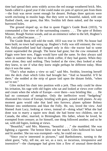time had spread their arms widely across the red orange weathered brick. Mrs. Sands called it a good year if she could make six pots of apricot jam from them —the fruit was never sweet enough for dessert. Perhaps three apricots were worth enclosing in muslin bags. But they were so beautiful, naked, with one flushed cheek, one green, that Mrs. Swithin left them naked, and the wasps burrowed holes.

The ground sloped up, so that to quote Figgis's Guide Book (1833), "it commanded a fine view of the surrounding country. . . . The spire of Bolney Minster, Rough Norton woods, and on an eminence rather to the left, Hogben's Folly, so called because. . . ."

The Guide Book still told the truth. 1833 was true in 1939. No house had been built; no town had sprung up. Hogben's Folly was still eminent; the very flat, field-parcelled land had changed only in this—the tractor had to some extent superseded the plough. The horse had gone; but the cow remained. If Figgis were here now, Figgis would have said the same. So they always said when in summer they sat there to drink coffee, if they had guests. When they were alone, they said nothing. They looked at the view; they looked at what they knew, to see if what they knew might perhaps be different today. Most days it was the same.

"That's what makes a view so sad," said Mrs. Swithin, lowering herself into the deck chair which Giles had brought her. "And so beautiful. It'll be there," she nodded at the strip of gauze laid upon the distant fields, "when we're not."

Giles nicked his chair into position with a jerk. Thus only could he show his irritation, his rage with old fogies who sat and looked at views over coffee and cream when the whole of Europe—over there—was bristling like. . . . He had no command of metaphor. Only the ineffective word "hedgehog" illustrated his vision of Europe, bristling with guns, poised with planes. At any moment guns would rake that land into furrows; planes splinter Bolney Minster into smithereens and blast the Folly. He, too, loved the view. And blamed Aunt Lucy, looking at views, instead of—doing what? What she had done was to marry a squire now dead; she had borne two children, one in Canada, the other, married, in Birmingham. His father, whom he loved, he exempted from censure; as for himself, one thing followed another; and so he sat, with old fogies, looking at views.

"Beautiful," said Mrs. Manresa, "beautiful . . ." she mumbled. She was lighting a cigarette. The breeze blew out her match. Giles hollowed his hand and lit another. She too was exempted—why, he could not say.

"Since you're interested in pictures," said Bartholomew, turning to the silent guest, "why, tell me, are we, as a race, so incurious, irresponsive and insensitive"—the champagne had given him a flow of unusual three-decker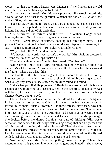words—"to that noble art, whereas, Mrs. Manresa, if she'll allow me my old man's liberty, has her Shakespeare by heart?"

"Shakespeare by heart!" Mrs. Manresa protested. She struck an attitude. "To be, or not to be, that is the question. Whether 'tis nobler . . . Go on!" she nudged Giles, who sat next her.

"Fade far away and quite forget what thou amongst the leaves hast never known . . ." Isa supplied the first words that came into her head by way of helping her husband out of his difficulty.

"The weariness, the torture, and the fret . . ." William Dodge added, burying the end of his cigarette in a grave between two stones.

"There!" Bartholomew exclaimed, cocking his forefinger aloft. "That proves it! What springs touched, what secret drawer displays its treasures, if I say"—he raised more fingers—"Reynolds! Constable! Crome!"

"Why called 'Old'?" Mrs. Manresa thrust in.

"We haven't the words—we haven't the words," Mrs. Swithin protested. "Behind the eyes; not on the lips; that's all."

"Thoughts without words," her brother mused. "Can that be?"

"Quite beyond me!" cried Mrs. Manresa, shaking her head. "Much too clever! May I help myself? I know it's wrong. But I've reached the age—and the figure—when I do what I like."

She took the little silver cream jug and let the smooth fluid curl luxuriously into her coffee, to which she added a shovel full of brown sugar candy. Sensuously, rhythmically, she stirred the mixture round and round.

"Take what you like! Help yourself!" Bartholomew exclaimed. He felt the champagne withdrawing and hastened, before the last trace of geniality was withdrawn, to make the most of it, as if he cast one last look into a lit-up chamber before going to bed.

The wild child, afloat once more on the tide of the old man's benignity, looked over her coffee cup at Giles, with whom she felt in conspiracy. A thread united them—visible, invisible, like those threads, now seen, now not, that unite trembling grass blades in autumn before the sun rises. She had met him once only, at a cricket match. And then had been spun between them an early morning thread before the twigs and leaves of real friendship emerge. She looked before she drank. Looking was part of drinking. Why waste sensation, she seemed to ask, why waste a single drop that can be pressed out of this ripe, this melting, this adorable world? Then she drank. And the air round her became threaded with sensation. Bartholomew felt it; Giles felt it. Had he been a horse, the thin brown skin would have twitched, as if a fly had settled. Isabella twitched too. Jealousy, anger pierced her skin.

"And now," said Mrs. Manresa, putting down her cup, "about this entertainment—this pageant, into which we've gone and butted"—she made it,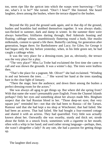too, seem ripe like the apricot into which the wasps were burrowing—"Tell me, what's it to be?" She turned. "Don't I hear?" She listened. She heard laughter, down among the bushes, where the terrace dipped to the bushes.

Beyond the lily pool the ground sank again, and in that dip of the ground, bushes and brambles had mobbed themselves together. It was always shady; sun-flecked in summer, dark and damp in winter. In the summer there were always butterflies; fritillaries darting through; Red Admirals feasting and floating; cabbage whites, unambitiously fluttering round a bush, like muslin milkmaids, content to spend a life there. Butterfly catching, for generation after generation, began there; for Bartholomew and Lucy; for Giles; for George it had began only the day before yesterday, when, in his little green net, he had caught a cabbage white.

It was the very place for a dressing-room, just as, obviously, the terrace was the very place for a play.

"The very place!" Miss La Trobe had exclaimed the first time she came to call and was shown the grounds. It was a winter's day. The trees were leafless then.

"That's the place for a pageant, Mr. Oliver!" she had exclaimed. "Winding in and out between the trees. . . ." She waved her hand at the trees standing bare in the clear light of January.

"There the stage; here the audience; and down there among the bushes a perfect dressing-room for the actors."

She was always all agog to get things up. But where did she spring from? With that name she wasn't presumably pure English. From the Channel Islands perhaps? Only her eyes and something about her always made Mrs. Bingham suspect that she had Russian blood in her. "Those deep-set eyes; that very square jaw" reminded her—not that she had been to Russia—of the Tartars. Rumour said that she had kept a tea shop at Winchester; that had failed. She had been an actress. That had failed. She had bought a four-roomed cottage and shared it with an actress. They had quarrelled. Very little was actually known about her. Outwardly she was swarthy, sturdy and thick set; strode about the fields in a smock frock; sometimes with a cigarette in her mouth; often with a whip in her hand; and used rather strong language—perhaps, then, she wasn't altogether a lady? At any rate, she had a passion for getting things up.

The laughter died away.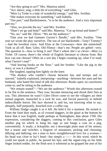"Are they going to act?" Mrs. Manresa asked.

"Act; dance; sing; a little bit of everything," said Giles.

"Miss La Trobe is a lady of wonderful energy," said Mrs. Swithin.

"She makes everyone do something," said Isabella.

"Our part," said Bartholomew, "is to be the audience. And a very important part too."

"Also, we provide the tea," said Mrs. Swithin.

"Shan't we go and help?" said Mrs. Manresa. "Cut up bread and butter?"

"No, no," said Mr. Oliver. "We are the audience."

"One year we had *Gammer Gurton's Needle*," said Mrs. Swithin. "One year we wrote the play ourselves. The son of our blacksmith—Tony? Tommy? —had the loveliest voice. And Elsie at the Crossways—how she mimicked! Took us all off. Bart; Giles; Old Flimsy—that's me. People are gifted—very. The question is—how to bring it out? That's where she's so clever—Miss La Trobe. Of course, there's the whole of English literature to choose from. But how can one choose? Often on a wet day I begin counting up; what I've read; what I haven't read."

"And leaving books on the floor," said her brother. "Like the pig in the story; or was it a donkey?"

She laughed, tapping him lightly on the knee.

"The donkey who couldn't choose between hay and turnips and so starved," Isabella explained, interposing—anything—between her aunt and her husband, who hated this kind of talk this afternoon. Books open; no conclusion come to; and he sitting in the audience.

"We remain seated"—"We are the audience." Words this afternoon ceased to lie flat in the sentence. They rose, became menacing and shook their fists at you. This afternoon he wasn't Giles Oliver come to see the villagers act their annual pageant; manacled to a rock he was, and forced passively to behold indescribable horror. His face showed it; and Isa, not knowing what to say, abruptly, half purposely, knocked over a coffee cup.

William Dodge caught it as it fell. He held it for a moment. He turned it. From the faint blue mark, as of crossed daggers, in the glaze at the bottom he knew that it was English, made perhaps at Nottingham; date about 1760. His expression, considering the daggers, coming to this conclusion, gave Giles another peg on which to hang his rage as one hangs a coat on a peg, conveniently. A toady; a lickspittle; not a downright plain man of his senses; but a teaser and twitcher; a fingerer of sensations; picking and choosing; dillying and dallying; not a man to have straightforward love for a woman his head was close to Isa's head—but simply a —— At this word, which he could not speak in public, he pursed his lips; and the signet-ring on his little finger looked redder, for the flesh next it whitened as he gripped the arm of his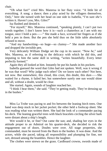chair.

"Oh what fun!" cried Mrs. Manresa in her fluty voice. "A little bit of everything. A song; a dance; then a play acted by the villagers themselves. Only," here she turned with her head on one side to Isabella, "I'm sure *she's* written it. Haven't you, Mrs. Giles?"

Isa flushed and denied it.

"For myself," Mrs. Manresa continued, "speaking plainly, I can't put two words together. I don't know how it is—such a chatterbox as I am with my tongue, once I hold a pen——" She made a face, screwed her fingers as if she held a pen in them. But the pen she held thus on the little table absolutely refused to move.

"And my handwriting—so huge—so clumsy—" She made another face and dropped the invisible pen.

Very delicately William Dodge set the cup in its saucer. "Now *he*," said Mrs. Manresa, as if referring to the delicacy with which he did this, and imputing to him the same skill in writing, "writes beautifully. Every letter perfectly formed."

Again they all looked at him. Instantly he put his hands in his pockets.

Isabella guessed the word that Giles had not spoken. Well, was it wrong if he was that word? Why judge each other? Do we know each other? Not here, not now. But somewhere, this cloud, this crust, this doubt, this dust——She waited for a rhyme, it failed her; but somewhere surely one sun would shine and all, without a doubt, would be clear.

She started. Again, sounds of laughter reached her.

"I think I hear them," she said. "They're getting ready. They're dressing up in the bushes."

Miss La Trobe was pacing to and fro between the leaning birch trees. One hand was deep stuck in her jacket pocket; the other held a foolscap sheet. She was reading what was written there. She had the look of a commander pacing his deck. The leaning graceful trees with black bracelets circling the silver bark were distant about a ship's length.

Wet would it be, or fine? Out came the sun; and, shading her eyes in the attitude proper to an Admiral on his quarter-deck, she decided to risk the engagement out of doors. Doubts were over. All stage properties, she commanded, must be moved from the Barn to the bushes. It was done. And the actors, while she paced, taking all responsibility and plumping for fine, not wet, dressed among the brambles. Hence the laughter.

The clothes were strewn on the grass. Cardboard crowns, swords made of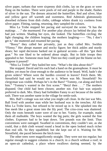silver paper, turbans that were sixpenny dish cloths, lay on the grass or were flung on the bushes. There were pools of red and purple in the shade; flashes of silver in the sun. The dresses attracted the butterflies. Red and silver, blue and yellow gave off warmth and sweetness. Red Admirals gluttonously absorbed richness from dish cloths, cabbage whites drank icy coolness from silver paper. Flitting, tasting, returning, they sampled the colours.

Miss La Trobe stopped her pacing and surveyed the scene. "It has the makings . . ." she murmured. For another play always lay behind the play she had just written. Shading her eyes, she looked. The butterflies circling; the light changing; the children leaping; the mothers laughing—— "No, I don't get it," she muttered and resumed her pacing.

"Bossy" they called her privately, just as they called Mrs. Swithin "Flimsy." Her abrupt manner and stocky figure; her thick ankles and sturdy shoes; her rapid decisions barked out in guttural accents—all this "got their goat." No one liked to be ordered about singly. But in little troops they appealed to her. Someone must lead. Then too they could put the blame on her. Suppose it poured?

"Miss La Trobe!" they hailed her now. "What's the idea about this?"

She stopped. David and Iris each had a hand on the gramophone. It must be hidden; yet must be close enough to the audience to be heard. Well, hadn't she given orders? Where were the hurdles covered in leaves? Fetch them. Mr. Streatfield had said he would see to it. Where was Mr. Streatfield? No clergyman was visible. Perhaps he's in the Barn? "Tommy, cut along and fetch him." "Tommy's wanted in the first scene." "Beryl then . . ." The mothers disputed. One child had been chosen; another not. Fair hair was unjustly preferred to dark. Mrs. Ebury had forbidden Fanny to act because of the nettlerash. There was another name in the village for nettle-rash.

Mrs. Ball's cottage was not what you might call clean. In the last war Mrs. Ball lived with another man while her husband was in the trenches. All this Miss La Trobe knew, but refused to be mixed up in it. She splashed into the fine mesh like a great stone into the lily pool. The criss-cross was shattered. Only the roots beneath water were of use to her. Vanity, for example, made them all malleable. The boys wanted the big parts; the girls wanted the fine clothes. Expenses had to be kept down. Ten pounds was the limit. Thus conventions were outraged. Swathed in conventions, they couldn't see, as she could, that a dish cloth wound round a head in the open looked much richer than real silk. So they squabbled; but she kept out of it. Waiting for Mr. Streatfield, she paced between the birch trees.

The other trees were magnificently straight. They were not too regular; but regular enough to suggest columns in a church; in a church without a roof; in an open-air cathedral, a place where swallows darting seemed, by the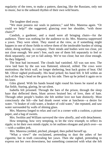regularity of the trees, to make a pattern, dancing, like the Russians, only not to music, but to the unheard rhythm of their own wild hearts.

The laughter died away.

"We must possess our souls in patience," said Mrs. Manresa again. "Or could we help?" she suggested, glancing over her shoulder, "with those chairs?"

Candish, a gardener, and a maid were all bringing chairs—for the audience. There was nothing for the audience to do. Mrs. Manresa suppressed a yawn. They were silent. They stared at the view, as if something might happen in one of those fields to relieve them of the intolerable burden of sitting silent, doing nothing, in company. Their minds and bodies were too close, yet not close enough. We aren't free, each one of them felt separately to feel or think separately, nor yet to fall asleep. We're too close; but not close enough. So they fidgeted.

The heat had increased. The clouds had vanished. All was sun now. The view laid bare by the sun was flattened, silenced, stilled. The cows were motionless; the brick wall, no longer sheltering, beat back grains of heat. Old Mr. Oliver sighed profoundly. His head jerked; his hand fell. It fell within an inch of the dog's head on the grass by his side. Then up he jerked it again on to his knee.

Giles glared. With his hands bound tight round his knees he stared at the flat fields. Staring, glaring, he sat silent.

Isabella felt prisoned. Through the bars of the prison, through the sleep haze that deflected them, blunt arrows bruised her; of love, then of hate. Through other people's bodies she felt neither love nor hate distinctly. Most consciously she felt—she had drunk sweet wine at luncheon—a desire for water. "A beaker of cold water, a beaker of cold water," she repeated, and saw water surrounded by walls of shining glass.

Mrs. Manresa longed to relax and curl in a corner with a cushion, a picture paper, and a bag of sweets.

Mrs. Swithin and William surveyed the view aloofly, and with detachment.

How tempting, how very tempting, to let the view triumph; to reflect its ripple; to let their own minds ripple; to let outlines elongate and pitch over—so —with a sudden jerk.

Mrs. Manresa yielded, pitched, plunged, then pulled herself up.

"What a view!" she exclaimed, pretending to dust the ashes of her cigarette, but in truth concealing her yawn. Then she sighed, pretending to express not her own drowsiness, but something connected with what she felt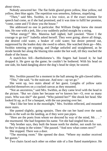about views.

Nobody answered her. The flat fields glared green yellow, blue yellow, red yellow, then blue again. The repetition was senseless, hideous, stupefying.

"Then," said Mrs. Swithin, in a low voice, as if the exact moment for speech had come, as if she had promised, and it was time to fulfil her promise, "come, come and I'll show you the house."

She addressed no one in particular. But William Dodge knew she meant him. He rose with a jerk, like a toy suddenly pulled straight by a string.

"What energy!" Mrs. Manresa half sighed, half yawned. "Have I the courage to go too?" Isabella asked herself. They were going; above all things, she desired cold water, a beaker of cold water; but desire petered out, suppressed by the leaden duty she owed to others. She watched them go—Mrs. Swithin tottering yet tripping; and Dodge unfurled and straightened, as he strode beside her along the blazing tiles under the hot wall, till they reached the shade of the house.

A match-box fell—Bartholomew's. His fingers had loosed it; he had dropped it. He gave up the game; he couldn't be bothered. With his head on one side, his hand dangling above the dog's head he slept; he snored.

Mrs. Swithin paused for a moment in the hall among the gilt-clawed tables.

"This," she said, "is the staircase. And now—up we go."

She went up, two stairs ahead of her guest. Lengths of yellow satin unfurled themselves on a cracked canvas as they mounted.

"Not an ancestress," said Mrs. Swithin, as they came level with the head in the picture. "But we claim her because we've known her—O, ever so many years. Who was she?" she gazed. "Who painted her?" She shook her head. She looked lit up, as if for a banquet, with the sun pouring over her.

"But I like her best in the moonlight," Mrs. Swithin reflected, and mounted more stairs.

She panted slightly, going upstairs. Then she ran her hand over the sunk books in the wall on the landing, as if they were pan pipes.

"Here are the poets from whom we descend by way of the mind, Mr. . . ." she murmured. She had forgotten his name. Yet she had singled him out.

"My brother says, they built the house north for shelter, not south for sun. So they're damp in the winter." She paused. "And now what comes next?"

She stopped. There was a door.

"The morning room." She opened the door. "Where my mother received her guests."

Two chairs faced each other on either side of a fine fluted mantelpiece. He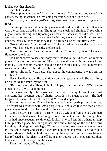looked over her shoulder.

She shut the door.

"Now up, now up again." Again they mounted. "Up and up they went," she panted, seeing, it seemed, an invisible procession, "up and up to bed."

"A bishop; a traveller;—I've forgotten even their names. I ignore. I forget."

She stopped at a window in the passage and held back the curtain. Beneath was the garden, bathed in sun. The grass was sleek and shining. Three white pigeons were flirting and tiptoeing as ornate as ladies in ball dresses. Their elegant bodies swayed as they minced with tiny steps on their little pink feet upon the grass. Suddenly, up they rose in a flutter, circled, and flew away.

"Now," she said, "for the bedrooms." She tapped twice very distinctly on a door. With her head on one side, she listened.

"One never knows," she murmured, "if there's somebody there." Then she flung open the door.

He half expected to see somebody there, naked, or half dressed, or knelt in prayer. But the room was empty. The room was tidy as a pin, not slept in for months, a spare room. Candles stood on the dressing-table. The counterpane was straight. Mrs. Swithin stopped by the bed.

"Here," she said, "yes, here," she tapped the counterpane, "I was born. In this bed."

Her voice died away. She sank down on the edge of the bed. She was tired, no doubt, by the stairs, by the heat.

"But we have other lives, I think, I hope," she murmured. "We live in others, Mr. . . . We live in things."

She spoke simply. She spoke with an effort. She spoke as if she must overcome her tiredness out of charity towards a stranger, a guest. She had forgotten his name. Twice she had said "Mr." and stopped.

The furniture was mid-Victorian, bought at Maples, perhaps, in the forties. The carpet was covered with small purple dots. And a white circle marked the place where the slop pail had stood by the washstand.

Could he say "I'm William"? He wished to. Old and frail she had climbed the stairs. She had spoken her thoughts, ignoring, not caring if he thought her, as he had, inconsequent, sentimental, foolish. She had lent him a hand to help him up a steep place. She had guessed his trouble. Sitting on the bed he heard her sing, swinging her little legs, "Come and see my sea weeds, come and see my sea shells, come and see my dicky bird hop upon its perch"—an old child's nursery rhyme to help a child. Standing by the cupboard in the corner he saw her reflected in the glass. Cut off from their bodies, their eyes smiled, their bodiless eyes, at their eyes in the glass.

Then she slipped off the bed.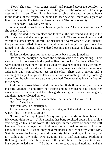"Now," she said, "what comes next?" and pattered down the corridor. A door stood open. Everyone was out in the garden. The room was like a ship deserted by its crew. The children had been playing—there was a spotted horse in the middle of the carpet. The nurse had been sewing—there was a piece of linen on the table. The baby had been in the cot. The cot was empty.

"The nursery," said Mrs. Swithin.

Words raised themselves and became symbolical. "The cradle of our race," she seemed to say.

Dodge crossed to the fireplace and looked at the Newfoundland Dog in the Christmas Annual that was pinned to the wall. The room smelt warm and sweet; of clothes drying; of milk; of biscuits and warm water. "Good Friends" the picture was called. A rushing sound came in through the open door. He turned. The old woman had wandered out into the passage and leant against the window.

He left the door open for the crew to come back to and joined her.

Down in the courtyard beneath the window cars were assembling. Their narrow black roofs were laid together like the blocks of a floor. Chauffeurs were jumping down; here old ladies gingerly advanced black legs with silverbuckled shoes; old men striped trousers. Young men in shorts leapt out on one side; girls with skin-coloured legs on the other. There was a purring and a churning of the yellow gravel. The audience was assembling. But they, looking down from the window, were truants, detached. Together they leant half out of the window.

And then a breeze blew and all the muslin blinds fluttered out, as if some majestic goddess, rising from her throne among her peers, had tossed her amber-coloured raiment, and the other gods, seeing her rise and go, laughed, and their laughter floated her on.

Mrs. Swithin put her hands to her hair, for the breeze had ruffled it.

"Mr. . . ." she began.

"I'm William," he interrupted.

At that she smiled a ravishing girl's smile, as if the wind had warmed the wintry blue in her eyes to amber.

"I took you," she apologized, "away from your friends, William, because I felt wound tight here. . . ." She touched her bony forehead upon which a blue vein wriggled like a blue worm. But her eyes in their caves of bone were still lambent. He saw her eyes only. And he wished to kneel before her, to kiss her hand, and to say: "At school they held me under a bucket of dirty water, Mrs. Swithin; when I looked up, the world was dirty, Mrs. Swithin; so I married; but my child's not my child, Mrs. Swithin. I'm a half-man, Mrs. Swithin; a flickering, mind-divided little snake in the grass, Mrs. Swithin; as Giles saw; but you've healed me. . . ." So he wished to say; but said nothing; and the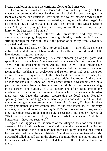breeze went lolloping along the corridors, blowing the blinds out.

Once more he looked and she looked down on to the yellow gravel that made a crescent round the door. Pendant from her chain her cross swung as she leant out and the sun struck it. How could she weight herself down by that sleek symbol? How stamp herself, so volatile, so vagrant, with that image? As he looked at it, they were truants no more. The purring of the wheels became vocal. "Hurry, hurry, hurry," it seemed to say, "or you'll be late. Hurry, hurry, hurry, or the best seats'll be taken."

"O," cried Mrs. Swithin, "there's Mr. Streatfield!" And they saw a clergyman, a strapping clergyman, carrying a hurdle, a leafy hurdle. He was striding through the cars with the air of a person of authority, who is awaited, expected, and now comes.

"Is it time," said Mrs. Swithin, "to go and join——" She left the sentence unfinished, as if she were of two minds, and they fluttered to right and to left, like pigeons rising from the grass.

The audience was assembling. They came streaming along the paths and spreading across the lawn. Some were old; some were in the prime of life. There were children among them. Among them, as Mr. Figgis might have observed, were representatives of our most respected families—the Dyces of Denton; the Wickhams of Owlswick; and so on. Some had been there for centuries, never selling an acre. On the other hand there were new-comers, the Manresas, bringing the old houses up to date, adding bathrooms. And a scatter of odds and ends, like Cobbet of Cobbs Corner, retired, it was understood, on a pension from a tea plantation. Not an asset. He did his own housework and dug in his garden. The building of a car factory and of an aerodrome in the neighbourhood had attracted a number of unattached floating residents. Also there was Mr. Page, the reporter, representing the local paper. Roughly speaking, however, had Figgis been there in person and called a roll call, half the ladies and gentlemen present would have said: "*Adsum*; I'm here, in place of my grandfather or great-grandfather," as the case might be. At this very moment, half-past three on a June day in 1939 they greeted each other, and as they took their seats, finding if possible a seat next one another, they said: "That hideous new house at Pyes Corner! What an eyesore! And those bungalows!—have you seen 'em?"

Again, had Figgis called the names of the villagers, they too would have answered. Mrs. Sands was born Iliffe; Candish's mother was one of the Perrys. The green mounds in the churchyard had been cast up by their molings, which for centuries had made the earth friable. True, there were absentees when Mr. Streatfield called his roll call in the church. The motor bike, the motor bus, and the movies—when Mr. Streatfield called his roll call, he laid the blame on them.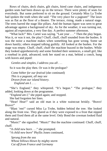Rows of chairs, deck chairs, gilt chairs, hired cane chairs, and indigenous garden seats had been drawn up on the terrace. There were plenty of seats for everybody. But some preferred to sit on the ground. Certainly Miss La Trobe had spoken the truth when she said: "The very place for a pageant!" The lawn was as flat as the floor of a theatre. The terrace, rising, made a natural stage. The trees barred the stage like pillars. And the human figure was seen to great advantage against a background of sky. As for the weather, it was turning out, against all expectation, a very fine day. A perfect summer afternoon.

"What luck!" Mrs. Carter was saying. "Last year . . ." Then the play began. Was it, or was it not, the play? Chuff, chuff, chuff sounded from the bushes. It was the noise a machine makes when something has gone wrong. Some sat down hastily; others stopped talking guiltily. All looked at the bushes. For the stage was empty. Chuff, chuff, chuff the machine buzzed in the bushes. While they looked apprehensively and some finished their sentences, a small girl, like a rosebud in pink, advanced; took her stand on a mat, behind a conch, hung with leaves and piped:

*Gentles and simples, I address you all . . .*

So it was the play then. Or was it the prologue?

*Come hither for our festival* (she continued) *This is a pageant, all may see Drawn from our island history. England am I. . . .*

"She's England," they whispered. "It's begun." "The prologue," they added, looking down at the programme.

"*England am I*," she piped again; and stopped.

She had forgotten her lines.

"Hear! Hear!" said an old man in a white waistcoat briskly. "Bravo! Bravo!"

"Blast 'em!" cursed Miss La Trobe, hidden behind the tree. She looked along the front row. They glared as if they were exposed to a frost that nipped them and fixed them all at the same level. Only Bond the cowman looked fluid and natural.

"Music!" she signalled. "Music!" But the machine continued: Chuff, chuff, chuff.

"*A child new born . . .*" she prompted.

"*A child new born*" Phyllis Jones continued,

*Sprung from the sea Whose billows blown by mighty storm Cut off from France and Germany*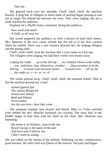*This isle.*

She glanced back over her shoulder. Chuff, chuff, chuff, the machine buzzed. A long line of villagers in shirts made of sacking began passing in and out in single file behind her between the trees. They were singing, but not a word reached the audience.

*England am I*, Phyllis Jones continued, facing the audience,

*Now weak and small A child, as all may see . . .*

Her words peppered the audience as with a shower of hard little stones. Mrs. Manresa in the very centre smiled; but she felt as if her skin cracked when she smiled. There was a vast vacancy between her, the singing villagers and the piping child.

Chuff, chuff, chuff, went the machine like a corn-cutter on a hot day. The villagers were singing, but half their words were blown away.

*Cutting the roads . . . up to the hill top . . . we climbed. Down in the valley . . . sow, wild boar, hog, rhinoceros, reindeer . . . Dug ourselves in to the hill top . . . Ground roots between stones . . . Ground corn . . . till we too . . . lay under g—r—o—u—n—d . . .*

The words petered away. Chuff, chuff, chuff, the machine ticked. Then at last the machine ground out a tune!

*Armed against fate The valiant Rhoderick Armed and valiant Bold and blatant Firm elatant See the warriors—here they come . . .*

The pompous popular tune brayed and blared. Miss La Trobe watched from behind the tree. Muscles loosened; ice cracked. The stout lady in the middle began to beat time with her hand on her chair. Mrs. Manresa was humming:

My home is at Windsor, close to the Inn. Royal George is the name of the pub. And boys you'll believe me, I don't want no asking . . .

She was afloat on the stream of the melody. Radiating royalty, complacency, good humour, the wild child was Queen of the festival. The play had begun.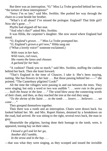But there was an interruption. "O," Miss La Trobe growled behind her tree, "the torture of these interruptions!"

"Sorry I'm so late," said Mrs. Swithin. She pushed her way through the chairs to a seat beside her brother.

"What's it all about? I've missed the prologue. England? That little girl? Now she's gone . . ."

Phyllis had slipped off her mat.

"And who's this?" asked Mrs. Swithin.

It was Hilda, the carpenter's daughter. She now stood where England had stood.

"*O, England's grown . . .*" Miss La Trobe prompted her.

"*O, England's grown a girl now*," Hilda sang out

("What a lovely voice!" someone exclaimed.)

*With roses in her hair, Wild roses, red roses, She roams the lanes and chooses A garland for her hair.*

"A cushion? Thank you so much," said Mrs. Swithin, stuffing the cushion behind her back. Then she leant forward.

"That's England in the time of Chaucer, I take it. She's been maying, nutting. She has flowers in her hair . . . But those passing behind her——" she pointed. "The Canterbury pilgrims? Look!"

All the time the villagers were passing in and out between the trees. They were singing; but only a word or two was audible "*. . . wore ruts in the grass . . . built the house in the lane . . .*" The wind blew away the connecting words of their chant, and then, as they reached the tree at the end they sang:

"To the shrine of the Saint . . . to the tomb . . . lovers . . . believers . . . we *come . . .*"

They grouped themselves together.

Then there was a rustle and an interruption. Chairs were drawn back. Isa looked behind her. Mr. and Mrs. Rupert Haines, detained by a breakdown on the road, had arrived. He was sitting to the right, several rows back, the man in grey.

Meanwhile the pilgrims, having done their homage to the tomb, were, it appeared, tossing hay on their rakes.

*I kissed a girl and let her go, Another did I tumble, In the straw and in the hay . . .*

—that was what they were singing, as they scooped and tossed the invisible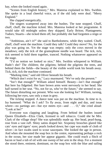hay, when she looked round again.

"Scenes from English history," Mrs. Manresa explained to Mrs. Swithin. She spoke in a loud cheerful voice, as if the old lady were deaf. "Merry England."

She clapped energetically.

The singers scampered away into the bushes. The tune stopped. Chuff, chuff, chuff, the machine ticked. Mrs. Manresa looked at her programme. It would take till midnight unless they skipped. Early Briton; Plantagenets; Tudors; Stuarts—she ticked them off, but probably she had forgotten a reign or two.

"Ambitious, ain't it?" she said to Bartholomew, while they waited. Chuff, chuff, chuff went the machine. Could they talk? Could they move? No, for the play was going on. Yet the stage was empty; only the cows moved in the meadows; only the tick of the gramophone needle was heard. The tick, tick, tick seemed to hold them together, tranced. Nothing whatsoever appeared on the stage.

"I'd no notion we looked so nice," Mrs. Swithin whispered to William. Hadn't she? The children; the pilgrims; behind the pilgrims the trees, and behind them the fields—the beauty of the visible world took his breath away. Tick, tick, tick the machine continued.

"Marking time," said old Oliver beneath his breath.

"Which don't exist for us," Lucy murmured. "We've only the present."

"Isn't that enough?" William asked himself. Beauty—isn't that enough? But here Isa fidgetted. Her bare brown arms went nervously to her head. She half turned in her seat. "No, not for us, who've the future," she seemed to say. The future disturbing our present. Who was she looking for? William, turning, following her eyes, saw only a man in grey.

The ticking stopped. A dance tune was put on the machine. In time to it, Isa hummed: "What do I ask? To fly away, from night and day, and issue where—no partings are—but eye meets eye—and . . . O," she cried aloud: "Look at her!"

Everyone was clapping and laughing. From behind the bushes issued Queen Elizabeth—Eliza Clark, licensed to sell tobacco. Could she be Mrs. Clark of the village shop? She was splendidly made up. Her head, pearl-hung, rose from a vast ruff. Shiny satins draped her. Sixpenny brooches glared like cats' eyes and tigers' eyes; pearls looked down; her cape was made of cloth of silver—in fact swabs used to scour saucepans. She looked the age in person. And when she mounted the soap box in the centre, representing perhaps a rock in the ocean, her size made her appear gigantic. She could reach a flitch of bacon or haul a tub of oil with one sweep of her arm in the shop. For a moment she stood there, eminent, dominant, on the soap box with the blue and sailing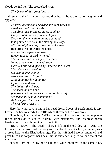clouds behind her. The breeze had risen.

*The Queen of this great land . . .*

—those were the first words that could be heard above the roar of laughter and applause.

*Mistress of ships and bearded men* (she bawled) *Hawkins, Frobisher, Drake, Tumbling their oranges, ingots of silver, Cargoes of diamonds, ducats of gold, Down on the jetty, there in the west land,—* (she pointed her fist at the blazing blue sky) *Mistress of pinnacles, spires and palaces—* (her arm swept towards the house) *For me Shakespeare sang—* (a cow mooed. A bird twittered) *The throstle, the mavis* (she continued) *In the green wood, the wild wood, Carolled and sang, praising England, the Queen, Then there was heard too On granite and cobble From Windsor to Oxford Loud laughter, low laughter Of warrior and lover, The fighter, the singer. The ashen haired babe* (she stretched out her swarthy, muscular arm) *Stretched his arm in contentment As home from the Isles came The seafaring men. . . .*

Here the wind gave a tug at her head dress. Loops of pearls made it topheavy. She had to steady the ruffle which threatened to blow away.

"Laughter, loud laughter," Giles muttered. The tune on the gramophone reeled from side to side as if drunk with merriment. Mrs. Manresa began beating her foot and humming in time to it.

"Bravo! Bravo!" she cried. "There's life in the old dog yet!" And she trolloped out the words of the song with an abandonment which, if vulgar, was a great help to the Elizabethan age. For the ruff had become unpinned and great Eliza had forgotten her lines. But the audience laughed so loud that it did not matter.

"I fear I am not in my perfect mind," Giles muttered to the same tune.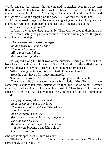Words came to the surface—he remembered "a stricken deer in whose lean flank the world's harsh scorn has struck its thorn. . . . Exiled from its festival, the music turned ironical. . . . A churchyard haunter at whom the owl hoots and the ivy mocks tap-tap-tapping on the pane.  $\ldots$  For they are dead, and  $\ldots$  I . . . I," he repeated, forgetting the words, and glaring at his Aunt Lucy who sat craned forward, her mouth gaping, and her bony little hands clapping.

What were they laughing at?

At Albert, the village idiot, apparently. There was no need to dress him up. There he came, acting his part to perfection. He came ambling across the grass, mopping and mowing.

*I know where the tit nests*, he began *In the hedgerow. I know, I know— What don't I know? All your secrets, ladies, And yours too, gentlemen . . .*

He skipped along the front row of the audience, leering at each in turn. Now he was picking and plucking at Great Eliza's skirts. She cuffed him on the ear. He tweaked her back. He was enjoying himself immensely.

"Albert having the time of his life," Bartholomew muttered.

"Hope he don't have a fit," Lucy murmured.

"*I know . . . I know . . .*" Albert tittered, skipping round the soap box.

"The village idiot," whispered a stout black lady—Mrs. Elmhurst—who came from a village ten miles distant where they, too, had an idiot. It wasn't nice. Suppose he suddenly did something dreadful? There he was pinching the Queen's skirts. She half covered her eyes, in case he did do—something dreadful.

*Hoppety, jiggety*, Albert resumed, *In at the window, out at the door, What does the little bird hear?* (he whistled on his fingers.) *And see! There's a mouse. . . .* (he made as if chasing it through the grass) *Now the clock strikes!* (he stood erect, puffing out his cheeks as if he were blowing a dandelion clock) *One, two, three, four. . . .*

And off he skipped, as if his turn was over.

"Glad that's over," said Mrs. Elmhurst, uncovering her face. "Now what comes next? A tableau. . . ?"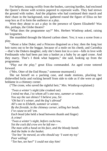For helpers, issuing swiftly from the bushes, carrying hurdles, had enclosed the Queen's throne with screens papered to represent walls. They had strewn the ground with rushes. And the pilgrims who had continued their march and their chant in the background, now gathered round the figure of Eliza on her soap box as if to form the audience at a play.

Were they about to act a play in the presence of Queen Elizabeth? Was this, perhaps, the Globe theatre?

"What does the programme say?" Mrs. Herbert Winthrop asked, raising her lorgnettes.

She mumbled through the blurred carbon sheet. Yes; it was a scene from a play.

"About a false Duke; and a Princess disguised as a boy; then the long lost heir turns out to be the beggar, because of a mole on his cheek; and Carinthia —that's the Dukers daughter, only she's been lost in a cave—falls in love with Ferdinando who had been put into a basket as a baby by an aged crone. And they marry. That's I think what happens," she said, looking up from the programme.

"*Play out the play*," great Eliza commanded. An aged crone tottered forward.

("Mrs. Otter of the End House," someone murmured.)

She sat herself on a packing case, and made motions, plucking her dishevelled locks and rocking herself from side to side as if she were an aged beldame in a chimney corner.

("The crone, who saved the rightful heir," Mrs. Winthrop explained.)

*'Twas a winter's night* (she croaked out) *I mind me that, I to whom all's one now, summer or winter. You say the sun shines? I believe you, Sir.* '*Oh but it's winter, and the fog's abroad*' *All's one to Elsbeth, summer or winter, By the fireside, in the chimney corner, telling her beads. I've cause to tell 'em. Each bead* (she held a bead between thumb and finger) *A crime! 'Twas a winter's night, before cockcrow, Yet the cock did crow ere he left me— The man with a hood on his face, and the bloody hands And the babe in the basket. 'Tee hee' he mewed, as who should say 'I want my toy' Poor witling!* "*Tee hee, tee hee!*" *I could not slay him!*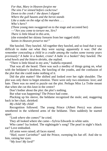*For that, Mary in Heaven forgive me The sins I've sinned before cockcrow! Down to the creek i' the dawn I slipped Where the gull haunts and the heron stands Like a stake on the edge of the marshes . . . Who's here?* (Three young men swaggered on to the stage and accosted her) —"*Are you come to torture me, Sirs? There is little blood in this arm,* (she extended her skinny forearm from her ragged shift) *Saints in Heaven preserve me!"*

She bawled. They bawled. All together they bawled, and so loud that it was difficult to make out what they were saying: apparently it was: *Did she remember concealing a child in a cradle among the rushes some twenty years previously? A babe in a basket, crone! A babe in a basket?* they bawled. *The wind howls and the bittern shrieks*, she replied.

"There is little blood in my arm," Isabella repeated.

That was all she heard. There was such a medley of things going on, what with the beldame's deafness, the bawling of the youths, and the confusion of the plot that she could make nothing of it.

Did the plot matter? She shifted and looked over her right shoulder. The plot was only there to beget emotion. There were only two emotions: love; and hate. There was no need to puzzle out the plot. Perhaps Miss La Trobe meant that when she cut this knot in the centre?

Don't bother about the plot: the plot's nothing.

But what was happening? The Prince had come.

Plucking up his sleeve, the beldame recognized the mole; and, staggering back in her chair, shrieked:

*My child! My child!*

Recognition followed. The young Prince (Albert Perry) was almost smothered in the withered arms of the beldame. Then suddenly he started apart.

"*Look where she comes!*" he cried.

They all looked where she came—Sylvia Edwards in white satin.

Who came? Isa looked. The nightingale's song? The pearl in night's black ear? Love embodied.

All arms were raised; all faces stared.

"*Hail, sweet Carinthia!*" said the Prince, sweeping his hat off. And she to him, raising her eyes:

"*My love! My lord!*"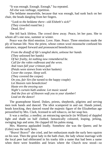"It was enough. Enough. Enough," Isa repeated.

All else was verbiage, repetition.

The beldame meanwhile, because that was enough, had sunk back on her chair, the beads dangling from her fingers.

"*Look to the beldame there—old Elsbeth's sick!*" (They crowded round her.) *Dead, Sirs!*

She fell back lifeless. The crowd drew away. Peace, let her pass. She to whom all's one now, summer or winter.

Peace was the third emotion. Love. Hate. Peace. Three emotions made the ply of human life. Now the priest, whose cotton wool moustache confused his utterance, stepped forward and pronounced benediction.

*From the distaff of life's tangled skein, unloose her hands* (They unloosed her hands) *Of her frailty, let nothing now remembered be. Call for the robin redbreast and the wren. And roses fall your crimson pall.* (Petals were strewn from wicker baskets) *Cover the corpse. Sleep well.* (They covered the corpse) *On you, fair Sirs* (he turned to the happy couple) *Let Heaven rain benediction! Haste ere the envying sun Night's curtain hath undone. Let music sound And the free air of Heaven waft you to your slumber! Lead on the dance!*

The gramophone blared. Dukes, priests, shepherds, pilgrims and serving men took hands and danced. The idiot scampered in and out. Hands joined, heads knocking, they danced round the majestic figure of the Elizabethan age personified by Mrs. Clark, licensed to sell tobacco, on her soap box.

It was a mellay; a medley; an entrancing spectacle (to William) of dappled light and shade on half clothed, fantastically coloured, leaping, jerking, swinging legs and arms. He clapped till his palms stung.

Mrs. Manresa applauded loudly. Somehow she was the Queen; and he (Giles) was the surly hero.

"Bravo! Bravo!" she cried, and her enthusiasm made the surly hero squirm on his seat. Then the great lady in the bath chair, the lady whose marriage with the local peer had obliterated in his trashy title a name that had been a name when there were brambles and briars where the Church now stood—so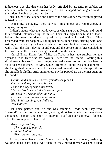indigenous was she that even her body, crippled by arthritis, resembled an uncouth, nocturnal animal, now nearly extinct—clapped and laughed loud the sudden laughter of a startled jay.

"Ha, ha, ha!" she laughed and clutched the arms of her chair with ungloved twisted hands.

"A-maying, a-maying," they bawled. "In and out and round about, amaying, a-maying. . . ."

It didn't matter what the words were; or who sang what. Round and round they whirled, intoxicated by the music. Then, at a sign from Miss La Trobe behind the tree, the dance stopped. A procession formed. Great Eliza descended from her soap box. Taking her skirts in her hand, striding with long strides, surrounded by Dukes and Princes, followed by the lovers arm in arm, with Albert the idiot playing in and out, and the corpse on its bier concluding the procession, the Elizabethan age passed from the scene.

"Curse! Blast! Damn 'em!" Miss La Trobe in her rage stubbed her toe against a root. Here was her downfall; here was the Interval. Writing this skimble-skamble stuff in her cottage, she had agreed to cut the play here; a slave to her audience,—to Mrs. Sands' grumble—about tea; about dinner; she had gashed the scene here. Just as she had brewed emotion, she spilt it. So she signalled: Phyllis! And, summoned, Phyllis popped up on the mat again in the middle.

*Gentles and simples, I address you all* (she piped.) *Our act is done, our scene is over. Past is the day of crone and lover. The bud has flowered; the flower has fallen. But soon will rise another dawning, For time whose children small we be Hath in his keeping, you shall see, You shall see. . . .*

Her voice petered out. No one was listening. Heads bent, they read "Interval" on the programme. And, cutting short her words, the megaphone announced in plain English: "An interval." Half an hour's interval, for tea. Then the gramophone blared out:

*Armed against fate, The valiant Rhoderick, Bold and blatant, Firm, elatant, etc., etc.*

At that, the audience stirred. Some rose briskly; others stooped, retrieving walking-sticks, hats, bags. And then, as they raised themselves and turned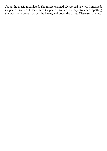about, the music modulated. The music chanted: *Dispersed are we*. It moaned: *Dispersed are we*. It lamented: *Dispersed are we*, as they streamed, spotting the grass with colour, across the lawns, and down the paths: *Dispersed are we*.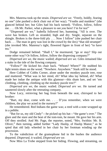Mrs. Manresa took up the strain. *Dispersed are we.* "Freely, boldly, fearing no one" (she pushed a deck chair out of her way). "Youths and maidens" (she glanced behind her; but Giles had his back turned). "Follow, follow, follow me. . . . Oh Mr. Parker, what a pleasure to see *you* here! I'm for tea!"

"Dispersed are we," Isabella followed her, humming. "All is over. The wave has broken. Left us stranded, high and dry. Single, separate on the shingle. Broken is the three-fold ply . . . Now I follow" (she pushed her chair back . . . The man in grey was lost in the crowd by the ilex) "that old strumpet" (she invoked Mrs. Manresa's tight, flowered figure in front of her) "to have tea."

Dodge remained behind. "Shall I," he murmured, "go or stay? Slip out some other way? Or follow, follow, follow the dispersing company?"

*Dispersed are we*, the music wailed; *dispersed are we*. Giles remained like a stake in the tide of the flowing company.

"Follow?" He kicked his chair back. "Whom? Where?" He stubbed his light tennis shoes on the wood. "Nowhere. Anywhere." Stark still he stood.

Here Cobbet of Cobbs Corner, alone under the monkey puzzle tree, rose and muttered: "What was in her mind, eh? What idea lay behind, eh? What made her indue the antique with this glamour—this sham lure, and set 'em climbing, climbing, climbing up the monkey puzzle tree?"

*Dispersed are we*, the music wailed. *Dispersed are we.* He turned and sauntered slowly after the retreating company.

Now Lucy, retrieving her bag from beneath the seat, chirruped to her brother:

"Bart, my dear, come with me. . . . D'you remember, when we were children, the play we acted in the nursery?"

He remembered. Red Indians the game was; a reed with a note wrapped up in a pebble.

"But for us, my old Cindy"—he picked up his hat—"the game's over." The glare and the stare and the beat of the tom-tom, he meant. He gave her his arm. Off they strolled. And Mr. Page, the reporter, noted, "Mrs. Swithin: Mr. B. Oliver," then turning, added further "Lady Haslip, of Haslip Manor," as he spied that old lady wheeled in her chair by her footman winding up the procession.

To the valediction of the gramophone hid in the bushes the audience departed. *Dispersed*, it wailed, *Dispersed are we*.

Now Miss La Trobe stepped from her hiding. Flowing, and streaming, on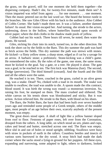the grass, on the gravel, still for one moment she held them together—the dispersing company. Hadn't she, for twenty-five minutes, made them see? A vision imparted was relief from agony . . . for one moment . . . one moment. Then the music petered out on the last word *we*. She heard the breeze rustle in the branches. She saw Giles Oliver with his back to the audience. Also Cobbet of Cobbs Corner. She hadn't made them see. It was a failure, another damned failure! As usual. Her vision escaped her. And turning, she strode to the actors, undressing, down in the hollow, where butterflies feasted upon swords of silver paper; where the dish cloths in the shadow made pools of yellow.

Cobbet had out his watch. Three hours till seven, he noted; then water the plants. He turned.

Giles, nicking his chair into its notch, turned too, in the other direction. He took the short cut by the fields to the Barn. This dry summer the path was hard as brick across the fields. This dry summer the path was strewn with stones. He kicked—a flinty yellow stone, a sharp stone, edged as if cut by a savage for an arrow. A barbaric stone; a prehistoric. Stone-kicking was a child's game. He remembered the rules. By the rules of the game, one stone, the same stone, must be kicked to the goal. Say a gate, or a tree. He played it alone. The gate was a goal; to be reached in ten. The first kick was Manresa (lust). The second, Dodge (perversion). The third himself (coward). And the fourth and the fifth and all the others were the same.

He reached it in ten. There, couched in the grass, curled in an olive green ring, was a snake. Dead? No, choked with a toad in its mouth. The snake was unable to swallow; the toad was unable to die. A spasm made the ribs contract; blood oozed. It was birth the wrong way round—a monstrous inversion. So, raising his foot, he stamped on them. The mass crushed and slithered. The white canvas on his tennis shoes was bloodstained and sticky. But it was action. Action relieved him. He strode to the Barn, with blood on his shoes.

The Barn, the Noble Barn, the barn that had been built over seven hundred years ago and reminded some people of a Greek temple, others of the middle ages, most people of an age before their own, scarcely anybody of the present moment, was empty.

The great doors stood open. A shaft of light like a yellow banner sloped from roof to floor. Festoons of paper roses, left over from the Coronation, drooped from the rafters. A long table, on which stood an urn, plates and cups, cakes and bread and butter, stretched across one end. The Barn was empty. Mice slid in and out of holes or stood upright, nibbling. Swallows were busy with straw in pockets of earth in the rafters. Countless beetles and insects of various sorts burrowed in the dry wood. A stray bitch had made the dark corner where the sacks stood a lying-in ground for her puppies. All these eyes, expanding and narrowing, some adapted to light, others to darkness, looked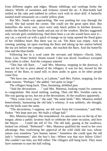from different angles and edges. Minute nibblings and rustlings broke the silence. Whiffs of sweetness and richness veined the air. A blue-bottle had settled on the cake and stabbed its yellow rock with its short drill. A butterfly sunned itself sensuously on a sunlit yellow plate.

But Mrs. Sands was approaching. She was pushing her way through the crowd. She had turned the corner. She could see the great open door. But butterflies she never saw; mice were only black pellets in kitchen drawers; moths she bundled in her hands and put out of the window. Bitches suggested only servant girls misbehaving. Had there been a cat she would have seen it any cat, a starved cat with a patch of mange on its rump opened the flood gates of her childless heart. But there was no cat. The Barn was empty. And so running, panting, set upon reaching the Barn and taking up her station behind the tea urn before the company came, she reached the Barn. And the butterfly rose and the blue-bottle.

Following her in a scud came the servants and helpers—David, John, Irene, Lois. Water boiled. Steam issued. Cake was sliced. Swallows swooped from rafter to rafter. And the company entered.

"This fine old Barn . . ." said Mrs. Manresa, stopping in the doorway. It was not for her to press ahead of the villagers. It was for her, moved by the beauty of the Barn, to stand still; to draw aside; to gaze; to let other people come first.

"We have one, much like it, at Lathom," said Mrs. Parker, stopping, for the same reasons. "Perhaps," she added, "not quite so large."

The villagers hung back. Then, hesitating, dribbled past.

"And the decorations . . ." said Mrs. Manresa, looking round for someone to congratulate. She stood smiling, waiting. Then old Mrs. Swithin came in. She was gazing up too, but not at the decorations. At the swallows apparently.

"They come every year," she said, "the same birds." Mrs. Manresa smiled benevolently, humouring the old lady's whimsy. It was unlikely, she thought, that the birds were the same.

"The decorations, I suppose, are left over from the Coronation," said Mrs. Parker. "We kept ours too. We built a village hall."

Mrs. Manresa laughed. She remembered. An anecdote was on the tip of her tongue, about a public lavatory built to celebrate the same occasion, and how the Mayor . . . Could she tell it? No. The old lady, gazing at the swallows, looked too refined. "Refeened"—Mrs. Manresa qualified the word to her own advantage, thus confirming her approval of the wild child she was, whose nature was somehow "just human nature." Somehow she could span the old lady's "refeenment," also the boy's fun—Where was that nice fellow Giles? She couldn't see him; nor Bill either. The villagers still hung back. They must have someone to start the ball rolling.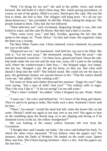"Well, I'm dying for my tea!" she said in her public voice; and strode forward. She laid hold of a thick china mug. Mrs. Sands giving precedence, of course, to one of the gentry, filled it at once. David gave her cake. She was the first to drink, the first to bite. The villagers still hung back. "It's all my eye about democracy," she concluded. So did Mrs. Parker, taking her mug too. The people looked to them. They led; the rest followed.

"What delicious tea!" each exclaimed, disgusting though it was, like rust boiled in water, and the cake fly-blown. But they had a duty to society.

"They come every year," said Mrs. Swithin, ignoring the fact that she spoke to the empty air. "From Africa." As they had come, she supposed, when the Barn was a swamp.

The Barn filled. Fumes rose. China clattered; voices chattered. Isa pressed her way to the table.

"Dispersed are we," she murmured. And held her cup out to be filled. She took it. "Let me turn away," she murmured, turning, "from the array"—she looked desolately round her—"of china faces, glazed and hard. Down the ride, that leads under the nut tree and the may tree, away, till I come to the wishing well, where the washerwoman's little boy—" she dropped sugar, two lumps, into her tea, "dropped a pin. He got his horse, so they say. But what wish should I drop into the well?" She looked round. She could not see the man in grey, the gentleman farmer; nor anyone known to her. "That the waters should cover me," she added, "of the wishing well."

The noise of china and chatter drowned her murmur. "Sugar for you?" they were saying. "Just a spot of milk? And you?" "Tea without milk or sugar. That's the way I like it." "A bit too strong? Let me add water."

"That's what I wished," Isa added, "when I dropped my pin. Water. Water . . ."

"I must say," the voice said behind her, "it's brave of the King and Queen. They're said to be going to India. She looks such a dear. Someone I know said his hair. . . ."

"There," Isa mused, "would the dead leaf fall, when the leaves fall, on the water. Should I mind not again to see may tree or nut tree? Not again to hear on the trembling spray the thrush sing, or to see, dipping and diving as if he skimmed waves in the air, the yellow woodpecker?"

She was looking at the canary yellow festoons left over from the Coronation.

"I thought they said Canada, not India," the voice said behind her back. To which the other voice answered: "D'you believe what the papers say? For instance, about the Duke of Windsor. He landed on the south coast. Queen Mary met him. She'd been buying furniture—that's a fact. And the papers say she met him . . ."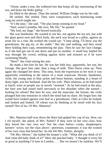"Alone, under a tree, the withered tree that keeps all day murmuring of the sea, and hears the Rider gallop . . ."

Isa filled in the phrase. Then she started. William Dodge was by her side.

He smiled. She smiled. They were conspirators; each murmuring some song my uncle taught me.

"It's the play," she said. "The play keeps running in my head."

"Hail, sweet Carinthia. My love. My life," he quoted.

"My lord, my liege," she bowed ironically.

She was handsome. He wanted to see her, not against the tea urn, but with her glass green eyes and thick body, the neck was broad as a pillar, against an arum lily or a vine. He wished she would say: "Come along. I'll show you the greenhouse, the pig sty, or the stable." But she said nothing, and they stood there holding their cups, remembering the play. Then he saw her face change, as if she had got out of one dress and put on another. A small boy battled his way through the crowd, striking against skirts and trousers as if he were swimming blindly.

"Here!" she cried raising her arm.

He made a bee-line for her. He was her little boy, apparently, her son, her George. She gave him cake; then a mug of milk. Then Nurse came up. Then again she changed her dress. This time, from the expression in her eyes it was apparently something in the nature of a strait waistcoat. Hirsute, handsome, virile, the young man in blue jacket and brass buttons, standing in a beam of dusty light, was her husband. And she his wife. Their relations, as he had noted at lunch, were as people say in novels "strained." As he had noted at the play, her bare arm had raised itself nervously to her shoulder when she turned looking for whom? But here he was; and the muscular, the hirsute, the virile plunged him into emotions in which the mind had no share. He forgot how she would have looked against vine leaf in a greenhouse. Only at Giles he looked; and looked and looked. Of whom was he thinking as he stood with his face turned? Not of Isa. Of Mrs. Manresa?

Mrs. Manresa half-way down the Barn had gulped her cup of tea. How can I rid myself, she asked, of Mrs. Parker? If they were of her own class, how they bored her—her own sex! Not the class below—cooks, shopkeepers, farmers' wives; nor the class above—peeresses, countesses; it was the women of her own class that bored her. So she left Mrs. Parker, abruptly.

"Oh Mrs. Moore," she hailed the keeper's wife. "What did you think of it? And what did baby think of it?" Here she pinched baby. "I thought it every bit as good as anything I'd seen in London. . . . But we mustn't be outdone. We'll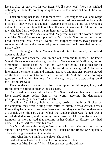have a play of our own. In *our* Barn. We'll show 'em" (here she winked obliquely at the table; so many bought cakes, so few made at home) "how *we* do it."

Then cracking her jokes, she turned; saw Giles; caught his eye; and swept him in, beckoning. He came. And what—she looked down—had he done with his shoes? They were bloodstained. Vaguely some sense that he had proved his valour for her admiration flattered her. If vague it was sweet. Taking him in tow, she felt: I am the Queen, he my hero, my sulky hero.

"That's Mrs. Neale!" she exclaimed. "A perfect marvel of a woman, aren't you, Mrs. Neale! She runs our post office, Mrs. Neale. She can do sums in her head, can't you, Mrs. Neale? Twenty-five halfpenny stamps, two packets of stamped envelopes and a packet of postcards—how much does that come to, Mrs. Neale?"

Mrs. Neale laughed; Mrs. Manresa laughed; Giles too smiled, and looked down at his shoes.

She drew him down the Barn, in and out, from one to another. She knew 'em all. Every one was a thorough good sort. No, she wouldn't allow it, not for a moment—Pinsent's bad leg. "No, no. We're not going to take that for an excuse, Pinsent." If he couldn't bowl, he could bat. Giles agreed. A fish on a line meant the same to him and Pinsent; also jays and magpies. Pinsent stayed on the land; Giles went to an office. That was all. And she was a thorough good sort, making him feel less of an audience, more of an actor, going round the Barn in her wake.

Then, at the end by the door, they came upon the old couple, Lucy and Bartholomew, sitting on their Windsor chairs.

Chairs had been reserved for them. Mrs. Sands had sent them tea. It would have caused more bother than it was worth—asserting the democratic principle; standing in the crowd at the table.

"Swallows," said Lucy, holding her cup, looking at the birds. Excited by the company they were flitting from rafter to rafter. Across Africa, across France they had come to nest here. Year after year they came. Before there was a channel, when the earth, upon which the Windsor chair was planted, was a riot of rhododendrons, and humming birds quivered at the mouths of scarlet trumpets, as she had read that morning in her Outline of History, they had come . . . Here Bart rose from his chair.

But Mrs. Manresa absolutely refused to take his seat. "Go on sitting, go on sitting," she pressed him down again. "I'll squat on the floor." She squatted. The surly knight remained in attendance.

"And what did you think of the play?" she asked.

Bartholomew looked at his son. His son remained silent.

"And you Mrs. Swithin?" Mrs. Manresa pressed the old lady.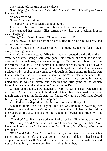Lucy mumbled, looking at the swallows.

"I was hoping you'd tell me," said Mrs. Manresa. "Was it an old play? Was it a new play?"

No one answered.

"Look!" Lucy exclaimed.

"The birds?" said Mrs. Manresa, looking up.

There was a bird with a straw in its beak; and the straw dropped.

Lucy clapped her hands. Giles turned away. She was mocking him as usual, laughing.

"Going?" said Bartholomew. "Time for the next act?"

And he heaved himself up from his chair. Regardless of Mrs. Manresa and of Lucy, off he strolled too.

"Swallow, my sister, O sister swallow," he muttered, feeling for his cigar case, following his son.

Mrs. Manresa was nettled. What for had she squatted on the floor then? Were her charms fading? Both were gone. But, woman of action as she was, deserted by the male sex, she was not going to suffer tortures of boredom from the refeened old lady. Up she scrambled, putting her hands to hair as if it were high time that she went too, though it was nothing of the kind and her hair was perfectly tidy. Cobbet in his corner saw through her little game. He had known human nature in the East. It was the same in the West. Plants remained—the carnation, the zinnia, and the geranium. Automatically he consulted his watch; noted time to water at seven; and observed the little game of the woman following the man to the table in the West as in the East.

William at the table, now attached to Mrs. Parker and Isa, watched him approach. Armed and valiant, bold and blatant, firm elatant—the popular march tune rang in his head. And the fingers of William's left hand closed firmly, surreptitiously, as the hero approached.

Mrs. Parker was deploring to Isa in a low voice the village idiot.

"Oh that idiot!" she was saying. But Isa was immobile, watching her husband. She could feel the Manresa in his wake. She could hear in the dusk in their bedroom the usual explanation. It made no difference; his infidelity—but hers did.

"The idiot?" William answered Mrs. Parker for her. "He's in the tradition."

"But surely," said Mrs. Parker, and told Giles how creepy the idiot—"We have one in our village"—had made her feel. "Surely, Mr. Oliver, we're more civilized?"

"*We?*" said Giles. "*We?*" He looked, once, at William. He knew not his name; but what his left hand was doing. It was a bit of luck—that he could despise him, not himself. Also Mrs. Parker. But not Isa—not his wife. She had not spoken to him, not one word. Nor looked at him either.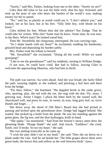"Surely," said Mrs. Parker, looking from one to the other. "Surely we are?"

Giles then did what to Isa was his little trick; shut his lips; frowned; and took up the pose of one who bears the burden of the world's woe, making money for her to spend.

"No," said Isa, as plainly as words could say it. "I don't admire you," and looked, not at his face, but at his feet. "Silly little boy, with blood on his boots."

Giles shifted his feet. Whom then did she admire? Not Dodge. That he could take for certain. Who else? Some man he knew. Some man, he was sure, in the Barn. Which man? He looked round him.

Then Mr. Streatfield, the clergyman, interrupted. He was carrying cups.

"So I shake hands with my heart!" he exclaimed, nodding his handsome, grizzled head and depositing his burden safely.

Mrs. Parker took the tribute to herself.

"Mr. Streatfield!" she exclaimed. "Doing all the work! While we stand gossiping!"

"Like to see the greenhouse?" said Isa suddenly, turning to William Dodge.

O not now, he could have cried. But had to follow, leaving Giles to welcome the approaching Manresa, who had him in thrall.

The path was narrow. Isa went ahead. And she was broad; she fairly filled the path, swaying slightly as she walked, and plucking a leaf here and there from the hedge.

"Fly then, follow," she hummed, "the dappled herds in the cedar grove, who, sporting, play, the red with the roe, the stag with the doe. Fly, away. I grieving stay. Alone I linger, I pluck the bitter herb by the ruined wall, the churchyard wall, and press its sour, its sweet, its sour, long grey leaf, so, twixt thumb and finger. . . ."

She threw away the shred of Old Man's Beard that she had picked in passing and kicked open the greenhouse door. Dodge had lagged behind. She waited. She picked up a knife from the plank. He saw her standing against the green glass, the fig tree, and the blue hydrangea, knife in hand.

"She spake," Isa murmured. "And from her bosom's snowy antre drew the gleaming blade. 'Plunge blade!' she said. And struck. 'Faithless!' she cried. Knife, too! It broke. So too my heart," she said.

She was smiling ironically as he came up.

"I wish the play didn't run in my head," she said. Then she sat down on a plank under the vine. And he sat beside her. The little grapes above them were green buds; the leaves thin and yellow as the web between birds' claws.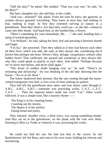"Still the play?" he asked. She nodded. "That was your son," he said, "in the Barn?"

She had a daughter too, she told him, in the cradle.

"And you—married?" she asked. From her tone he knew she guessed, as women always guessed, everything. They knew at once they had nothing to fear, nothing to hope. At first they resented—serving as statues in a greenhouse. Then they liked it. For then they could say—as she did—whatever came into their heads. And hand him, as she handed him, a flower.

"There's something for your buttonhole, Mr. . . ." she said, handing him a sprig of scented geranium.

"I'm William," he said, taking the furry leaf and pressing it between thumb and finger.

"I'm Isa," she answered. Then they talked as if they had known each other all their lives; which was odd, she said, as they always did, considering she'd known him perhaps one hour. Weren't they, though, conspirators, seekers after hidden faces? That confessed, she paused and wondered, as they always did, why they could speak so plainly to each other. And added: "Perhaps because we've never met before, and never shall again."

"The doom of sudden death hanging over us," he said. "There's no retreating and advancing"—he was thinking of the old lady showing him the house—"for us as for them."

The future shadowed their present, like the sun coming through the manyveined transparent vine leaf; a criss-cross of lines making no pattern.

They had left the greenhouse door open, and now music came through it. A.B.C., A.B.C., A.B.C.—someone was practising scales. C.A.T., C.A.T., C.A.T. . . . Then the separate letters made one word "Cat." Other words followed. It was a simple tune, like a nursery rhyme——

The King is in his counting house, Counting out his money, The Queen is in her parlour Eating bread and honey.

They listened. Another voice, a third voice, was saying something simple. And they sat on in the greenhouse, on the plank with the vine over them, listening to Miss La Trobe or whoever it was, practising her scales.

He could not find his son. He had lost him in the crowd. So old Bartholomew left the Barn, and went to his own room, holding his cheroot and murmuring: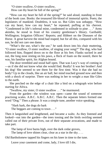"O sister swallow, O sister swallow, How can thy heart be full of the spring?"

"How can my heart be full of the spring?" he said aloud, standing in front of the book case. Books: the treasured life-blood of immortal spirits. Poets; the legislators of mankind. Doubtless, it was so. But Giles was unhappy. "How can my heart, how can my heart," he repeated, puffing at his cheroot. "Condemned in life's infernal mine, condemned in solitude to pine . . ." Arms akimbo, he stood in front of his country gentleman's library. Garibaldi; Wellington; Irrigation Officers' Reports; and Hibbert on the Diseases of the Horse. A great harvest the mind had reaped; but for all this, compared with his son, he did not care one damn.

"What's the use, what's the use," he sank down into his chair muttering, "O sister swallow, O sister swallow, of singing your song?" The dog, who had followed him, flopped down on to the floor at his feet. Flanks sucked in and out, the long nose resting on his paws, a fleck of foam on the nostril, there he was, his familiar spirit, his Afghan hound.

The door trembled and stood half open. That was Lucy's way of coming in —as if she did not know what she would find. Really! It was her brother! And his dog! She seemed to see them for the first time. Was it that she had no body? Up in the clouds, like an air ball, her mind touched ground now and then with a shock of surprise. There was nothing in her to weight a man like Giles to the earth.

She perched on the edge of a chair like a bird on a telegraph wire before starting for Africa.

"Swallow, my sister, O sister swallow . . ." he murmured.

From the garden—the window was open—came the sound of someone practising scales. A.B.C. A.B.C. A.B.C. Then the separate letters formed one word "Dog." Then a phrase. It was a simple tune, another voice speaking.

"Hark hark, the dogs do bark

The beggars are coming to town . . ."

Then it languished and lengthened, and became a waltz. As they listened and looked—out into the garden—the trees tossing and the birds swirling seemed called out of their private lives, out of their separate avocations, and made to take part.

The lamp of love burns high, over the dark cedar groves,

The lamp of love shines clear, clear as a star in the sky....

Old Bartholomew tapped his fingers on his knee in time to the tune.

Leave your casement and come, lady, I love till I die,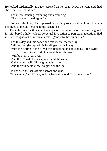He looked sardonically at Lucy, perched on her chair. How, he wondered, had she ever borne children?

For all are dancing, retreating and advancing, The moth and the dragon fly. . . .

She was thinking, he supposed, God is peace. God is love. For she belonged to the unifiers; he to the separatists.

Then the tune with its feet always on the same spot, became sugared, insipid; bored a hole with its perpetual invocation to perpetual adoration. Had it—he was ignorant of musical terms—gone into the minor key?

For this day and this dance and this merry, merry May Will be over (he tapped his forefinger on his knee) With the cutting of the clover this retreating and advancing—the swifts seemed to have shot beyond their orbits— Will be over, over, over, And the ice will dart its splinter, and the winter, O the winter, will fill the grate with ashes, And there'll be no glow, no glow on the log.

He knocked the ash off his cheroot and rose.

"So we must," said Lucy; as if he had said aloud, "It's time to go."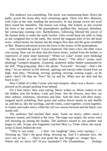The audience was assembling. The music was summoning them. Down the paths, across the lawns they were streaming again. There was Mrs. Manresa, with Giles at her side, heading the procession. In taut plump curves her scarf blew round her shoulders. The breeze was rising. She looked, as she crossed the lawn to the strains of the gramophone, goddess-like, buoyant, abundant, her cornucopia running over. Bartholomew, following, blessed the power of the human body to make the earth fruitful. Giles would keep his orbit so long as she weighted him to the earth. She stirred the stagnant pool of his old heart even—where bones lay buried, but the dragon flies shot and the grass trembled as Mrs. Manresa advanced across the lawn to the strains of the gramophone.

Feet crunched the gravel. Voices chattered. The inner voice, the other voice was saying: How can we deny that this brave music, wafted from the bushes, is expressive of some inner harmony? "When we wake" (some were thinking) "the day breaks us with its hard mallet blows." "The office" (some were thinking) "compels disparity. Scattered, shattered, hither thither summoned by the bell. 'Ping-ping-ping' that's the phone. 'Forward!' 'Serving!'—that's the shop." So we answer to the infernal, agelong and eternal order issued from on high. And obey. "Working, serving, pushing, striving, earning wages—to be spent—here? Oh dear no. Now? No, by and by. When ears are deaf and the heart is dry."

Here Cobbet of Cobbs Corner who had stooped—there was a flower—was pressed on by people pushing from behind.

For I hear music, they were saying. Music wakes us. Music makes us see the hidden, join the broken. Look and listen. See the flowers, how they ray their redness, whiteness, silverness and blue. And the trees with their manytongued much syllabling, their green and yellow leaves hustle us and shuffle us, and bid us, like the starlings, and the rooks, come together, crowd together, to chatter and make merry while the red cow moves forward and the black cow stands still.

The audience had reached their seats. Some sat down; others stood a moment, turned, and looked at the view. The stage was empty; the actors were still dressing up among the bushes. The audience turned to one another and began to talk. Scraps and fragments reached Miss La Trobe where she stood, script in hand, behind the tree.

"They're not ready . . . I hear 'em laughing" (they were saying.) ". . . Dressing up. That's the great thing, dressing up. And it's pleasant now, the sun's not so hot . . . That's one good the war brought us—longer days . . . Where did we leave off? D'you remember? The Elizabethans . . . Perhaps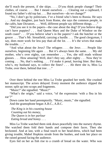she'll reach the present, if she skips. . . . D'you think people change? Their clothes, of course. . . . But I meant ourselves . . . Clearing out a cupboard, I found my father's old top hat. . . . But ourselves—do we change?"

"No, I don't go by politicians. I've a friend who's been to Russia. He says . . . And my daughter, just back from Rome, she says the common people, in the cafés, hate Dictators. . . . Well, different people say different things. . . ."

"Did you see it in the papers—the case about the dog? D'you believe dogs can't have puppies? . . . And Queen Mary and the Duke of Windsor on the south coast? . . . D'you believe what's in the papers? I ask the butcher or the grocer . . . That's Mr. Streatfield, carrying a hurdle. . . . The good clergyman, I say, does more work for less pay than all the lot.  $\dots$  It's the wives that make the trouble. . . ."

"And what about the Jews? The refugees . . . the Jews . . . People like ourselves, beginning life again . . . But it's always been the same. . . . My old mother, who's over eighty, can remember . . . Yes, she still reads without glasses. . . . How amazing! Well, don't they say, after eighty . . . Now they're coming . . . No, that's nothing. . . . I'd make it penal, leaving litter. But then, who's, my husband says, to collect the fines? . . . Ah there she is, Miss La Trobe, over there, behind that tree . . ."

Over there behind the tree Miss La Trobe gnashed her teeth. She crushed her manuscript. The actors delayed. Every moment the audience slipped the noose; split up into scraps and fragments.

"Music!" she signalled. "Music!"

"What's the origin," said a voice, "of the expression 'with a flea in his ear'?"

Down came her hand peremptorily. "Music, music," she signalled. And the gramophone began A.B.C., A.B.C.

*The King is in his counting house Counting out his money, The Queen is in her parlour Eating bread and honey. . . .*

Miss La Trobe watched them sink down peacefully into the nursery rhyme. She watched them fold their hands and compose their faces. Then she beckoned. And at last, with a final touch to her head-dress, which had been giving trouble, Mabel Hopkins strode from the bushes, and took her place on the raised ground facing the audience.

Eyes fed on her as fish rise to a crumb of bread on the water. Who was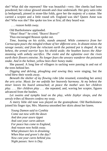she? What did she represent? She was beautiful—very. Her cheeks had been powdered; her colour glowed smooth and clear underneath. Her grey satin robe (a bedspread), pinned in stone-like folds, gave her the majesty of a statue. She carried a sceptre and a little round orb. England was she? Queen Anne was she? Who was she? She spoke too low at first; all they heard was

*. . . reason holds sway.*

Old Bartholomew applauded. "Hear! Hear!" he cried. "Bravo! Bravo!" Thus encouraged Reason spoke out.

*Time, leaning on his sickle, stands amazed. While commerce from her Cornucopia pours the mingled tribute of her different ores. In distant mines the savage sweats; and from the reluctant earth the painted pot is shaped. At my behest, the armed warrior lays his shield aside; the heathen leaves the Altar steaming with unholy sacrifice. The violet and the eglantine over the riven earth their flowers entwine. No longer fears the unwary wanderer the poisoned snake. And in the helmet, yellow bees their honey make.*

She paused. A long line of villagers in sacking were passing in and out of the trees behind her.

*Digging and delving, ploughing and sowing* they were singing, but the wind blew their words away.

*Beneath the shelter of my flowing robe* (she resumed, extending her arms) *the arts arise. Music for me unfolds her heavenly harmony. At my behest the miser leaves his hoard untouched; at peace the mother sees her children play. . . . Her children play . . .* she repeated, and, waving her sceptre, figures advanced from the bushes.

*Let swains and nymphs lead on the play, while Zephyr sleeps, and the unruly tribes of Heaven confess my sway.*

A merry little old tune was played on the gramophone. Old Bartholomew joined his finger tips; Mrs. Manresa smoothed her skirts about her knees.

*Young Damon said to Cynthia Come out now with the dawn And don your azure tippet And cast your cares adown For peace has come to England, And reason now holds sway. What pleasure lies in dreaming When blue and green's the day? Now cast your cares behind you. Night passes: here is Day.*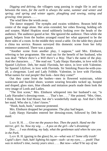*Digging and delving*, the villagers sang passing in single file in and out between the trees, *for the earth is always the same, summer and winter and spring; and spring and winter again; ploughing and sowing, eating and growing; time passes*. . . .

The wind blew the words away.

The dance stopped. The nymphs and swains withdrew. Reason held the centre of the stage alone. Her arms extended, her robes flowing, holding orb and sceptre, Mabel Hopkins stood sublimely looking over the heads of the audience. The audience gazed at her. She ignored the audience. Then while she gazed, helpers from the bushes arranged round her what appeared to be the three sides of a room. In the middle they stood a table. On the table they placed a china tea service. Reason surveyed this domestic scene from her lofty eminence unmoved. There was a pause.

"Another scene from another play, I suppose," said Mrs. Elmhurst, referring to her programme. She read out for the benefit of her husband, who was deaf: "*Where there's a Will there's a Way.* That's the name of the play. And the characters. . . ." She read out: "Lady Harpy Harraden, in love with Sir Spaniel Lilyliver. Deb, her maid. Flavinda, her niece, in love with Valentine. Sir Spaniel Lilyliver, in love with Flavinda. Sir Smirking Peace-be-with-youall, a clergyman. Lord and Lady Fribble. Valentine, in love with Flavinda. What names for real people! But look—here they come!"

Out they came from the bushes—men in flowered waistcoats, white waistcoats and buckled shoes; women wearing brocades tucked up, hooped and draped; glass stars, blue ribands and imitation pearls made them look the very image of Lords and Ladies.

"The first scene," Mrs. Elmhurst whispered into her husband's ear, "is Lady Harraden's dressing-room. . . . That's her. . . ." She pointed. "Mrs. Otter, I think, from the End House; but she's wonderfully made up. And that's Deb her maid. Who she is, I don't know."

"Hush, hush, hush," someone protested.

Mrs. Elmhurst dropped her programme. The play had begun.

Lady Harpy Harraden entered her dressing-room, followed by Deb her maid.

LADY H. H. . . . *Give me the pounce-box. Then the patch. Hand me the mirror, girl. So. Now my wig. . . . A pox on the girl—she's dreaming!*

DEB . . . *I was thinking, my lady, what the gentleman said when he saw you in the Park.*

LADY H. H. (gazing in the glass) *So, so—what was it? Some silly trash! Cupid's dart—hah, hah! lighting his taper—tush—at my eyes. . . . pooh! That was in milord's time, twenty years since. . . . But now—what'll he say of me*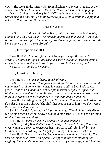*now?* (She looks in the mirror) *Sir Spaniel Lilyliver, I mean . . .* (a rap at the door) *Hark! That's his chaise at the door. Run child. Don't stand gaping.*

DEB . . . (going to the door) *Say? He'll rattle his tongue as a gambler rattles dice in a box. He'll find no words to fit you. He'll stand like a pig in a poke. . . . Your servant, Sir Spaniel.*

Enter Sir Spaniel.

SIR S. L. . . . *Hail, my fair Saint! What, out o' bed so early? Methought, as I came along the Mall the air was something brighter than usual. Here's the reason. . . . Venus, Aphrodite, upon my word a very galaxy, a constellation! As I'm a sinner, a very Aurora Borealis!*

(He sweeps his hat off.)

LADY H. H. *Oh flatterer, flatterer! I know your ways. But come. Sit down. . . . A glass of Aqua Vitae. Take this seat, Sir Spaniel. I've something very private and particular to say to you. . . . You had my letter, Sir?* SIR S. L. . . . *Pinned to my heart!*

(He strikes his breast.)

LADY H. H. . . . *I have a favour to ask of you, Sir.*

SIR S. L. . . . (singing) *What favour could fair Chloe ask that Damon would not get her? . . . A done with rhymes. Rhymes are still-a-bed. Let's speak prose. What can Asphodilla ask of her plain servant Lilyliver? Speak out, Madam. An ape with a ring in his nose, or a strong young jackanapes to tell tales of us when we're no longer here to tell truth about ourselves?*

LADY H. H. (flirting her fan) *Fie, fie, Sir Spaniel. You make me blush—you do indeed. But come closer.* (She shifts her seat nearer to him.) *We don't want the whole world to hear us.*

SIR S. L. (aside) *Come closer? A pox on my life! The old hag stinks like a red herring that's been stood over head in a tar barrel!* (Aloud) *Your meaning, Madam? You were saying?*

LADY H. H. *I have a niece, Sir Spaniel, Flavinda by name.*

SIR S. L. (aside) *Why that's the girl I love, to be sure!* (Aloud) *You have a niece, madam? I seem to remember hearing so. An only child, left by your brother, so I've heard, in your Ladyship's charge—him that perished at sea.*

LADY H. H. *The very same Sir. She's of age now and marriageable. I've kept her close as a weevil, Sir Spaniel, wrapped in the sere cloths of her virginity. Only maids about her, never a man to my knowledge, save Clout the*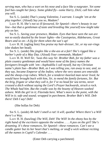*serving man, who has a wart on his nose and a face like a nutgrater. Yet some fool has caught her fancy. Some gilded fly—some Harry, Dick; call him what you will.*

SIR S. L. (aside) *That's young Valentine, I warrant. I caught 'em at the play together.* (Aloud) *Say you so, Madam?*

LADY H. H. *She's not so ill favoured, Sir Spaniel—there's beauty in our line—but that a gentleman of taste and breeding like yourself now might take pity on her.*

SIR S. L. *Saving your presence, Madam. Eyes that have seen the sun are not so easily dazzled by the lesser lights—the Cassiopeias, Aldebarans, Great Bears and so on—A fig for them when the sun's up!*

LADY H. H. (ogling him) *You praise my hair-dresser, Sir, or my ear-rings* (she shakes her head).

SIR S. L. (aside) *She jingles like a she-ass at a fair! She's rigged like a barber's pole of a May Day.* (Aloud) *Your commands, Madam?*

LADY H. H. *Well Sir, 'twas this way Sir. Brother Bob, for my father was a plain country gentleman and would have none of the fancy names the foreigners brought with 'em—Asphodilla I call myself, but my Christian name's plain Sue—Brother Bob, as I was telling you, ran away to sea; and, so they say, became Emperor of the Indies; where the very stones are emeralds and the sheep-crop rubies. Which, for a tenderer-hearted man never lived, he would have brought back with him, Sir, to mend the family fortunes, Sir. But the brig, frigate or what they call it, for I've no head for sea terms, never crossed a ditch without saying the Lord's Prayer backwards, struck a rock. The Whale had him. But the cradle was by the bounty of Heaven washed ashore. With the girl in it; Flavinda here. What's more to the point, with the Will in it; safe and sound; wrapped in parchment. Brother Bob's Will. Deb there! Deb I say! Deb!*

(She hollas for Deb)

SIR S. L. (aside) *Ah hah! I smell a rat! A will, quotha! Where there's a Will there's a Way.*

LADY H. H. (bawling) *The Will, Deb! The Will! In the ebony box by the right hand of the escritoire opposite the window. . . . A pox on the girl! She's dreaming. It's these romances, Sir Spaniel—these romances. Can't see a candle gutter but its her heart that's melting, or snuff a wick without reciting all the names in Cupid's Calendar . . .*

(Enter Deb carrying a parchment)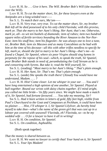LADY H. H. *So . . . Give it here. The Will. Brother Bob's Will* (she mumbles over the Will).

LADY H. H. *To cut the matter short, Sir, for these lawyers even at the Antipodes are a long-winded race——*

SIR S. L. *To match their ears, Ma'am——*

LADY H. H. *Very true, very true. To cut the matter short, Sir, my brother Bob left all he died possessed of to his only child Flavinda; with this proviso, mark ye. That she marry to her Aunt's liking. Her Aunt; that's me. Otherwise, mark ye, all—to wit ten bushels of diamonds; item of rubies; item two hundred square miles of fertile territory bounding the River Amazon to the Nor-Nor-East; item his snuff box; item his flageolet—he was always one to love a tune, sir, Brother Bob; item six Macaws and as many Concubines as he had with him at the time of his decease—all this with other trifles needless to specify he left, mark ye, should she fail to marry to her Aunt's liking—that's me—to found a Chapel, Sir Spaniel, where six poor Virgins should sing hymns in perpetuity for the repose of his soul—which, to speak the truth, Sir Spaniel, poor Brother Bob stands in need of, perambulating the Gulf Stream as he is and consorting with Syrens. But take it; read the Will yourself, Sir.*

SIR S. L. (reading) *"Must marry to her Aunt's liking." That's plain enough.* LADY H. H. *Her Aunt, Sir. That's me. That's plain enough.*

SIR S. L. (aside) *She speaks the truth there!* (Aloud) *You would have me understand, Madam. . . . ?*

LADY H. H. *Hist! Come closer. Let me whisper in your ear . . . You and I have long entertained a high opinion of one another, Sir Spaniel. Played at ball together. Bound our wrists with daisy chains together. If I mind aright, you called me little bride—'tis fifty years since. We might have made a match of it, Sir Spaniel, had fortune favoured. . . . You take my meaning, Sir?*

SIR S. L. *Had it been written in letters of gold, fifty feet high, visible from Paul's Churchyard to the Goat and Compasses at Peckham, it could have been no plainer. . . . Hist, I'll whisper it. I, Sir Spaniel Lilyliver, do hereby bind myself to take thee—what's the name of the green girl that was cast up in a lobster pot covered with seaweed? Flavinda, eh? Flavinda, so—to be my wedded wife . . . O for a lawyer to have it all in writing!*

LADY H. H. *On condition, Sir Spaniel.*

SIR S. L. *On condition, Asphodilla.*

(Both speak together)

*That the money is shared between us.*

LADY H. H. *We want no lawyer to certify that! Your hand on it, Sir Spaniel!* SIR S. L. *Your lips Madam!*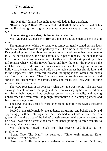(They embrace)

SIR S. L. *Pah! She stinks!*

"Ha! Ha! Ha!" laughed the indigenous old lady in her bathchair.

"Reason, begad! Reason!" exclaimed old Bartholomew, and looked at his son as if exhorting him to give over these womanish vapours and be a man, Sir.

Giles sat straight as a dart, his feet tucked under him.

Mrs. Manresa had out her mirror and lipstick and attended to her lips and nose.

The gramophone, while the scene was removed, gently stated certain facts which everybody knows to be perfectly true. The tune said, more or less, how Eve, gathering her robes about her, stands reluctant still to let her dewy mantle fall. The herded flocks, the tune continued, in peace repose. The poor man to his cot returns, and, to the eager ears of wife and child, the simple story of his toil relates: what yield the furrow bears; and how the team the plover on the nest has spared; while Wat her courses ran; and speckled eggs in the warm hollow lay. Meanwhile the good wife on the table spreads her simple fare; and to the shepherd's flute, from toil released, the nymphs and swains join hands and foot it on the green. Then Eve lets down her sombre tresses brown and spreads her lucent veil o'er hamlet, spire, and mead, etc., etc. And the tune repeated itself once more.

The view repeated in its own way what the tune was saying. The sun was sinking; the colours were merging; and the view was saying how after toil men rest from their labours; how coolness comes; reason prevails; and having unharnessed the team from the plough, neighbours dig in cottage gardens and lean over cottage gates.

The cows, making a step forward, then standing still, were saying the same thing to perfection.

Folded in this triple melody, the audience sat gazing; and beheld gently and approvingly without interrogation, for it seemed inevitable, a box tree in a green tub take the place of the ladies' dressing-room; while on what seemed to be a wall, was hung a great clock face; the hands pointing to three minutes to the hour; which was seven.

Mrs. Elmhurst roused herself from her reverie; and looked at her programme.

"Scene Two. The Mall," she read out. "Time; early morning. Enter Flavinda. Here she comes!"

Here came Millie Loder (shop assistant at Messrs. Hunt and Dicksons,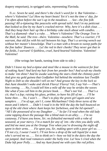drapery emporium), in sprigged satin, representing Flavinda.

FLAV. *Seven he said, and there's the clock's word for it. But Valentine where's Valentine? La! How my heart beats! Yet it's not the time o' day, for I'm often afoot before the sun's up in the meadows . . . See—the fine folk passing! All a-tiptoeing like peacocks with spread tails! And I in my petticoat that looked so fine by my Aunt's cracked mirror. Why, here it's a dish clout . . . And they heap their hair up like a birthday cake stuck about with candles. . . . That's a diamond—that's a ruby . . . Where's Valentine? The Orange Tree in the Mall, he said. The tree—there. Valentine—nowhere. That's a courtier, I'll warrant, that old fox with his tail between his legs. That's a serving wench out without her master's knowledge. That's a man with a broom to sweep paths for the fine ladies' flounces . . . La! the red in their cheeks! They never got that in the fields, I warrant! O faithless, cruel, hard-hearted Valentine. Valentine! Valentine!*

(She wrings her hands, turning from side to side.)

*Didn't I leave my bed a-tiptoe and steal like a mouse in the wainscot for fear of waking Aunt? And lard my hair from her powder box? And scrub my cheeks to make 'em shine? And lie awake watching the stars climb the chimney pots? And give my gold guinea that Godfather hid behind the mistletoe last Twelfth Night to Deb so she shouldn't tell on me? And grease the key in the lock so that Aunt shouldn't wake and shriek Flavvy! Flavvy! Val, I say Val——That's him coming. . . . No, I could tell him a mile off the way he strides the waves like what d'you call him in the picture book. . . . That's not Val. . . . That's a cit; that's a fop; raising his glass, prithee, to have his fill of me . . . I'll be home then . . . No, I won't . . . That's to play the green girl again and sew samplers . . . I'm of age, ain't I, come Michaelmas? Only three turns of the moon and I inherit . . . Didn't I read it in the Will the day the ball bounced on top of the old chest where Aunt keeps her furbelows, and the lid opened? . . . "All I die possessed of to my Daughter . . ." So far I'd read when the old lady came tapping down the passage like a blind man in an alley. . . . I'm no castaway, I'd have you know, Sir; no fishtailed mermaid with a robe of seaweed, at your mercy. I'm a match for any of 'em—the chits you dally with, and bid me meet you at the Orange Tree when you're drowsing the night off* spent in their arms.  $\ldots$  Fie upon you, Sir, making sport with a poor girl so.  $\ldots$ *I'll not cry, I swear I won't. I'll not brew a drop of the salt liquid for a man who's served me so. . . . Yet to think on't—how we hid in the dairy the day the cat jumped. And read romances under the holly tree. La! how I cried when the Duke left poor Polly. . . . And my Aunt found me with eyes like red jellies.*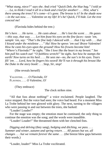*"What stung, niece?" says she. And cried "Quick Deb, the blue bag." I told ye* ... La, to think I read it all in a book and cried for another! ... Hist, what's *there among the trees? It's come—it's gone. The breeze is it? In the shade now —in the sun now. . . . Valentine on my life! It's he! Quick, I'll hide. Let the tree conceal me!*

(Flavinda hides behind the tree.)

He's here  $\dots$  He turns  $\dots$  He casts about  $\dots$  He's lost the scent  $\dots$  He gazes *—this way, that way. . . . Let him feast his eyes on the fine faces—taste 'em,* sample 'em, say: "That's the fine lady I danced with . . . that I lay with . . . that *I kissed under the mistletoe . . ." Ha! How he spews 'em out! Brave Valentine! How he casts his eyes upon the ground! How his frowns become him! "Where's Flavinda?" he sighs. "She I love like the heart in my breast." See him pull his watch out! "O faithless wretch!" he sighs. See how he stamps the earth! Now turns on his heel. . . . He sees me—no, the sun's in his eyes. Tears fill 'em . . . Lord, how he fingers his sword! He'll run it through his breast like the Duke in the story book! . . . Stop, Sir, stop!*

(She reveals herself)

VALENTINE. . . . *O Flavinda, O!* FLAVINDA. . . . *O Valentine, O!*

(They embrace)

The clock strikes nine.

"All that fuss about nothing!" a voice exclaimed. People laughed. The voice stopped. But the voice had seen; the voice had heard. For a moment Miss La Trobe behind her tree glowed with glory. The next, turning to the villagers who were passing in and out between the trees, she barked:

"Louder! Louder!"

For the stage was empty; the emotion must be continued; the only thing to continue the emotion was the song; and the words were inaudible.

"Louder! Louder!" She threatened them with her clenched fists.

*Digging and delving* (they sang), *hedging and ditching, we pass. . . . Summer and winter, autumn and spring return . . . All passes hut we, all changes . . . hut we remain forever the same . . .* (the breeze blew gaps between their words.)

"Louder, louder!" Miss La Trobe vociferated.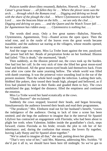*Palaces tumble down* (they resumed), *Babylon, Nineveh, Troy . . . And Cæsar's great house . . . all fallen they lie . . . Where the plover nests was the arch. . . . through which the Romans trod . . . Digging and delving we break with the share of the plough the clod . . . Where Clytemnestra watched for her* Lord  $\ldots$  saw the beacons blaze on the hills  $\ldots$  we see only the clod  $\ldots$ *Digging and delving we pass. . . . and the Queen and the Watch Tower fall . . . for Agamemnon has ridden away. . . . Clytemnestra is nothing but. . . .*

The words died away. Only a few great names—Babylon, Nineveh, Clytemnestra, Agamemnon, Troy—floated across the open space. Then the wind rose, and in the rustle of the leaves even the great words became inaudible; and the audience sat staring at the villagers, whose mouths opened, but no sound came.

And the stage was empty. Miss La Trobe leant against the tree, paralyzed. Her power had left her. Beads of perspiration broke on her forehead. Illusion had failed. "This is death," she murmured, "death."

Then suddenly, as the illusion petered out, the cows took up the burden. One had lost her calf. In the very nick of time she lifted her great moon-eyed head and bellowed. All the great moon-eyed heads laid themselves back. From cow after cow came the same yearning bellow. The whole world was filled with dumb yearning. It was the primeval voice sounding loud in the ear of the present moment. Then the whole herd caught the infection. Lashing their tails, blobbed like pokers, they tossed their heads high, plunged and bellowed, as if Eros had planted his dart in their flanks and goaded them to fury. The cows annihilated the gap; bridged the distance; filled the emptiness and continued the emotion.

Miss La Trobe waved her hand ecstatically at the cows.

"Thank Heaven!" she exclaimed.

Suddenly the cows stopped; lowered their heads, and began browsing. Simultaneously the audience lowered their heads and read their programmes.

"The producer," Mrs. Elmhurst read out for her husband's benefit, "craves the indulgence of the audience. Owing to lack of time a scene has been omitted; and she begs the audience to imagine that in the interval Sir Spaniel Lilyliver has contracted an engagement with Flavinda; who had been about to plight her troth; when Valentine, hidden inside the grandfather's clock, steps forward; claims Flavinda as his bride; reveals the plot to rob her of her inheritance; and, during the confusion that ensues, the lovers fly together, leaving Lady Harpy and Sir Spaniel alone together."

"We're asked to imagine all that," she said, putting down her glasses.

"That's very wise of her," said Mrs. Manresa, addressing Mrs. Swithin. "If she'd put it all in, we should have been here till midnight. So we've got to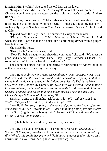imagine, Mrs. Swithin." She patted the old lady on the knee.

"Imagine?" said Mrs. Swithin. "How right! Actors show us too much. The Chinese, you know, put a dagger on the table and that's a battle. And so Racine . . ."

"Yes, they bore one stiff," Mrs. Manresa interrupted, scenting culture, resenting the snub to the jolly human heart. "T'other day I took my nephew such a jolly boy at Sandhurst—to *Pop Goes the Weasel*. Seen it?" She turned to Giles.

"Up and down the City Road," he hummed by way of an answer.

"Did your Nanny sing that!" Mrs. Manresa exclaimed. "Mine did. And when she said 'Pop' she made a noise like a cork being drawn from a gingerbeer bottle. Pop!"

She made the noise.

"Hush, hush," someone whispered.

"Now I'm being naughty and shocking your aunt," she said. "We must be good and attend. This is Scene Three. Lady Harpy Harraden's Closet. The sound of horses' hooves is heard in the distance."

The sound of horses' hooves, energetically represented by Albert the idiot with a wooden spoon on a tray, died away.

LADY H. H. *Half-way to Gretna Green already! O my deceitful niece! You that I rescued from the brine and stood on the hearthstone dripping! O that the whale had swallowed you whole! Perfidious porpoise, O! Didn't the Horn book teach you Honour thy Great Aunt? How have you misread it and misspelt it, learnt thieving and cheating and reading of wills in old boxes and hiding of rascals in honest time-pieces that have never missed a second since King Charles's day! O Flavinda! O porpoise, O!*

SIR S. L. (trying to pull on his jack boots) *Old—old—old. He called me "old"—"To your bed, old fool, and drink hot posset!"*

LADY H. H. *And she, stopping at the door and pointing the finger of scorn at me said "old," Sir—"woman" Sir—I that am in the prime of life and a lady!*

SIR S. L. (tugging at his boots) *But I'll be even with him. I'll have the law on' em! I'll run 'em to earth . . .*

(He hobbles up and down, one boot on, one boot off.)

LADY H. H. (laying her hand on his arm) *Have mercy on your gout, Sir Spaniel. Bethink you, Sir—let's not run mad, we that are on the sunny side of fifty. What's this youth they prate on? Nothing but a goose feather blown on a north wind. Sit you down, Sir Spaniel. Rest your leg—so——*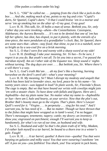(She pushes a cushion under his leg)

SIR S. L. *"Old" he called me . . . jumping from the clock like a jack-in-thebox . . . And she, making mock of me, points to my leg and cries "Cupid's darts, Sir Spaniel, Cupid's darts." O that I could braise 'em in a mortar and serve 'em up smoking hot on the altar of—O my gout, O my gout!*

LADY H. H. *This talk, Sir, ill befits a man of sense. Bethink you, Sir, only t'other day you were invoking—ahem—the Constellations. Cassiopeia, Aldebaran; the Aurora Borealis . . . It's not to be denied that one of 'em has left her sphere, has shot, has eloped, to put it plainly, with the entrails of a time-piece, the mere pendulum of a grandfather's clock. But, Sir Spaniel, there are some stars that—ahem—stay fixed; that shine, to put it in a nutshell, never so bright as by a sea-coal fire on a brisk morning.*

SIR S. L. *O that I were five and twenty with a sharp sword at my side!*

LADY H. H. (bridling) *I take your meaning, Sir. Te hee—To be sure, I regret it as you do. But youth's not all. To let you into a secret, I've passed the meridian myself. Am on t'other side of the Equator too. Sleep sound o' nights without turning. The dog days are over. . . . But bethink you, Sir. Where there's a will there's a way.*

SIR S. L. *God's truth Ma'am . . . ah my foot's like a burning, burning horseshoe on the devil's anvil ah!—what's your meaning?*

LADY H. H. *My meaning, Sir? Must I disrupt my modesty and unquilt that which has been laid in lavender since, my lord, peace be to his name—'tis twenty years since—was lapped in lead? In plain words, Sir, Flavinda's flown. The cage is empty. But we that have bound our wrists with cowslips might join 'em with a stouter chain. To have done with fallals and figures. Here am I, Asphodilla—but my plain name Sue. No matter what my name is—Asphodilla or Sue—here am I, hale and hearty, at your service. Now that the plot's out, Brother Bob's bounty must go to the virgins. That's plain. Here's Lawyer Quill's word for it. "Virgins . . . in perpetuity . . . sing for his soul." And I warrant you, he has need of it . . . But no matter. Though we have thrown that to the fishes that might have wrapped us in lamb's-wool, I'm no beggar. There's messuages; tenements; napery; cattle; my dowry; an inventory. I'll show you; engrossed on parchment; enough I'll warrant you to keep us handsomely, for what's to run of our time, as husband and wife.*

SIR S. L. *Husband and wife! So that's the plain truth of it! Why, Madam, I'd rather lash myself to a tar barrel, be bound to a thorn tree in a winter's gale. Faugh!*

LADY H. H. *. . . A tar barrel, quotha! A thorn tree—quotha! Tou that were harping on galaxies and milky ways! You that were swearing I outshone 'em all! A pox on you—you faithless! You shark, you! You serpent in jack boots,*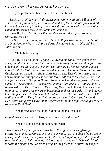*you! So you won't have me? Reject my hand do you?*

(She proffers her hand; he strikes it from him.)

SIR S. L. *. . . Hide your chalk stones in a woollen mit! pah! I'll none of 'em! Were they diamond, pure diamond, and half the habitable globe and all its concubines strung in string round your throat I'd none of it . . . none of it. Unhand me, scritch owl, witch, vampire! Let me go!*

LADY H. H. . . . *So all your fine words were tinsel wrapped round a Christmas cracker!*

SIR S. L. . . . *Bells hung on an ass's neck! Paper roses on a barber's pole* ... O my foot, my foot ... Cupid's darts, she mocked me ... Old, old, he *called me old . . .*

(He hobbles away)

LADY H. H. (left alone) *All gone. Following the wind. He's gone; she's gone; and the old clock that the rascal made himself into a pendulum for is the only one of 'em all to stop. A pox on 'em—turning an honest woman's house into a brothel. I that was Aurora Borealis am shrunk to a tar barrel. I that was Cassiopeia am turned to a she-ass. My head turns. There's no trusting man nor woman; nor fine speeches; nor fine looks. Off comes the sheep's skin; out creeps the serpent. Get ye to Gretna Green; couch on the wet grass and breed vipers. My head spins . . . Tar barrels, quotha. Cassiopeia . . . Chalk stones . . . Andromeda . . . Thorn trees. . . . Deb, I say, Deb* (She holloas) *Unlace me. I'm* fit to burst . . . Bring me my green baize table and set the cards. . . . And my fur *lined slippers, Deb. And a dish of chocolate. . . . I'll be even with 'em . . . I'll outlive 'em all . . . Deb, I say! Deb! A pox on the girl! Can't she hear me? Deb, I say, you gipsy's spawn that I snatched from the hedge and taught to sew samplers! Deb! Deb!*

(She throws open the door leading to the maid's closet)

*Empty! She's gone too! . . . Hist, what's that on the dresser?*

(She picks up a scrap of paper and reads)

*"What care I for your goose-feather bed? I'm off with the raggle-taggle gipsies, O! Signed: Deborah, one time your maid." So! She that I fed on apple parings and crusts from my own table, she that I taught to play cribbage and sew chemises . . . she's gone too. O ingratitude, thy name is Deborah! Who's to wash the dishes now; who's to bring me my posset now, suffer my temper*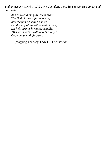*and unlace my stays? . . . All gone. I'm alone then. Sans niece, sans lover, and sans maid.*

*And so to end the play, the moral is, The God of love is full of tricks; Into the foot his dart he sticks, But the way of the will is plain to see; Let holy virgins hymn perpetually: "Where there's a will there's a way." Good people all, farewell.*

(dropping a curtsey, Lady H. H. withdrew)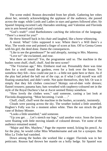The scene ended. Reason descended from her plinth. Gathering her robes about her, serenely acknowledging the applause of the audience, she passed across the stage; while Lords and Ladies in stars and garters followed after; Sir Spaniel limping escorted Lady Harraden smirking; and Valentine and Flavinda arm in arm bowed and curtsied.

"God's truth!" cried Bartholomew catching the infection of the language. "There's a moral for you!"

He threw himself back in his chair and laughed, like a horse whinnying.

A moral. What? Giles supposed it was: Where there's a Will there's a Way. The words rose and pointed a finger of scorn at him. Off to Gretna Green with his girl; the deed done. Damn the consequences.

"Like to see the greenhouse?" he said abruptly, turning to Mrs. Manresa.

"Love to!" she exclaimed, and rose.

Was there an interval? Yes, the programme said so. The machine in the bushes went chuff, chuff, chuff. And the next scene?

"The Victorian age," Mrs. Elmhurst read out. Presumably there was time then for a stroll round the gardens, even for a look over the house. Yet somehow they felt—how could one put it—a little not quite here or there. As if the play had jerked the ball out of the cup; as if what I call myself was still floating unattached, and didn't settle. Not quite themselves, they felt. Or was it simply that they felt clothes conscious? Skimpy out-of-date voile dresses; flannel trousers; panama hats; hats wreathed with raspberry-coloured net in the style of the Royal Duchess's hat at Ascot seemed flimsy somehow.

"How lovely the clothes were," said someone, casting a last look at Flavinda disappearing. "Most becoming. I wish . . ."

Chuff, chuff, chuff went the machine in the bushes, accurately, insistently.

Clouds were passing across the sky. The weather looked a little unsettled. Hogben's Folly was for a moment ashen white. Then the sun struck the gilt vane of Bolney Minster.

"Looks a little unsettled," said someone.

"Up you get . . . Let's stretch our legs," said another voice. Soon the lawns were floating with little moving islands of coloured dresses. Yet some of the audience remained seated.

"Major and Mrs. Mayhew," Page the reporter noted, licking his pencil. As for the play, he would collar Miss Whatshername and ask for a synopsis. But Miss La Trobe had vanished.

Down among the bushes she worked like a nigger. Flavinda was in her petticoats. Reason had thrown her mantle on a holly hedge. Sir Spaniel was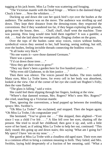tugging at his jack boots. Miss La Trobe was scattering and foraging.

"The Victorian mantle with the bead fringe . . . Where is the damned thing? Chuck it here . . . Now the whiskers . . ."

Ducking up and down she cast her quick bird's eye over the bushes at the audience. The audience was on the move. The audience was strolling up and down. They kept their distance from the dressing-room; they respected the conventions. But if they wandered too far, if they began exploring the grounds, going over the house, then. . . . Chuff, chuff, chuff went the machine. Time was passing. How long would time hold them together? It was a gamble; a risk. . . . And she laid about her energetically, flinging clothes on the grass.

Over the tops of the bushes came stray voices, voices without bodies, symbolical voices they seemed to her, half hearing, seeing nothing, but still, over the bushes, feeling invisible threads connecting the bodiless voices.

"It all looks very black."

"No one wants it—save those damned Germans."

There was a pause.

"I'd cut down those trees . . ."

"How they get their roses to grow!"

"They say there's been a garden here for five hundred years . . ."

"Why even old Gladstone, to do him justice . . ."

Then there was silence. The voices passed the bushes. The trees rustled. Many eyes, Miss La Trobe knew, for every cell in her body was absorbent, looked at the view. Out of the corner of her eye she could see Hogben's Folly; then the vane flashed.

"The glass is falling," said a voice.

She could feel them slipping through her fingers, looking at the view.

"Where's that damned woman, Mrs. Rogers? Who's seen Mrs. Rogers?" she cried, snatching up a Victorian mantle.

Then, ignoring the conventions, a head popped up between the trembling sprays: Mrs. Swithin's.

"Oh Miss La Trobe!" she exclaimed; and stopped. Then she began again; "Oh Miss La Trobe, I do congratulate you!"

She hesitated. "You've given me . . ." She skipped, then alighted—"Ever since I was a child I've felt . . ." A film fell over her eyes, shutting off the present. She tried to recall her childhood; then gave it up; and, with a little wave of her hand, as if asking Miss La Trobe to help her out, continued: "This daily round; this going up and down stairs; this saying 'What am I going for? My specs? I have 'em on my nose.' . . ."

She gazed at Miss La Trobe with a cloudless old-aged stare. Their eyes met in a common effort to bring a common meaning to birth. They failed; and Mrs. Swithin, laying hold desperately of a fraction of her meaning, said: "What a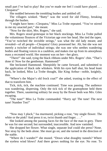small part I've had to play! But you've made me feel I could have played . . . Cleopatra!"

She nodded between the trembling bushes and ambled off.

The villagers winked. "Batty" was the word for old Flimsy, breaking through the bushes.

"I might have been—Cleopatra," Miss La Trobe repeated. "You've stirred in me my unacted part," she meant.

"Now for the skirt, Mrs. Rogers," she said.

Mrs. Rogers stood grotesque in her black stockings. Miss La Trobe pulled the voluminous flounces of the Victorian age over her head. She tied the tapes. "You've twitched the invisible strings," was what the old lady meant; and revealed—of all people—Cleopatra! Glory possessed her. Ah, but she was not merely a twitcher of individual strings; she was one who seethes wandering bodies and floating voices in a cauldron, and makes rise up from its amorphous mass a recreated world. Her moment was on her—her glory.

"There!" she said, tying the black ribbons under Mrs. Rogers' chin. "That's done it! Now for the gentleman. Hammond!"

She beckoned Hammond. Sheepishly he came forward, and submitted to the application of black side whiskers. With his eyes half shut, his head leant back, he looked, Miss La Trobe thought, like King Arthur—noble, knightly, thin.

"Where's the Major's old frock coat?" she asked, trusting to the effect of that to transform him.

Tick, tick, tick, the machine continued. Time was passing. The audience was wandering, dispersing. Only the tick tick of the gramophone held them together. There, sauntering solitary far away by the flower beds was Mrs. Giles escaping.

"The tune!" Miss La Trobe commanded. "Hurry up! The tune! The next tune! Number Ten!"

"Now may I pluck," Isa murmured, picking a rose, "my single flower. The white or the pink? And press it so, twixt thumb and finger. . . ."

She looked among the passing faces for the face of the man in grey. There he was for one second; but surrounded, inaccessible. And now vanished.

She dropped her flower. What single, separate leaf could she press? None. Nor stray by the beds alone. She must go on; and she turned in the direction of the stable.

"Where do I wander?" she mused. "Down what draughty tunnels? Where the eyeless wind blows? And there grows nothing for the eye. No rose. To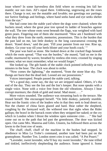issue where? In some harvestless dim field where no evening lets fall her mantle; nor sun rises. All's equal there. Unblowing, ungrowing are the roses there. Change is not; nor the mutable and lovable; nor greetings nor partings; nor furtive findings and feelings, where hand seeks hand and eye seeks shelter from the eye."

She had come into the stable yard where the dogs were chained; where the buckets stood; where the great pear tree spread its ladder of branches against the wall. The tree whose roots went beneath the flags, was weighted with hard green pears. Fingering one of them she murmured: "How am I burdened with what they drew from the earth; memories; possessions. This is the burden that the past laid on me, last little donkey in the long caravanserai crossing the desert. 'Kneel down,' said the past. 'Fill your pannier from our tree. Rise up, donkey. Go your way till your heels blister and your hoofs crack.' "

The pear was hard as stone. She looked down at the cracked flags beneath which the roots spread. "That was the burden," she mused, "laid on me in the cradle; murmured by waves; breathed by restless elm trees; crooned by singing women; what we must remember; what we would forget."

She looked up. The gilt hands of the stable clock pointed inflexibly at two minutes to the hour. The clock was about to strike.

"Now comes the lightning," she muttered, "from the stone blue sky. The thongs are burst that the dead tied. Loosed are our possessions."

Voices interrupted. People passed the stable yard, talking.

"It's a good day, some say, the day we are stripped naked. Others, it's the end of the day. They see the Inn and the Inn's keeper. But none speaks with a single voice. None with a voice free from the old vibrations. Always I hear corrupt murmurs; the chink of gold and metal. Mad music. . . ."

More voices sounded. The audience was streaming back to the terrace. She roused herself. She encouraged herself. "On little donkey, patiently stumble. Hear not the frantic cries of the leaders who in that they seek to lead desert us. Nor the chatter of china faces glazed and hard. Hear rather the shepherd, coughing by the farmyard wall; the withered tree that sighs when the Rider gallops; the brawl in the barrack room when they stripped her naked; or the cry which in London when I thrust the window open someone cries . . ." She had come out on to the path that led past the greenhouse. The door was kicked open. Out came Mrs. Manresa and Giles. Unseen, Isa followed them across the lawns to the front row of seats.

The chuff, chuff, chuff of the machine in the bushes had stopped. In obedience to Miss La Trobe's command, another tune had been put on the gramophone. Number Ten. London street cries it was called. "A Pot Pourri."

"Lavender, sweet lavender, who'll buy my sweet lavender," the tune trilled and tinkled, ineffectively shepherding the audience. Some ignored it. Some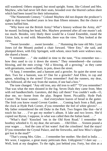still wandered. Others stopped, but stood upright. Some, like Colonel and Mrs. Mayhew, who had never left their seats, brooded over the blurred carbon sheet which had been issued for their information.

"The Nineteenth Century." Colonel Mayhew did not dispute the producer's right to skip two hundred years in less than fifteen minutes. But the choice of scenes baffled him.

"Why leave out the British Army? What's history without the Army, eh?" he mused. Inclining her head, Mrs. Mayhew protested after all one mustn't ask too much. Besides, very likely there would be a Grand Ensemble, round the Union Jack, to end with. Meanwhile, there was the view. They looked at the view.

"Sweet lavender . . . sweet lavender. . . ." Humming the tune old Mrs. Lynn Jones (of the Mount) pushed a chair forward. "Here Etty," she said, and plumped down, with Etty Springett, with whom, since both were widows now, she shared a house.

"I remember . . ." she nodded in time to the tune, "You remember too how they used to cry it down the streets." They remembered—the curtains blowing, and the men crying: "All a blowing, all a growing," as they came with geraniums, sweet william, in pots, down the street.

"A harp, I remember, and a hansom and a growler. So quiet the street was then. Two for a hansom, was it? One for a growler? And Ellen, in cap and apron, whistling in the street? D'you remember? And the runners, my dear, who followed, all the way from the station, if one had a box."

The tune changed. "Any old iron, any old iron to sell?" "D'you remember? That was what the men shouted in the fog. Seven Dials they came from. Men with red handkerchiefs. Garotters, did they call them? You couldn't walk—O, dear me, no—home from the play. Regent Street. Piccadilly. Hyde Park Corner. The loose women . . . And everywhere loaves of bread in the gutter. The Irish you know round Covent Garden . . . Coming back from a Ball, past the clock at Hyde Park Corner, d'you remember the feel of white gloves? . . . My father remembered the old Duke in the Park. Two fingers like that—he'd touch his hat . . . I've got my mother's album. A lake and two lovers. She'd copied out Byron, I suppose, in what was called then the Italian hand. . . ."

"What's that? 'Knocked 'em in the Old Kent Road.' I remember the bootboy whistled it. O, my dear, the servants . . . Old Ellen . . . Sixteen pound a year wages . . . And the cans of hot water! And the crinolines! And the stays! D'you remember the Crystal Palace, and the fireworks, and how Mira's slipper got lost in the mud?"

"That's young Mrs. Giles . . . I remember her mother. She died in India . . . We wore, I suppose, a great many petticoats then. Unhygienic? I dare say . . . Well, look at my daughter. To the right, just behind you. Forty, but slim as a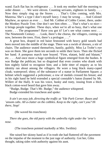wand. Each flat has its refrigerator . . . It took my mother half the morning to order dinner. . . . We were eleven. Counting servants, eighteen in family. . . . Now they simply ring up the Stores . . . That's Giles coming, with Mrs. Manresa. She's a type I don't myself fancy. I may be wrong . . . And Colonel Mayhew, as spruce as ever . . . And Mr. Cobbet of Cobbs Corner, there, under the Monkey Puzzle Tree. One don't see him often . . . That's what's so nice it brings people together. These days, when we're all so busy, that's what one wants . . . The programme? Have you got it? Let's see what comes next . . . The Nineteenth Century . . . Look, there's the chorus, the villagers, coming on now, between the trees. First, there's a prologue. . . ."

A great box, draped in red baize festooned with heavy gold tassels had been moved into the middle of the stage. There was a swish of dresses, a stir of chairs. The audience seated themselves, hastily, guiltily. Miss La Trobe's eye was on them. She gave them ten seconds to settle their faces. Then she flicked her hand. A pompous march tune brayed. "Firm, elatant, bold and blatant," etc. . . . And once more a huge symbolical figure emerged from the bushes. It was Budge the publican; but so disguised that even cronies who drank with him nightly failed to recognize him; and a little titter of enquiry as to his identity ran about among the villagers. He wore a long black many-caped cloak; waterproof; shiny; of the substance of a statue in Parliament Square; a helmet which suggested a policeman; a row of medals crossed his breast; and in his right hand he held extended a special constable's baton (loaned by Mr. Willert of the Hall). It was his voice, husky and rusty, issuing from a thick black cotton-wool beard that gave him away.

"Budge, Budge. That's Mr. Budge," the audience whispered. Budge extended his truncheon and spoke:

*It ain't an easy job, directing the traffic at 'Yde Park Corner. Buses and 'ansom cabs. All a-clatter on the cobbles. Keep to the right, can't you? Hi there, Stop!*

(He waved his truncheon)

*There she goes, the old party with the umbrella right under the 'orse's nose.*

(The truncheon pointed markedly at Mrs. Swithin)

She raised her skinny hand as if in truth she had fluttered off the pavement on the impulse of the moment to the just rage of authority. Got her, Giles thought, taking sides with authority against his aunt.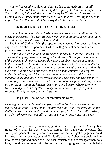*Fog or fine weather, I does my duty* (Budge continued). *At Piccadilly Circus; at 'Yde Park Corner, directing the traffic of 'Er Majesty's Empire. The Shah of Persia; Sultan of Morocco; or it may be 'Er Majesty in person; or Cook's tourists; black men; white men; sailors, soldiers; crossing the ocean; to proclaim her Empire; all of 'em Obey the Rule of my truncheon.*

(He flourished it magnificently from right to left)

*But my job don't end there. I take under my protection and direction the purity and security of all Her Majesty's minions; in all parts of her dominions; insist that they obey the laws of God and Man.*

*The laws of God and Man* (he repeated and made as if to consult a Statute; engrossed on a sheet of parchment which with great deliberation he now produced from his trouser pocket)

*Go to Church on Sunday; on Monday, nine sharp, catch the City Bus. On Tuesday it may be, attend a meeting at the Mansion House for the redemption of the sinner; at dinner on Wednesday attend another—turtle soup. Some bother it may be in Ireland; Famine. Fenians. What not. On Thursday it's the natives of Peru require protection and correction; we give 'em what's due. But mark you, our rule don't end there. It's a Christian country, our Empire; under the White Queen Victoria. Over thought and religion; drink; dress; manners; marriage too, I wield my truncheon. Prosperity and respectability always go, as we know, 'and in 'and. The ruler of an Empire must keep his eye on the cot; spy too in the kitchen; drawing-room; library; wherever one or two, me and you, come together. Purity our watchword; prosperity and respectability. If not, why, let 'em fester in . . .*

(He paused—no, he had not forgotten his words)

*Cripplegate; St. Giles's; Whitechapel; the Minories. Let 'em sweat at the mines; cough at the looms; rightly endure their lot. That's the price of Empire; that's the white man's burden. And, I can tell you, to direct the traffic orderly, at 'Yde Park Corner, Piccadilly Circus, is a whole-time, white man's job.*

He paused, eminent, dominant, glaring from his pedestal. A very fine figure of a man he was, everyone agreed, his truncheon extended; his waterproof pendant. It only wanted a shower of rain, a flight of pigeons round his head, and the pealing bells of St. Paul's and the Abbey to transform him into the very spit and image of a Victorian constable; and to transport them to a foggy London afternoon, with the muffin bells ringing and the church bells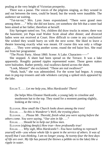pealing at the very height of Victorian prosperity.

There was a pause. The voices of the pilgrims singing, as they wound in and out between the trees, could be heard; but the words were inaudible. The audience sat waiting.

"Tut-tut-tut," Mrs. Lynn Jones expostulated. "There were grand men among them . . ." Why she did not know, yet somehow she felt that a sneer had been aimed at her father; therefore at herself.

Etty Springett tutted too. Yet, children did draw trucks in mines; there was the basement; yet Papa read Walter Scott aloud after dinner; and divorced ladies were not received at Court. How difficult to come to any conclusion! She wished they would hurry on with the next scene. She liked to leave a theatre knowing exactly what was meant. Of course this was only a village play. . . . They were setting another scene, round the red baize box. She read out from her programme:

"The Picnic Party. About 1860. Scene: A Lake. Characters——"

She stopped. A sheet had been spread on the Terrace. It was a lake apparently. Roughly painted ripples represented water. Those green stakes were bulrushes. Rather prettily, real swallows darted across the sheet.

"Look, Minnie!" she exclaimed. "Those are real swallows!"

"Hush, hush," she was admonished. For the scene had begun. A young man in peg-top trousers and side whiskers carrying a spiked stick appeared by the lake.

EDGAR T. . . . *Let me help you, Miss Hardcastle! There!*

(he helps Miss Eleanor Hardcastle, a young lady in crinoline and mushroom hat to the top. They stand for a moment panting slightly, looking at the view,)

ELEANOR. *How small the Church looks down among the trees!*

EDGAR. . . . *So this is Wanderer's Well, the trysting place.*

ELEANOR. . . . *Please Mr. Thorold, finish what you were saying before the others come. You were saying, "Our aim in life . . ."*

EDGAR. . . . *Should be to help our fellow men.*

ELEANOR (sighing deeply) *How true—how profoundly true!*

EDGAR. . . . *Why sigh, Miss Hardcastle?—You have nothing to reproach yourself with—you whose whole life is spent in the service of others. It was of myself that I was thinking. I am no longer young. At twenty-four the best days of life are over. My life has passed (he* throws a pebble on to the lake) *like a ripple in water*.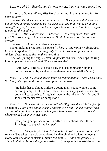ELEANOR. *Oh Mr. Thorold, you do not know me. I am not what I seem. I too*

EDGAR. . . . *Do not tell me, Miss Hardcastle—no, I cannot believe it—You have doubted?*

ELEANOR. *Thank Heaven not that, not that . . . But safe and sheltered as I am, always at home, protected as you see me, as you think me. O what am I saying? But yes, I will speak the truth, before Mama comes. I too have longed to convert the heathen!*

EDGAR. . . . *Miss Hardcastle . . . Eleanor . . . You tempt me! Dare I ask you? No—so young, so fair, so innocent. Think, I implore you, before you answer.*

ELEANOR. . . . *I have thought—on my knees!*

*——*

EDGAR. (taking a ring from his pocket) *Then. . . . My mother with her last breath charged me to give this ring only to one to whom a lifetime in the African desert among the heathens would be——*

ELEANOR. (taking the ring) *Perfect happiness! But hist!* (She slips the ring into her pocket) *Here's Mama!* (They start asunder)

> (Enter Mrs. Hardcastle, a stout lady in black bombazine, upon a donkey, escorted by an elderly gentleman in a deer-stalker's cap)

MRS. H. . . . *So you stole a march upon us, young people. There was a time, Sir John, when you and I were always first on top. Now . . .*

(He helps her to alight. Children, young men, young women, some carrying hampers, others butterfly nets, others spy-glasses, others tin botanical cases arrive. A rug is thrown by the lake and Mrs. H. and Sir John seat themselves on camp stools.)

MRS. H. . . . *Now who'll fill the kettles? Who'll gather the sticks? Alfred* (to a small boy), *don't run about chasing butterflies or you'll make yourself sick . . . Sir John and I will unpack the hampers, here where the grass is burnt, where we had the picnic last year.*

(The young people scatter off in different directions. Mrs. H. and Sir John begin to unpack the hamper)

MRS. H. . . . *Last year poor dear Mr. Beach was with us. It was a blessed release* (She takes out a black-bordered handkerchief and wipes her eyes). *Every year one of us is missing. That's the ham . . . That's the grouse . . . There in that packet are the game pasties . . .* (She spreads the eatables on the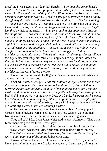grass) *As I was saying poor dear Mr. Beach . . . I do hope the cream hasn't curdled. Mr. Hardcastle is bringing the claret. I always leave that to him. Only when Mr. Hardcastle gets talking with Mr. Pigott about the Romans . . . last year they quite came to words. . . . But it's nice for gentlemen to have a hobby, though they do gather the dust—those skulls and things. . . . But I was saying ——poor dear Mr. Beach. . . . I wanted to ask you* (she drops her voice) *as a friend of the family, about the new clergyman—they can't hear us, can they? No, they're picking up sticks. . . . Last year, such a disappointment. Just got the things out . . . down came the rain. But I wanted to ask you, about the new clergyman, the one who's come in place of dear Mr. Beach. I'm told the name's Sibthorp. To be sure, I hope I'm right, for I had a cousin who married a girl of that name, and as a friend of the family, we don't stand on ceremony . . . And when one has daughters—I'm sure I quite envy you, with only one daughter, Sir John, and I have four! So I was asking you to tell me in confidence, about this young—if that's-his-name—Sibthorp, for I must tell you the day before yesterday our Mrs. Potts happened to say, as she passed the Rectory, bringing our laundry, they were unpacking the furniture; and what did she see on top of the wardrobe? A tea cosy! But of course she might be mistaken . . . But it occurred to me to ask you, as a friend of the family, in confidence*, has Mr. Sibthorp a wife?

Here a chorus composed of villagers in Victorian mantles, side whiskers and top hats sang in concert:

*O has Mr. Sibthorp a wife? O has Mr. Sibthorp a wife? That is the hornet, the bee in the bonnet, the screw in the cork and the drill; that whirling and twirling are for ever unfurling the folds of the motherly heart; for a mother must ask, if daughters she has, begot in the feathery billowy fourposter family bed, O did he unpack, with his prayer book and bands; his gown and his cane; his rod and his line; and the family album and gun; did he also display the connubial respectable tea-table token, a cosy with honeysuckle embossed. Has Mr. Sibthorp a wife? O has Mr. Sibthorp a wife?*

While the chorus was sung, the picnickers assembled. Corks popped. Grouse, ham, chickens were sliced. Lips munched. Glasses were drained. Nothing was heard but the chump of jaws and the chink of glasses.

"They did eat," Mrs. Lynn Jones whispered to Mrs. Springett. "That's true. More than was good for them, I dare say."

MR. HARDCASTLE . . . (brushing flakes of meat from his whiskers) *Now* . . . "Now what?" whispered Mrs. Springett, anticipating further travesty.

*Now that we have gratified the inner man, let us gratify the desire of the spirit. I call upon one of the young ladies for a song.*

CHORUS OF YOUNG LADIES . . . *O not me . . . not me . . . I really couldn't . . . No, you cruel thing, you know I've lost my voice . . . I can't sing without the*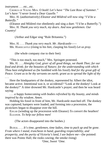*instrument . . . etc., etc.*

CHORUS OF YOUNG MEN. *O bosh! Let's have "The Last Rose of Summer." Let's have "I never loved a Dear Gazelle."*

MRS. H. (authoritatively) *Eleanor and Mildred will now sing "I'd be a Butterfly."*

(Eleanor and Mildred rise obediently and sing a duet: "I'd be a Butterfly.") MRS. H. *Thank you very much, my dears. And now gentlemen. Our Country!*

(Arthur and Edgar sing "Rule Britannia.")

MRS. H. . . . *Thank you very much. Mr. Hardcastle——* MR. HARDCASTLE (rising to his feet, clasping his fossil) *Let us pray.*

(the whole company rise to their feet)

"This is too much, too much," Mrs. Springett protested.

MR. H. . . . *Almighty God, giver of all good things, we thank Thee; for our food and drink; for the beauties of Nature; for the understanding with which Thou hast enlightened us* (he fumbled with his fossil) *And for thy great gift of Peace. Grant us to be thy servants on earth; grant us to spread the light of thy . . .*

Here the hindquarters of the donkey, represented by Albert the idiot, became active. Intentional was it, or accidental? "Look at the donkey! Look at the donkey!" A titter drowned Mr. Hardcastle's prayer; and then he was heard saying:

. . . *a happy homecoming with bodies refreshed by thy bounty, and minds inspired by thy wisdom. Amen.*

Holding his fossil in front of him, Mr. Hardcastle marched off. The donkey was captured; hampers were loaded; and forming into a procession, the picnickers began to disappear over the hill.

EDGAR (winding up the procession with Eleanor) *To convert the heathen!* ELEANOR. *To help our fellow men!*

(The actors disappeared into the bushes.)

BUDGE. . . . *It's time, gentlemen, time ladies, time to pack up and be gone. From where I stand, truncheon in hand, guarding respectability, and prosperity, and the purity of Victoria's land, I see before me*—(he pointed: there was Pointz Hall; the rooks cawing; the smoke rising)

*'Ome, Sweet 'Ome.*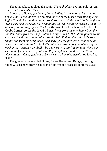The gramophone took up the strain: *Through pleasures and palaces, etc. There's no place like Home.*

BUDGE. . . . *Home, gentlemen; home, ladies, it's time to pack up and go home. Don't I see the fire* (he pointed: one window blazed red) *blazing ever higher? In kitchen; and nursery; drawing-room and library? That's the fire of 'Ome. And see! Our Jane has brought the tea. Now children where's the toys? Mama, your knitting, quick. For here* (he swept his truncheon at Cobbet of Cobbs Corner) *comes the bread-winner, home from the city, home from the counter, home from the shop. "Mama, a cup o' tea." "Children, gather round my knee. I will read aloud. Which shall it be? Sindbad the sailor? Or some simple tale from the Scriptures? And show you the pictures? What none of 'em? Then out with the bricks. Let's build: A conservatory. A laboratory? A mechanics' institute? Or shall it be a tower; with our flag on top; where our widowed Queen, after tea, calls the Royal orphans round her knee? For it's 'Ome, ladies, 'Ome, gentlemen. Be it never so humble, there's no place like 'Ome."*

The gramophone warbled Home, Sweet Home, and Budge, swaying slightly, descended from his box and followed the procession off the stage.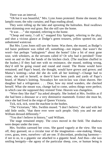There was an interval.

"Oh but it was beautiful," Mrs. Lynn Jones protested. Home she meant; the lamplit room; the ruby curtains; and Papa reading aloud.

They were rolling up the lake and uprooting the bulrushes. Real swallows were skimming over real grass. But she still saw the home.

"It was . . ." she repeated, referring to the home.

"Cheap and nasty, I call it," snapped Etty Springett, referring to the play, and shot a vicious glance at Dodge's green trousers, yellow spotted tie, and unbuttoned waistcoat.

But Mrs. Lynn Jones still saw the home. Was there, she mused, as Budge's red baize pediment was rolled off, something—not impure, that wasn't the word—but perhaps "unhygienic" about the home? Like a bit of meat gone sour, with whiskers, as the servants called it? Or why had it perished? Time went on and on like the hands of the kitchen clock. (The machine chuffed in the bushes.) If they had met with no resistance, she mused, nothing wrong, they'd still be going round and round and round. The Home would have remained; and Papa's beard, she thought, would have grown and grown; and Mama's knitting—what did she do with all her knitting?—Change had to come, she said to herself, or there'd have been yards and yards of Papa's beard, of Mama's knitting. Nowadays her son-in-law was clean shaven. Her daughter had a refrigerator. . . . Dear, how my mind wanders, she checked herself. What she meant was, change had to come, unless things were perfect; in which case she supposed they resisted Time. Heaven was changeless.

"Were they like that?" Isa asked abruptly. She looked at Mrs. Swithin as if she had been a dinosaur or a very diminutive mammoth. Extinct she must be, since she had lived in the reign of Queen Victoria.

Tick, tick, tick, went the machine in the bushes.

"The Victorians," Mrs. Swithin mused. "I don't believe," she said with her odd little smile, "that there ever were such people. Only you and me and William dressed differently."

"You don't believe in history," said William.

The stage remained empty. The cows moved in the field. The shadows were deeper under the trees.

Mrs. Swithin caressed her cross. She gazed vaguely at the view. She was off, they guessed, on a circular tour of the imagination—one-making. Sheep, cows, grass, trees, ourselves—all are one. If discordant, producing harmony if not to us, to a gigantic ear attached to a gigantic head. And thus—she was smiling benignly—the agony of the particular sheep, cow, or human being is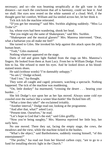necessary; and so—she was beaming seraphically at the gilt vane in the distance—we reach the conclusion that *all* is harmony, could we hear it. And we shall. Her eyes now rested on the white summit of a cloud. Well, if the thought gave her comfort, William and Isa smiled across her, let her think it.

Tick tick tick the machine reiterated.

"D'you get her meaning?" said Mrs. Swithin alighting suddenly. "Miss La Trobe's?"

Isa, whose eyes had been wandering, shook her head.

"But you might say the same of Shakespeare," said Mrs. Swithin.

"Shakespeare and the musical glasses!" Mrs. Manresa intervened. "Dear, what a barbarian you all make me feel!"

She turned to Giles. She invoked his help against this attack upon the jolly human heart.

"Tosh," Giles muttered.

Nothing whatever appeared on the stage.

Darts of red and green light flashed from the rings on Mrs. Manresa's fingers. He looked from them at Aunt Lucy. From her to William Dodge. From him to Isa. She refused to meet his eyes. And he looked down at his bloodstained tennis shoes.

He said (without words) "I'm damnably unhappy."

"So am I," Dodge echoed.

"And I too," Isa thought.

They were all caught and caged; prisoners; watching a spectacle. Nothing happened. The tick of the machine was maddening.

"On, little donkey" Isa murmured, "crossing the desert . . . bearing your burden . . ."

She felt Dodge's eye upon her as her lips moved. Always some cold eye crawled over the surface like a winter blue-bottle! She flicked him off.

"What a time they take!" she exclaimed irritably.

"Another interval," Dodge read out, looking at the programme.

"And after that, what?" asked Lucy.

"Present time. Ourselves," he read.

"Let's hope to God that's the end," said Giles gruffly.

"Now you're being naughty," Mrs. Manresa reproved her little boy, her surly hero.

No one moved. There they sat, facing the empty stage, the cows, the meadows and the view, while the machine ticked in the bushes.

"What's the object," said Bartholomew, suddenly rousing himself, "of this entertainment?"

"The profits," Isa read out from her blurred carbon copy, "are to go to a fund for installing electric light in the Church."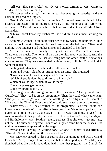"All our village festivals," Mr. Oliver snorted turning to Mrs. Manresa, "end with a demand for money."

"Of course, of course," she murmured, deprecating his severity, and the coins in her bead bag jingled.

"Nothing's done for nothing in England," the old man continued. Mrs. Manresa protested. It might be true, perhaps, of the Victorians; but surely not of ourselves? Did she really believe that we were disinterested? Mr. Oliver demanded.

"Oh you don't know my husband!" the wild child exclaimed, striking an attitude.

Admirable woman! You could trust her to crow when the hour struck like an alarm clock; to stop like an old bus horse when the bell rang. Oliver said nothing. Mrs. Manresa had out her mirror and attended to her face.

All their nerves were on edge. They sat exposed. The machine ticked. There was no music. The horns of cars on the high road were heard. And the swish of trees. They were neither one thing nor the other; neither Victorians nor themselves. They were suspended, without being, in limbo. Tick, tick, tick went the machine.

Isa fidgeted; glancing to right and to left over her shoulder.

"Four and twenty blackbirds, strung upon a string," she muttered.

"Down came an Ostrich, an eagle, an executioner.

'Which of you is ripe,' he said, 'to bake in my pie?

Which of you is ripe, which of you is ready,

Come my pretty gentleman,

Come my pretty lady.' . . ."

How long was she going to keep them waiting? "The present time. Ourselves." They read it on the programme. Then they read what came next: "The profits are to go to a fund for installing electric light in the Church." Where was the Church? Over there. You could see the spire among the trees.

"Ourselves. . . ." They returned to the programme. But what could she know about ourselves? The Elizabethans yes; the Victorians, perhaps; but ourselves; sitting here on a June day in 1939—it was ridiculous. "Myself"—it was impossible. Other people, perhaps . . . Cobbet of Cobbs Corner; the Major; old Bartholomew; Mrs. Swithin—them, perhaps. But she won't get me—no, not me. The audience fidgeted. Sounds of laughter came from the bushes. But nothing whatsoever appeared on the stage.

"What's she keeping us waiting for?" Colonel Mayhew asked irritably. "They don't need to dress up if it's present time."

Mrs. Mayhew agreed. Unless of course she was going to end with a Grand Ensemble. Army; Navy; Union Jack; and behind them perhaps—Mrs. Mayhew sketched what she would have done had it been her pageant—the Church. In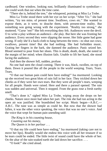cardboard. One window, looking east, brilliantly illuminated to symbolize she could work that out when the time came.

"There she is, behind the tree," she whispered, pointing at Miss La Trobe.

Miss La Trobe stood there with her eye on her script. "After Vic." she had written, "try ten mins. of present time. Swallows, cows etc." She wanted to expose them, as it were, to douche them, with present-time reality. But something was going wrong with the experiment. "Reality too strong," she muttered. "Curse 'em!" She felt everything they felt. Audiences were the devil. O to write a play without an audience—*the* play. But here she was fronting her audience. Every second they were slipping the noose. Her little game had gone wrong. If only she'd a back-cloth to hang between the trees—to shut out cows, swallows, present time! But she had nothing. She had forbidden music. Grating her fingers in the bark, she damned the audience. Panic seized her. Blood seemed to pour from her shoes. This is death, death, death, she noted in the margin of her mind; when illusion fails. Unable to lift her hand, she stood facing the audience.

And then the shower fell, sudden, profuse.

No one had seen the cloud coming. There it was, black, swollen, on top of them. Down it poured like all the people in the world weeping. Tears, Tears. Tears.

"O that our human pain could here have ending!" Isa murmured. Looking up she received two great blots of rain full in her face. They trickled down her cheeks as if they were her own tears. But they were all people's tears, weeping for all people. Hands were raised. Here and there a parasol opened. The rain was sudden and universal. Then it stopped. From the grass rose a fresh earthy smell.

"That's done it," sighed Miss La Trobe, wiping away the drops on her cheeks. Nature once more had taken her part. The risk she had run acting in the open air was justified. She brandished her script. Music began—A.B.C.— A.B.C. The tune was as simple as could be. But now that the shower had fallen, it was the other voice speaking, the voice that was no one's voice. And the voice that wept for human pain unending said:

*The King is in his counting house, Counting out his money, The Queen is in her parlour . . .*

"O that my life could here have ending," Isa murmured (taking care not to move her lips). Readily would she endow this voice with all her treasure if so be tears could be ended. The little twist of sound could have the whole of her. On the altar of the rain-soaked earth she laid down her sacrifice. . . .

"O look!" she cried aloud.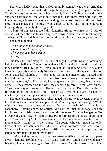That was a ladder. And that (a cloth roughly painted) was a wall. And that a man with a hod on his back. Mr. Page the reporter, licking his pencil, noted: "With the very limited means at her disposal, Miss La Trobe conveyed to the audience Civilization (the wall) in ruins; rebuilt (witness man with hod) by human effort; witness also woman handing bricks. Any fool could grasp that. Now issued black man in fuzzy wig; coffee-coloured ditto in silver turban; they signify presumably the League of . . ."

A burst of applause greeted this flattering tribute to ourselves. Crude of course. But then she had to keep expenses down. A painted cloth must convey —what the *Times* and *Telegraph* both said in their leaders that very morning.

The tune hummed:

*The King is in his counting house, Counting out his money, The Queen is in her parlour Eating . . .*

Suddenly the tune stopped. The tune changed. A waltz, was it? Something half known, half not. The swallows danced it. Round and round, in and out they skimmed. Real swallows. Retreating and advancing. And the trees, O the trees, how gravely and sedately like senators in council, or the spaced pillars of some cathedral church. . . . Yes, they barred the music, and massed and hoarded; and prevented what was fluid from overflowing. The swallows—or martins were they?—The temple-haunting martins who come, have always come . . . Yes, perched on the wall, they seemed to foretell what after all the *Times* was saying yesterday. Homes will be built. Each flat with its refrigerator, in the crannied wall. Each of us a free man; plates washed by machinery; not an aeroplane to vex us; all liberated; made whole. . . .

The tune changed; snapped; broke; jagged. Fox-trot was it? Jazz? Anyhow the rhythm kicked, reared, snapped short. What a jangle and a jingle! Well, with the means at her disposal, you can't ask too much. What a cackle, a cacophony! Nothing ended. So abrupt. And corrupt. Such an outrage; such an insult; And not plain. Very up to date, all the same. What is her game? To disrupt? Jog and trot? Jerk and smirk? Put the finger to the nose? Squint and pry? Peak and spy? O the irreverence of the generation which is only momentarily—thanks be—"the young." The young, who can't make, but only break; shiver into splinters the old vision; smash to atoms what was whole. What a cackle, what a rattle, what a yaffle—as they call the woodpecker, the laughing bird that flits from tree to tree.

Look! Out they come, from the bushes—the riff-raff. Children? Imps elves—demons. Holding what? Tin cans? Bedroom candlesticks? Old jars? My dear, that's the cheval glass from the Rectory! And the mirror—that I lent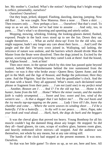her. My mother's. Cracked. What's the notion? Anything that's bright enough to reflect, presumably, ourselves?

Ourselves! Ourselves!

Out they leapt, jerked, skipped. Flashing, dazzling, dancing, jumping. Now old Bart . . . he was caught. Now Manresa. Here a nose . . . There a skirt . . . Then trousers only . . . Now perhaps a face. . . . Ourselves? But that's cruel. To snap us as we are, before we've had time to assume . . . And only, too, in parts. . . . That's what's so distorting and upsetting and utterly unfair.

Mopping, mowing, whisking, frisking, the looking-glasses darted, flashed, exposed. People in the back rows stood up to see the fun. Down they sat, caught themselves . . . What an awful show-up! Even for the old who, one might suppose, hadn't any longer any care about their faces. . . . And Lord! the jangle and the din! The very cows joined in. Walloping, tail lashing, the reticence of nature was undone, and the barriers which should divide Man the Master from the Brute were dissolved. Then the dogs joined in. Excited by the uproar, scurrying and worrying, here they camel Look at them! And the hound, the Afghan hound . . . look at him!

Then once more, in the uproar which by this time has passed quite beyond control, behold Miss Whatshername behind the tree summoned from the bushes—or was it *they* who broke away—Queen Bess; Queen Anne; and the girl in the Mall; and the Age of Reason; and Budge the policeman; Here they came. And the Pilgrims. And the lovers. And the grandfather's clock. And the old man with a beard. They all appeared. What's more, each declaimed some phrase or fragment from their parts . . . *I am not* (said one) *in my perfect mind* ... Another, Reason am I ... And I? I'm the old top hat.... Home is the *hunter, home from the hill . . . Home? Where the miner sweats, and the maiden faith is rudely strumpeted. . . . Sweet and low; sweet and low, wind of the* western sea . . . Is that a dagger that I see before me? . . . The owl hoots and *the ivy mocks tap-tap-tapping on the pane. . . . Lady I love till I die, leave thy chamber and come . . . Where the worm weaves its winding sheet . . . I'd be a* butterfly. I'd be a butterfly. . . . In thy will is our peace. . . . Here, Papa, take *your book and read aloud. . . . Hark, hark, the dogs do bark and the beggars . . .*

It was the cheval glass that proved too heavy. Young Bonthorp for all his muscle couldn't lug the damned thing about any longer. He stopped. So did they all—hand glasses, tin cans, scraps of scullery glass, harness room glass, and heavily embossed silver mirrors—all stopped. And the audience saw themselves, not whole by any means, but at any rate sitting still.

The hands of the clock had stopped at the present moment. It was now. Ourselves.

So that was her little game! To show us up, as we are, here and how. All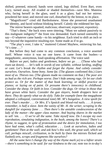shifted, preened, minced; hands were raised, legs shifted. Even Bart, even Lucy, turned away. All evaded or shaded themselves—save Mrs. Manresa who, facing herself in the glass, used it as a glass; had out her mirror; powdered her nose; and moved one curl, disturbed by the breeze, to its place.

"Magnificent!" cried old Bartholomew. Alone she preserved unashamed her identity, and faced without blinking herself. Calmly she reddened her lips.

The mirror bearers squatted; malicious; observant; expectant; expository.

"That's them," the back rows were tittering. "Must we submit passively to this malignant indignity?" the front row demanded. Each turned ostensibly to say—O whatever came handy—to his neighbour. Each tried to shift an inch or two beyond the inquisitive insulting eye. Some made as if to go.

"The play's over, I take it," muttered Colonel Mayhew, retrieving his hat. "It's time  $\ldots$ "

But before they had come to any common conclusion, a voice asserted itself. Whose voice it was no one knew. It came from the bushes—a megaphontic, anonymous, loud-speaking affirmation. The voice said:

*Before we part, ladies and gentlemen, before we go . . .* (Those who had risen sat down) *. . . let's talk in words of one syllable, without larding, stuffing or cant. Let's break the rhythm and forget the rhyme. And calmly consider ourselves. Ourselves. Some bony. Some fat.* (The glasses confirmed this.) *Liars most of us. Thieves too.* (The glasses made no comment on that.) *The poor are as bad as the rich are. Perhaps worse. Don't hide among rags. Or let our cloth protect us. Or for the matter of that book learning; or skilful practice on pianos; or laying on of paint. Or presume there's innocency in childhood. Consider the sheep. Or faith in love. Consider the dogs. Or virtue in those that have grown white hairs. Consider the gun slayers, bomb droppers here or there. They do openly what we do slyly. Take for example* (here the megaphone adopted a colloquial, conversational tone) *Mr. M's bungalow. A view spoilt for ever. That's murder . . . Or Mrs. E's lipstick and blood-red nails. . . . A tyrant, remember, is half a slave. Item the vanity of Mr. H. the writer, scraping in the dunghill for sixpenny fame . . . Then there's the amiable condescension of the lady of the manor—the upper class manner. And buying shares in the market to sell 'em. . . . O we're all the same. Take myself now. Do I escape my own reprobation, simulating indignation, in the bush, among the leaves? There's a rhyme, to suggest, in spite of protestation and the desire for immolation, I too have had some, what's called, education . . . Look at ourselves, ladies and gentlemen! Then at the wall; and ask how's this wall, the great wall, which we call, perhaps miscall, civilization, to be built by* (here the mirrors flicked and flashed) *orts, scraps and fragments like ourselves?*

*All the same here I change (by way of the rhyme mark ye) to a loftier strain —there's something to be said: for our kindness to the cat; note too in to-day's*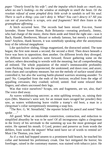*paper "Dearly loved by his wife"; and the impulse which leads us—mark you, when no one's looking—to the window at midnight to smell the bean. Or the resolute refusal of some pimpled dirty little scrub in sandals to sell his soul. There is such a thing—you can't deny it. What? You can't descry it? All you can see of yourselves is scraps, orts and fragments? Well then listen to the gramophone affirming. . . .*

A hitch occurred here. The records had been mixed. Fox-trot, Sweet lavender, Home Sweet Home, Rule Britannia—sweating profusely, Jimmy, who had charge of the music, threw them aside and fitted the right one—was it Bach, Handel, Beethoven, Mozart or nobody famous, but merely a traditional tune? Anyhow, thank heaven, it was somebody speaking after the anonymous bray of the infernal megaphone.

Like quicksilver sliding, filings magnetized, the distracted united. The tune began; the first note meant a second; the second a third. Then down beneath a force was born in opposition; then another. On different levels they diverged. On different levels ourselves went forward; flower gathering some on the surface; others descending to wrestle with the meaning; but all comprehending; all enlisted. The whole population of the mind's immeasurable profundity came flocking; from the unprotected, the unskinned; and dawn rose; and azure; from chaos and cacophony measure; but not the melody of surface sound alone controlled it; but also the warring battle-plumed warriors straining asunder: To part? No. Compelled from the ends of the horizon; recalled from the edge of appalling crevasses; they crashed; solved; united. And some relaxed their fingers; and others uncrossed their legs.

Was that voice ourselves? Scraps, orts and fragments, are we, also, that? The voice died away.

As waves withdrawing uncover; as mist uplifting reveals; so, raising their eyes (Mrs. Manresa's were wet; for an instant tears ravaged her powder) they saw, as waters withdrawing leave visible a tramp's old boot, a man in a clergyman's collar surreptitiously mounting a soap box.

"The Rev. G. W. Streatfield," the reporter licked his pencil and noted "then spoke . . ."

All gazed. What an intolerable constriction, contraction, and reduction to simplified absurdity he was to be sure! Of all incongruous sights a clergyman in the livery of his servitude to the summing up was the most grotesque and entire. He opened his mouth. O Lord, protect and preserve us from words the defilers, from words the impure! What need have we of words to remind us? Must I be Thomas, you Jane?

As if a rook had hopped unseen to a prominent bald branch, he touched his collar and hemmed his preliminary croak. One fact mitigated the horror; his forefinger, raised in the customary manner, was stained with tobacco juice. He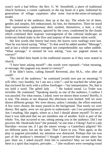wasn't such a bad fellow; the Rev. G. W. Streatfield; a piece of traditional church furniture; a corner cupboard; or the top beam of a gate, fashioned by generations of village carpenters after some lost-in-the-mists-of-antiquity model.

He looked at the audience; then up at the sky. The whole lot of them, gentles and simples, felt embarrassed, for him, for themselves. There he stood their representative spokesman; their symbol; themselves; a butt, a clod, laughed at by looking-glasses; ignored by the cows, condemned by the clouds which continued their majestic rearrangement of the celestial landscape; an irrelevant forked stake in the flow and majesty of the summer silent world.

His first words (the breeze had risen; the leaves were rustling) were lost. Then he was heard saying: "What." To that word he added another "Message"; and at last a whole sentence emerged; not comprehensible; say rather audible. "What message," it seemed he was asking, "was our pageant meant to convey?"

They folded their hands in the traditional manner as if they were seated in church.

"I have been asking myself"—the words were repeated—"what meaning, or message, this pageant was meant to convey?"

If he didn't know, calling himself Reverend, also M.A., who after all could?

"As one of the audience," he continued (words now put on meaning) "I will offer, very humbly, for I am not a critic"—and he touched the white gate that enclosed his neck with a yellow forefinger—"my interpretation. No, that is too bold a word. The gifted lady . . ." He looked round. La Trobe was invisible. He continued: "Speaking merely as one of the audience, I confess I was puzzled. For what reason, I asked, were we shown these scenes? Briefly, it is true. The means at our disposal this afternoon were limited. Still we were shown different groups. We were shown, unless I mistake, the effort renewed. A few were chosen; the many passed in the background. That surely we were shown. But again, were we not given to understand—am I too presumptuous? Am I treading, like angels, where as a fool I should absent myself? To me at least it was indicated that we are members one of another. Each is part of the whole. Yes, that occurred to me, sitting among you in the audience. Did I not perceive Mr. Hardcastle here" (he pointed) "at one time a Viking? And in Lady Harridan—excuse me, if I get the names wrong—a Canterbury pilgrim? We act different parts; but are the same. That I leave to you. Then again, as the play or pageant proceeded, my attention was distracted. Perhaps that too was part of the producer's intention? I thought I perceived that nature takes her part. Dare we, I asked myself, limit life to ourselves? May we not hold that there is a spirit that inspires, pervades . . ." (the swallows were sweeping round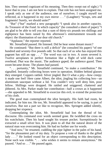him. They seemed cognizant of his meaning. Then they swept out of sight.) "I leave that to you. I am not here to explain. That role has not been assigned me. I speak only as one of the audience, one of ourselves. I caught myself too reflected, as it happened in my own mirror . . ." (Laughter) "Scraps, orts and fragments! Surely, we should unite?"

"But" ("but" marked a new paragraph) "I speak also in another capacity. As Treasurer of the Fund. In which capacity" (he consulted a sheet of paper) "I am glad to be able to tell you that a sum of thirty-six pounds ten shillings and eightpence has been raised by this afternoon's entertainment towards our object: the illumination of our dear old church."

"Applause," the reporter reported.

Mr. Streatfield paused. He listened. Did he hear some distant music?

He continued: "But there is still a deficit" (he consulted his paper) "of one hundred and seventy-five pounds odd. So that each of us who has enjoyed this pageant has still an opp . . ." The word was cut in two. A zoom severed it. Twelve aeroplanes in perfect formation like a flight of wild duck came overhead. *That* was the music. The audience gaped; the audience gazed. Then zoom became drone. The planes had passed.

". . . portunity," Mr. Streatfield continued, "to make a contribution." He signalled. Instantly collecting boxes were in operation. Hidden behind glasses they emerged. Coppers rattled. Silver jingled. But O what a pity—how creepy it made one feel! Here came Albert, the idiot, jingling his collecting box—an aluminium saucepan without a lid. You couldn't very well deny him, poor fellow. Shillings were dropped. He rattled and sniggered; chattered and jibbered. As Mrs. Parker made her contribution—half a crown as it happened —she appealed to Mr. Streatfield to exorcize this evil, to extend the protection of his cloth.

The good man contemplated the idiot benignly. His faith had room, he indicated, for him too. He too, Mr. Streatfield appeared to be saying, is part of ourselves. But not a part we like to recognize, Mrs. Springett added silently, dropping her sixpence.

Contemplating the idiot, Mr. Streatfield had lost the thread of his discourse. His command over words seemed gone. He twiddled the cross on his watchchain. Then his hand sought his trouser pocket. Surreptitiously he extracted a small silver box. It was plain to all that the natural desire of the natural man was overcoming him. He had no further use for words.

"And now," he resumed, cuddling the pipe lighter in the palm of his hand, "for the pleasantest part of my duty. To propose a vote of thanks to the gifted lady . . ." He looked round for an object corresponding to this description. None such was visible. ". . . who wishes it seems to remain anonymous." He paused. "And so . . ." He paused again.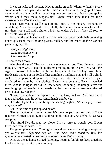It was an awkward moment. How to make an end? Whom to thank? Every sound in nature was painfully audible; the swish of the trees; the gulp of a cow; even the skim of the swallows over the grass could be heard. But no one spoke. Whom could they make responsible? Whom could they thank for their entertainment? Was there no one?

Then there was a scuffle behind the bush; a preliminary premonitory scratching. A needle scraped a disc; chuff, chuff chuff; then having found the rut, there was a roll and a flutter which portended *God* . . . (they all rose to their feet) *Save the King*.

Standing the audience faced the actors; who also stood with their collecting boxes quiescent, their looking-glasses hidden, and the robes of their various parts hanging stiff.

*Happy and glorious, Long to reign over us God save the King*

The notes died away.

Was that the end? The actors were reluctant to go. They lingered; they mingled. There was Budge the policeman talking to old Queen Bess. And the Age of Reason hobnobbed with the foreparts of the donkey. And Mrs. Hardcastle patted out the folds of her crinoline. And little England, still a child, sucked a peppermint drop out of a bag. Each still acted the unacted part conferred on them by their clothes. Beauty was on them. Beauty revealed them. Was it the light that did it?—the tender, the fading, the uninquisitive but searching light of evening that reveals depths in water and makes even the red brick bungalow radiant?

"Look," the audience whispered, "O look, look, look—" And once more they applauded; and the actors joined hands and bowed.

Old Mrs. Lynn Jones, fumbling for her bag, sighed, "What a pity—must they change?"

But it was time to pack up and be off.

"Home, gentlemen; home ladies; it's time to pack up and be off," the reporter whistled, snapping the band round his notebook. And Mrs. Parker was stooping.

"I'm afraid I've dropped my glove. I'm so sorry to trouble you. Down there, between the seats. . . ."

The gramophone was affirming in tones there was no denying, triumphant yet valedictory: *Dispersed are we; who have come together. But*, the gramophone asserted, *let us retain whatever made that harmony*.

O let us, the audience echoed (stooping, peering, fumbling), keep together. For there is joy, sweet joy, in company.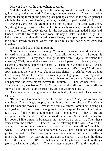*Dispersed are we*, the gramophone repeated.

And the audience turning saw the naming windows, each daubed with golden sun; and murmured: "Home, gentlemen; sweet . . ." yet delayed a moment, seeing through the golden glory perhaps a crack in the boiler; perhaps a hole in the carpet; and hearing, perhaps, the daily drop of the daily bill.

*Dispersed are we*, the gramophone informed them. And dismissed them. So, straightening themselves for the last time, each grasping, it might be a hat, or a stick or a pair of suède gloves, for the last time they applauded Budge and Queen Bess; the trees; the white road; Bolney Minster; and the Folly. One hailed another, and they dispersed, across lawns, down paths, past the house to the gravel-strewn crescent, where cars, push bikes and cycles were crowded together.

Friends hailed each other in passing.

"I do think," someone was saying, "Miss Whatshername should have come forward and not left it to the rector . . . After all, she wrote it. . . . I thought it brilliantly clever . . . O my dear, I thought it utter bosh. Did *you* understand the meaning? Well, he said she meant we all act all parts. . . . He said, too, if I caught his meaning, Nature takes part. . . . Then there was the idiot. . . . Also, why leave out the Army, as my husband was saying, if it's history? And if one spirit animates the whole, what about the aeroplanes? . . . Ah, but you're being too exacting. After all, remember, it was only a village play. . . . For my part, I think they should have passed a vote of thanks to the owners. When we had our pageant, the grass didn't recover till autumn . . . Then we had tents. . . . That's the man, Cobbet of Cobbs Corner, who wins all the prizes at all the shows. I don't myself admire prize flowers, nor yet prize dogs . . ."

*Dispersed are we*, the gramophone triumphed, yet lamented, *Dispersed are we*. . . .

"But you must remember," the old cronies chatted, "they had to do it on the cheap. You can't get people, at this time o' year, to rehearse. There's the hay, let alone the movies. . . . What we need is a centre. Something to bring us all together . . . The Brookes have gone to Italy, in spite of everything. Rather rash? . . . If the worst should come—let's hope it won't—they'd hire an aeroplane, so they said. . . . What amused me was old Streatfield, feeling for his pouch. I like a man to be natural, not always on a perch . . . Then those voices from the bushes. . . . Oracles? You're referring to the Greeks? Were the oracles, if I'm not being irreverent, a foretaste of our own religion? Which is what? . . . Crepe soles? That's so sensible . . . They last much longer and protect the feet. . . . But I was saying: can the Christian faith adapt itself? In times like these . . . At Larting no one goes to church . . . There's the dogs, there's the pictures. . . . It's odd that science, so they tell me, is making things (so to speak) more spiritual . . . The very latest notion, so I'm told is, nothing's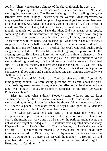solid . . . There, you can get a glimpse of the church through the trees. . . .

"Mr. Umphelby! How nice to see you! Do come and dine . . . No, alas, we're going back to town. The House is sitting . . . I was telling them, the Brookes have gone to Italy. They've seen the volcano. Most impressive, so they say—they were lucky—in eruption. I agree—things look worse than ever on the continent. And what's the channel, come to think of it, if they mean to invade us? The aeroplanes, I didn't like to say it, made one think. . . . No, I thought it much too scrappy. Take the idiot. Did she mean, so to speak, something hidden, the unconscious as they call it? But why always drag in sex. . . . It's true, there's a sense in which we all, I admit, are savages still. Those women with red nails. And dressing up—what's that? The old savage, I suppose. . . . That's the bell. Ding dong. Ding . . . Rather a cracked old bell . . . And the mirrors! Reflecting us . . . I called that cruel. One feels such a fool, caught unprotected . . . There's Mr. Streatfield, going, I suppose to take the evening service. He'll have to hurry, or he won't have time to change. . . . He said she meant we all act. Yes, but whose play? Ah, that's the question! And if we're left asking questions, isn't it a failure, as a play? I must say I like to feel sure if I go to the theatre, that I've grasped the meaning . . . Or was that, perhaps, what she meant? . . . Ding dong. Ding . . . that if we don't jump to conclusions, if you think, and I think, perhaps one day, thinking differently, we shall think the same?

"There's dear old Mr. Carfax . . . Can't we give you a lift, if you don't mind playing bodkin? We were asking questions, Mr. Carfax, about the play. The looking-glasses now—did they mean the reflection is the dream; and the tune—was it Bach, Handel, or no one in particular—is the truth? Or was it t'other way about?

"Bless my soul, what a dither! Nobody seems to know one car from another. That's why I have a mascot, a monkey . . . But I can't see it . . . While we're waiting, tell me, did you feel when the shower fell, someone wept for us all? There's a poem, *Tears tears tears*, it begins. And goes on *O then the unloosened ocean* . . . but I can't remember the rest.

"Then when Mr. Streatfield said: One spirit animates the whole—the aeroplanes interrupted. That's the worst of playing out of doors. . . . Unless of course she meant that very thing . . . Dear me, the parking arrangements are not what you might call adequate . . . I shouldn't have expected either so many Hispano-Suizas . . . That's a Rolls . . . That's a Bentley . . . That's the new type of Ford. . . . To return to the meaning—Are machines the devil, or do they introduce a discord . . . Ding dong, ding . . . by means of which we reach the final . . . Ding dong. . . . Here's the car with the monkey . . . Hop in . . . And good-bye, Mrs. Parker . . . Ring us up. Next time we're down don't forget . . . Next time . . . Next time . . ."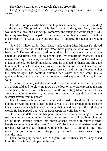The wheels scrurred on the gravel. The cars drove off.

The gramophone gurgled *Unity*—*Dispersity*. It gurgled *Un* . . . *dis* . . . And ceased.

The little company who had come together at luncheon were left standing on the terrace. The pilgrims had bruised a lane on the grass. Also, the lawn would need a deal of clearing up. Tomorrow the telephone would ring: "Did I leave my handbag? . . . A pair of spectacles in a red leather case? . . . A little old brooch of no value to anyone but me?" Tomorrow the telephone would ring.

Now Mr. Oliver said: "Dear lady," and, taking Mrs. Manresa's gloved hand in his, pressed it, as if to say: "You have given me what you now take from me." He would have liked to hold on for a moment longer to the emeralds and rubies dug up, so people said, by thin Ralph Manresa in his ragamuffin days. But alas, sunset light was unsympathetic to her make-up; plated it looked, not deeply interfused. And he dropped her hand; and she gave him an arch roguish twinkle, as if to say—but the end of that sentence was cut short. For she turned, and Giles stepped forward; and the light breeze which the meteorologist had foretold fluttered her skirts; and she went, like a goddess, buoyant, abundant, with flower-chained captives following in her wake.

All were retreating, withdrawing and dispersing; and he was left with the ash grown cold and no glow, no glow on the log. What word expressed the sag at his heart, the effusion in his veins, as the retreating Manresa, with Giles attendant, admirable woman, all sensation, ripped the rag doll and let the sawdust stream from his heart?

The old man made a guttural sound, and turned to the right. On with the hobble, on with the limp, since the dance was over. He strolled alone past the trees. It was here, early that very morning, that he had destroyed the little boy's world. He had popped out with his newspaper; the child had cried.

Down in the dell, past the lily pool, the actors were undressing. He could see them among the brambles. In vests and trousers; unhooking; buttoning up: on all fours; stuffing clothes into cheap attaché cases; with silver swords, beards and emeralds on the grass. Miss La Trobe in coat and skirt—too short, for her legs were stout—battled with the billows of a crinoline. He must respect the conventions. So he stopped, by the pool. The water was opaque over the mud.

Then, coming up behind him, "Oughtn't we to thank her?" Lucy asked him. She gave him a light pat on the arm.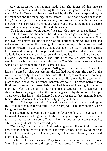How imperceptive her religion made her! The fumes of that incense obscured the human heart. Skimming the surface, she ignored the battle in the mud. After La Trobe had been excruciated by the Rector's interpretation, by the maulings and the manglings of the actors . . . "She don't want our thanks, Lucy," he said gruffly. What she wanted, like that carp (something moved in the water) was darkness in the mud; a whisky and soda at the pub; and coarse words descending like maggots through the waters.

"Thank the actors, not the author," he said. "Or ourselves, the audience."

He looked over his shoulder. The old lady, the indigenous, the prehistoric, was being wheeled away by a footman. He rolled her through the arch. Now the lawn was empty. The line of the roof, the upright chimneys, rose hard and red against the blue of the evening. The house emerged; the house that had been obliterated. He was damned glad it was over—the scurry and the scuffle, the rouge and the rings. He stooped and raised a peony that had shed its petals. Solitude had come again. And reason and the lamplit paper. . . . But where was his dog? Chained in a kennel? The little veins swelled with rage on his temples. He whistled. And here, released by Candish, racing across the lawn with a fleck of foam on the nostril, came his dog.

Lucy still gazed at the lily pool. "All gone," she murmured, "under the leaves." Scared by shadows passing, the fish had withdrawn. She gazed at the water. Perfunctorily she caressed her cross. But her eyes went water searching, looking for fish. The lilies were shutting; the red lily, the white lily, each on its plate of leaf. Above, the air rushed; beneath was water. She stood between two fluidities, caressing her cross. Faith required hours of kneeling in the early morning. Often the delight of the roaming eye seduced her—a sunbeam, a shadow. Now the jagged leaf at the corner suggested, by its contours, Europe. There were other leaves. She fluttered her eye over the surface, naming leaves India, Africa, America. Islands of security, glossy and thick.

"Bart . . ." She spoke to him. She had meant to ask him about the dragonfly—couldn't the blue thread settle, if we destroyed it here, then there? But he had gone into the house.

Then something moved in the water; her favourite fantail. The golden orfe followed. Then she had a glimpse of silver—the great carp himself, who came to the surface so very seldom. They slid on, in and out between the stalks, silver; pink; gold; splashed; streaked; pied.

"Ourselves," she murmured. And retrieving some glint of faith from the grey waters, hopefully, without much help from reason, she followed the fish; the speckled, streaked, and blotched; seeing in that vision beauty, power, and glory in ourselves.

Fish had faith, she reasoned. They trust us because we've never caught 'em. But her brother would reply: "That's greed." "Their beauty!" she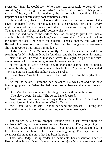protested. "Sex," he would say. "Who makes sex susceptible to beauty?" she would argue. He shrugged who? Why? Silenced, she returned to her private vision; of beauty which is goodness; the sea on which we float. Mostly impervious, but surely every boat sometimes leaks?

He would carry the torch of reason till it went out in the darkness of the cave. For herself, every morning, kneeling, she protected her vision. Every night she opened the window and looked at leaves against the sky. Then slept. Then the random ribbons of birds' voices woke her.

The fish had come to the surface. She had nothing to give them—not a crumb of bread. "Wait, my darlings," she addressed them. She would trot into the house and ask Mrs. Sands for a biscuit. Then a shadow fell. Off they flashed. How vexatious! Who was it? Dear me, the young man whose name she had forgotten; not Jones; nor Hodge . . .

Dodge had left Mrs. Manresa abruptly. All over the garden he had been searching for Mrs. Swithin. Now he found her; and she had forgotten his name.

"I'm William," he said. At that she revived, like a girl in a garden in white, among roses, who came running to meet him—an unacted part.

"I was going to get a biscuit—no, to thank the actors," she stumbled, virginal, blushing. Then she remembered her brother. "My brother," she added "says one mustn't thank the author, Miss La Trobe."

It was always "my brother . . . my brother" who rose from the depths of her lily pool.

As for the actors, Hammond had detached his whiskers and was now buttoning up his coat. When the chain was inserted between the buttons he was off.

Only Miss La Trobe remained, bending over something in the grass.

"The play's over," he said. "The actors have departed."

"And we mustn't, my brother says, thank the author," Mrs. Swithin repeated, looking in the direction of Miss La Trobe.

"So I thank you," he said. He took her hand and pressed it. Putting one thing with another, it was unlikely that they would ever meet again.

The church bells always stopped, leaving you to ask: Won't there be another note? Isa, half-way across the lawn, listened. . . . Ding, dong, ding . . . There was not going to be another note. The congregation was assembled, on their knees, in the church. The service was beginning. The play was over; swallows skimmed the grass that had been the stage.

There was Dodge, the lip reader, her semblable, her conspirator, a seeker like her after hidden faces. He was hurrying to rejoin Mrs. Manresa who had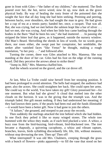gone in front with Giles—"the father of my children," she muttered. The flesh poured over her, the hot, nerve wired, now lit up, now dark as the grave physical body. By way of healing the rusty fester of the poisoned dart she sought the face that all day long she had been seeking. Preening and peering, between backs, over shoulders, she had sought the man in grey. He had given her a cup of tea at a tennis party; handed her, once, a racquet. That was all. But, she was crying, had we met before the salmon leapt like a bar of silver . . . had we met, she was crying. And when her little boy came battling through the bodies in the Barn "Had he been his son," she had muttered . . . In passing she stripped the bitter leaf that grew, as it happened, outside the nursery window. Old Man's Beard. Shrivelling the shreds in lieu of words, for no words grow there, nor roses either, she swept past her conspirator, her semblable, the seeker after vanished faces "like Venus" he thought, making a rough translation, "to her prey . . ." and followed after.

Turning the corner, there was Giles attached to Mrs. Manresa. She was standing at the door of her car. Giles had his foot on the edge of the running board. Did they perceive the arrows about to strike them?

"Jump in, Bill," Mrs. Manresa chaffed him.

And the wheels scurred on the gravel, and the car drove off.

At last, Miss La Trobe could raise herself from her stooping position. It had been prolonged to avoid attention. The bells had stopped; the audience had gone; also the actors. She could straighten her back. She could open her arms. She could say to the world, You have taken my gift! Glory possessed her—for one moment. But what had she given? A cloud that melted into the other clouds on the horizon. It was in the giving that the triumph was. And the triumph faded. Her gift meant nothing. If they had understood her meaning; if they had known their parts; if the pearls had been real and the funds illimitable —it would have been a better gift. Now it had gone to join the others.

"A failure," she groaned, and stooped to put away the records.

Then suddenly the starlings attacked the tree behind which she had hidden. In one flock they pelted it like so many winged stones. The whole tree hummed with the whizz they made, as if each bird plucked a wire. A whizz, a buzz rose from the bird-buzzing, bird-vibrant, bird-blackened tree. The tree became a rhapsody, a quivering cacophony, a whizz and vibrant rapture, branches, leaves, birds syllabling discordantly life, life, life, without measure, without stop devouring the tree. Then up! Then off!

What interrupted? It was old Mrs. Chalmers, creeping through the grass with a bunch of flowers—pinks apparently—to fill the vase that stood on her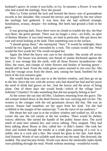husband's grave. In winter it was holly, or ivy. In summer, a flower. It was she who had scared the starlings. Now she passed.

Miss La Trobe nicked the lock and hoisted the heavy case of gramophone records to her shoulder. She crossed the terrace and stopped by the tree where the starlings had gathered. It was here that she had suffered triumph, humiliation, ecstasy, despair—for nothing. Her heels had ground a hole in the grass.

It was growing dark. Since there were no clouds to trouble the sky, the blue was bluer, the green greener. There was no longer a view—no Folly, no spire of Bolney Minster. It was land merely, no land in particular. She put down her case and stood looking at the land. Then something rose to the surface.

"I should group them," she murmured, "here." It would be midnight; there would be two figures, half concealed by a rock. The curtain would rise. What would the first words be? The words escaped her.

Again she lifted the heavy suit case to her shoulder. She strode off across the lawn. The house was dormant; one thread of smoke thickened against the trees. It was strange that the earth, with all those flowers incandescent—the lilies, the roses, and clumps of white flowers and bushes of burning green should still be hard. From the earth green waters seemed to rise over her. She took her voyage away from the shore, and, raising her hand, fumbled for the latch of the iron entrance gate.

She would drop her suit case in at the kitchen window, and then go on up to the Inn. Since the row with the actress who had shared her bed and her purse the need of drink had grown on her. And the horror and the terror of being alone. One of these days she would break—which of the village laws? Sobriety? Chastity? Or take something that did not properly belong to her?

At the corner she ran into old Mrs. Chalmers returning from the grave. The old woman looked down at the dead flowers she was carrying and cut her. The women in the cottages with the red geraniums always did that. She was an outcast. Nature had somehow set her apart from her kind. Yet she had scribbled in the margin of her manuscript: "I am the slave of my audience."

She thrust her suit case in at the scullery window and walked on, till at the corner she saw the red curtain at the bar window. There would be shelter; voices; oblivion. She turned the handle of the public house door. The acrid smell of stale beer saluted her; and voices talking. They stopped. They had been talking about Bossy as they called her—it didn't matter. She took her chair and looked through the smoke at a crude glass painting of a cow in a stable; also at a cock and a hen. She raised her glass to her lips. And drank. And listened. Words of one syllable sank down into the mud. She drowsed; she nodded. The mud became fertile. Words rose above the intolerably laden dumb oxen plodding through the mud. Words without meaning—wonderful words.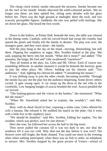The cheap clock ticked; smoke obscured the pictures. Smoke became tart on the roof of her mouth. Smoke obscured the earth-coloured jackets. She no longer saw them, yet they upheld her, sitting arms akimbo with her glass before her. There was the high ground at midnight; there the rock; and two scarcely perceptible figures. Suddenly the tree was pelted with starlings. She set down her glass. She heard the first words.

Down in the hollow, at Pointz Hall, beneath the trees, the table was cleared in the dining room. Candish, with his curved brush had swept the crumbs; had spared the petals and finally left the family to dessert. The play was over, the strangers gone, and they were alone—the family.

Still the play hung in the sky of the mind—moving, diminishing, but still there. Dipping her raspberry in sugar, Mrs. Swithin looked at the play. She said, popping the berry into her mouth, "What did it mean?" and added: "The peasants; the kings; the fool and" (she swallowed) "ourselves?"

They all looked at the play; Isa, Giles and Mr. Oliver. Each of course saw something different. In another moment it would be beneath the horizon, gone to join the other plays. Mr. Oliver, holding out his cheroot said: "Too ambitious." And, lighting his cheroot he added: "Considering her means."

It was drifting away to join the other clouds: becoming invisible. Through the smoke Isa saw not the play but the audience dispersing. Some drove; others cycled. A gate swung open. A car swept up the drive to the red villa in the cornfields. Low hanging boughs of acacia brushed the roof. Acacia petalled the car arrived.

"The looking-glasses and the voices in the bushes," she murmured. "What did she mean?"

"When Mr. Streatfield asked her to explain, she wouldn't," said Mrs. Swithin.

Here, with its sheaf sliced in four, exposing a white cone, Giles offered his wife a banana. She refused it. He stubbed his match on the plate. Out it went with a little fizz in the raspberry juice.

"We should be thankful," said Mrs. Swithin, folding her napkin, "for the weather, which was perfect, save for one shower."

Here she rose, Isa followed her across the hall to the big room.

They never pulled the curtains till it was too dark to see, nor shut the windows till it was too cold. Why shut out the day before it was over? The flowers were still bright; the birds chirped. You could see more in the evening often when nothing interrupted, when there was no fish to order, no telephone to answer. Mrs. Swithin stopped by the great picture of Venice—school of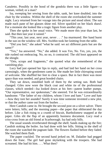Canaletto. Possibly in the hood of the gondola there was a little figure—a woman, veiled; or a man?

Isa, sweeping her sewing from the table, sank, her knee doubled, into the chair by the window. Within the shell of the room she overlooked the summer night. Lucy returned from her voyage into the picture and stood silent. The sun made each pane of her glasses shine red. Silver sparkled on her black shawl. For a moment she looked like a tragic figure from another play.

Then she spoke in her usual voice. "We made more this year than last, he said. But then last year it rained."

"This year, last year, next year, never . . ." Isa murmured. Her hand burnt in the sun on the window sill. Mrs. Swithin took her knitting from the table.

"Did you feel," she asked "what he said: we act different parts but are the same?"

"Yes," Isa answered. "No," she added. It was Yes, No. Yes, yes, yes, the tide rushed out embracing. No, no no, it contracted. The old boot appeared on the shingle.

"Orts, scraps and fragments," she quoted what she remembered of the vanishing play.

Lucy had just opened her lips to reply, and had laid her hand on her cross caressingly, when the gentlemen came in. She made her little chirruping sound of welcome. She shuffled her feet to clear a space. But in fact there was more space than was needed, and great hooded chairs.

They sat down, ennobled both of them by the setting sun. Both had changed. Giles now wore the black coat and white tie of the professional classes, which needed—Isa looked down at his feet—patent leather pumps. "Our representative, our spokesman," she sneered. Yet he was extraordinarily handsome. "The father of my children, whom I love and hate." Love and hate —how they tore her asunder! Surely it was time someone invented a new plot, or that the author came out from the bushes . . .

Here Candish came in. He brought the second post on a silver salver. There were letters; bills; and the morning paper—the paper that obliterated the day before. Like a fish rising to a crumb of biscuit, Bartholomew snapped at the paper. Giles slit the flap of an apparently business document. Lucy read a criss-cross from an old friend at Scarborough. Isa had only bills.

The usual sounds reverberated through the shell; Sands making up the fire; Candish stoking the boiler. Isa had done with her bills. Sitting in the shell of the room she watched the pageant fade. The flowers flashed before they faded. She watched them flash.

The paper crackled. The second hand jerked on. M. Daladier had pegged down the franc. The girl had gone skylarking with the troopers. She had screamed. She had hit him. . . . What then?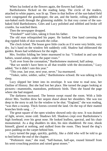When Isa looked at the flowers again, the flowers had faded.

Bartholomew flicked on the reading lamp. The circle of the readers, attached to white papers, was lit up. There in that hollow of the sun-baked field were congregated the grasshopper, the ant, and the beetle, rolling pebbles of sun-baked earth through the glistening stubble. In that rosy corner of the sunbaked field Bartholomew, Giles and Lucy polished and nibbled and broke off crumbs. Isa watched them.

Then the newspaper dropped.

"Finished?" said Giles, taking it from his father.

The old man relinquished his paper. He basked. One hand caressing the dog rippled folds of skin towards the collar.

The clock ticked. The house gave little cracks as if it were very brittle, very dry. Isa's hand on the window felt suddenly cold. Shadow had obliterated the garden. Roses had withdrawn for the night.

Mrs. Swithin folding her letter murmured to Isa: "I looked in and saw the babies, sound asleep, under the paper roses."

"Left over from the coronation," Bartholomew muttered, half asleep.

"But we needn't have been to all that trouble with the decorations," Lucy added, "for it didn't rain this year."

"This year, last year, next year, never," Isa murmured.

"Tinker, tailor, soldier, sailor," Bartholomew echoed. He was talking in his sleep.

Lucy slipped her letter into its envelope. It was time to read now, her Outline of History. But she had lost her place. She turned the pages looking at pictures—mammoths, mastodons, prehistoric birds. Then she found the page where she had stopped.

The darkness increased. The breeze swept round the room. With a little shiver Mrs. Swithin drew her sequin shawl about her shoulders. She was too deep in the story to ask for the window to be shut. "England," she was reading, "was then a swamp. Thick forests covered the land. On the top of their matted branches birds sang . . ."

The great square of the open window showed only sky now. It was drained of light, severe, stone cold. Shadows fell. Shadows crept over Bartholomew's high forehead; over his great nose. He looked leafless, spectral, and his chair monumental. As a dog shudders its skin, his skin shuddered. He rose, shook himself, glared at nothing, and stalked from the room. They heard the dog's paws padding on the carpet behind him.

Lucy turned the page, quickly, guiltily, like a child who will be told to go to bed before the end of the chapter.

"Prehistoric man," she read, "half-human, half-ape, roused himself from his semi-crouching position and raised great stones."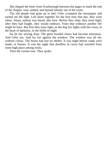She slipped the letter from Scarborough between the pages to mark the end of the chapter, rose, smiled, and tiptoed silently out of the room.

The old people had gone up to bed. Giles crumpled the newspaper and turned out the light. Left alone together for the first time that day, they were silent. Alone, enmity was bared; also love. Before they slept, they must fight; after they had fought, they would embrace. From that embrace another life might be born. But first they must fight, as the dog fox fights with the vixen, in the heart of darkness, in the fields of night.

Isa let her sewing drop. The great hooded chairs had become enormous. And Giles too. And Isa too against the window. The window was all sky without colour. The house had lost its shelter. It was night before roads were made, or houses. It was the night that dwellers in caves had watched from some high place among rocks.

Then the curtain rose. They spoke.